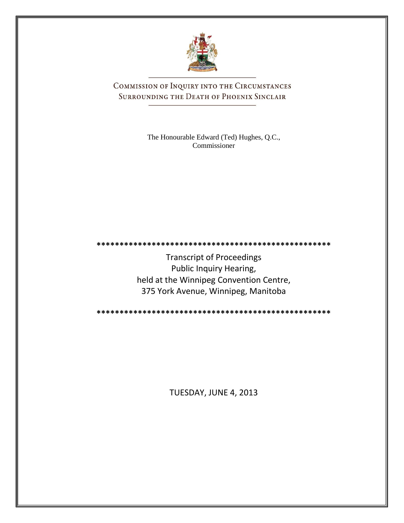

COMMISSION OF INQUIRY INTO THE CIRCUMSTANCES SURROUNDING THE DEATH OF PHOENIX SINCLAIR

> The Honourable Edward (Ted) Hughes, Q.C., Commissioner

Transcript of Proceedings Public Inquiry Hearing, held at the Winnipeg Convention Centre, 375 York Avenue, Winnipeg, Manitoba

**\*\*\*\*\*\*\*\*\*\*\*\*\*\*\*\*\*\*\*\*\*\*\*\*\*\*\*\*\*\*\*\*\*\*\*\*\*\*\*\*\*\*\*\*\*\*\*\*\*\*\***

**\*\*\*\*\*\*\*\*\*\*\*\*\*\*\*\*\*\*\*\*\*\*\*\*\*\*\*\*\*\*\*\*\*\*\*\*\*\*\*\*\*\*\*\*\*\*\*\*\*\*\***

TUESDAY, JUNE 4, 2013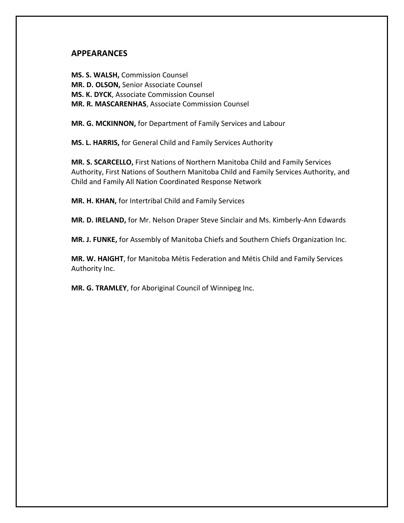### **APPEARANCES**

**MS. S. WALSH,** Commission Counsel **MR. D. OLSON,** Senior Associate Counsel **MS. K. DYCK**, Associate Commission Counsel **MR. R. MASCARENHAS**, Associate Commission Counsel

**MR. G. MCKINNON,** for Department of Family Services and Labour

**MS. L. HARRIS,** for General Child and Family Services Authority

**MR. S. SCARCELLO,** First Nations of Northern Manitoba Child and Family Services Authority, First Nations of Southern Manitoba Child and Family Services Authority, and Child and Family All Nation Coordinated Response Network

**MR. H. KHAN,** for Intertribal Child and Family Services

**MR. D. IRELAND,** for Mr. Nelson Draper Steve Sinclair and Ms. Kimberly-Ann Edwards

**MR. J. FUNKE,** for Assembly of Manitoba Chiefs and Southern Chiefs Organization Inc.

**MR. W. HAIGHT**, for Manitoba Métis Federation and Métis Child and Family Services Authority Inc.

**MR. G. TRAMLEY**, for Aboriginal Council of Winnipeg Inc.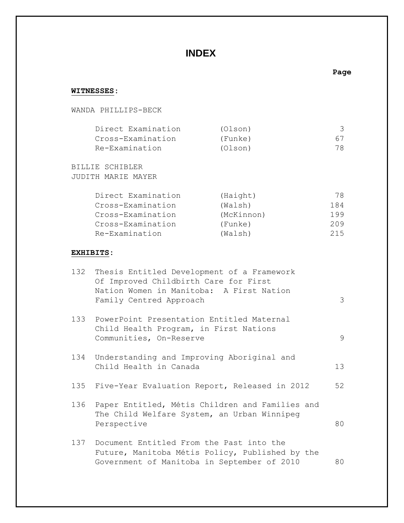# **INDEX**

## **WITNESSES:**

WANDA PHILLIPS-BECK

| Direct Examination | (Olson) |    |
|--------------------|---------|----|
| Cross-Examination  | (Funke) | 67 |
| Re-Examination     | (Olson) | 78 |

BILLIE SCHIBLER JUDITH MARIE MAYER

| Direct Examination | (Haight)   | 78. |
|--------------------|------------|-----|
| Cross-Examination  | (Walsh)    | 184 |
| Cross-Examination  | (McKinnon) | 199 |
| Cross-Examination  | (Funke)    | 209 |
| Re-Examination     | (Walsh)    | 215 |

## **EXHIBITS:**

| 132 | Thesis Entitled Development of a Framework<br>Of Improved Childbirth Care for First<br>Nation Women in Manitoba: A First Nation<br>Family Centred Approach | 3  |
|-----|------------------------------------------------------------------------------------------------------------------------------------------------------------|----|
| 133 | PowerPoint Presentation Entitled Maternal<br>Child Health Program, in First Nations<br>Communities, On-Reserve                                             | 9  |
| 134 | Understanding and Improving Aboriginal and<br>Child Health in Canada                                                                                       | 13 |
|     | 135 Five-Year Evaluation Report, Released in 2012                                                                                                          | 52 |
| 136 | Paper Entitled, Métis Children and Families and<br>The Child Welfare System, an Urban Winnipeg<br>Perspective                                              | 80 |
| 137 | Document Entitled From the Past into the<br>Future, Manitoba Métis Policy, Published by the<br>Government of Manitoba in September of 2010                 | 80 |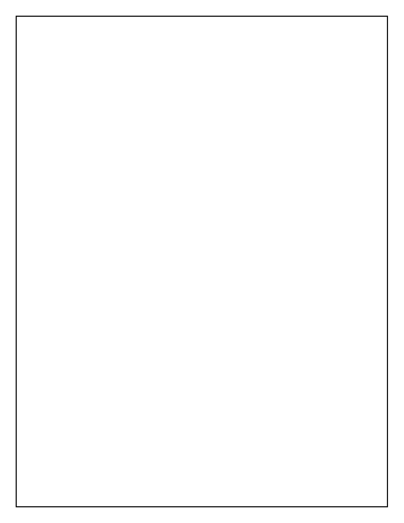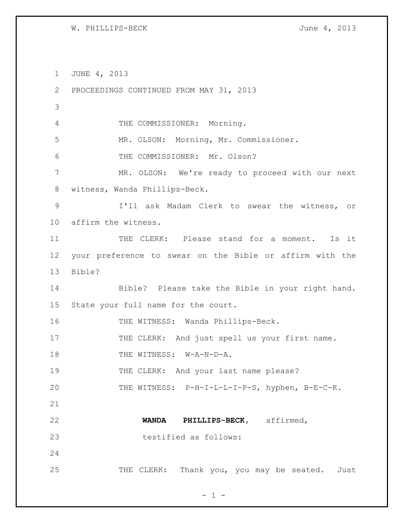```
W. PHILLIPS-BECK June 4, 2013
```
JUNE 4, 2013

 PROCEEDINGS CONTINUED FROM MAY 31, 2013 THE COMMISSIONER: Morning. MR. OLSON: Morning, Mr. Commissioner. THE COMMISSIONER: Mr. Olson? MR. OLSON: We're ready to proceed with our next witness, Wanda Phillips-Beck. I'll ask Madam Clerk to swear the witness, or affirm the witness. 11 THE CLERK: Please stand for a moment. Is it your preference to swear on the Bible or affirm with the Bible? Bible? Please take the Bible in your right hand. State your full name for the court. 16 THE WITNESS: Wanda Phillips-Beck. 17 THE CLERK: And just spell us your first name. 18 THE WITNESS: W-A-N-D-A. 19 THE CLERK: And your last name please? THE WITNESS: P-H-I-L-L-I-P-S, hyphen, B-E-C-K. **WANDA PHILLIPS-BECK,** affirmed, testified as follows: 25 THE CLERK: Thank you, you may be seated. Just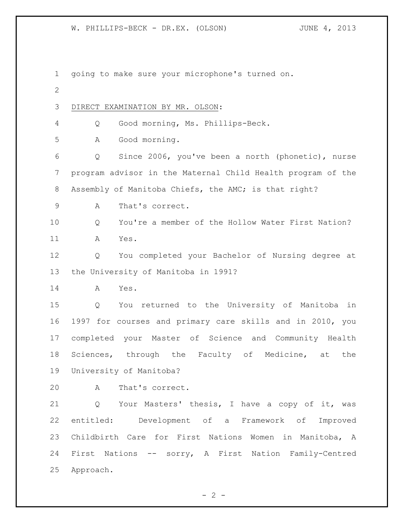going to make sure your microphone's turned on. DIRECT EXAMINATION BY MR. OLSON: Q Good morning, Ms. Phillips-Beck. A Good morning. Q Since 2006, you've been a north (phonetic), nurse program advisor in the Maternal Child Health program of the Assembly of Manitoba Chiefs, the AMC; is that right? A That's correct. 10 0 You're a member of the Hollow Water First Nation? A Yes. Q You completed your Bachelor of Nursing degree at the University of Manitoba in 1991? A Yes. Q You returned to the University of Manitoba in 1997 for courses and primary care skills and in 2010, you completed your Master of Science and Community Health Sciences, through the Faculty of Medicine, at the University of Manitoba? A That's correct. Q Your Masters' thesis, I have a copy of it, was entitled: Development of a Framework of Improved Childbirth Care for First Nations Women in Manitoba, A First Nations -- sorry, A First Nation Family-Centred Approach.

 $- 2 -$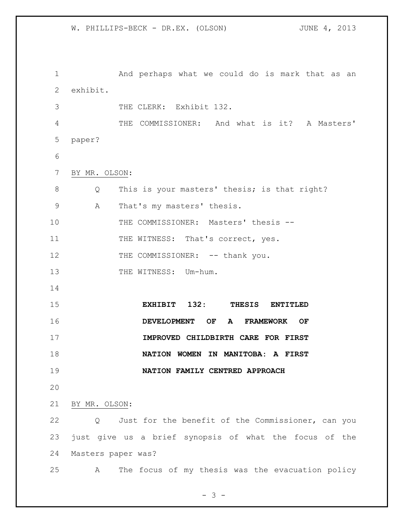And perhaps what we could do is mark that as an exhibit. 3 THE CLERK: Exhibit 132. THE COMMISSIONER: And what is it? A Masters' paper? BY MR. OLSON: 8 Q This is your masters' thesis; is that right? 9 A That's my masters' thesis. THE COMMISSIONER: Masters' thesis -- 11 THE WITNESS: That's correct, yes. 12 THE COMMISSIONER: -- thank you. 13 THE WITNESS: Um-hum. **EXHIBIT 132: THESIS ENTITLED DEVELOPMENT OF A FRAMEWORK OF IMPROVED CHILDBIRTH CARE FOR FIRST NATION WOMEN IN MANITOBA: A FIRST NATION FAMILY CENTRED APPROACH** BY MR. OLSON: Q Just for the benefit of the Commissioner, can you just give us a brief synopsis of what the focus of the Masters paper was? A The focus of my thesis was the evacuation policy

- 3 -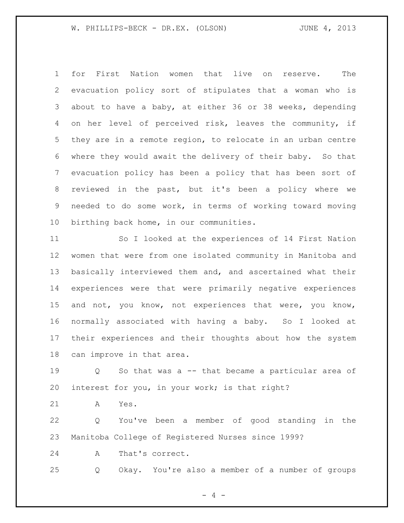for First Nation women that live on reserve. The evacuation policy sort of stipulates that a woman who is about to have a baby, at either 36 or 38 weeks, depending on her level of perceived risk, leaves the community, if they are in a remote region, to relocate in an urban centre where they would await the delivery of their baby. So that evacuation policy has been a policy that has been sort of reviewed in the past, but it's been a policy where we needed to do some work, in terms of working toward moving birthing back home, in our communities.

 So I looked at the experiences of 14 First Nation women that were from one isolated community in Manitoba and basically interviewed them and, and ascertained what their experiences were that were primarily negative experiences and not, you know, not experiences that were, you know, normally associated with having a baby. So I looked at their experiences and their thoughts about how the system can improve in that area.

 Q So that was a -- that became a particular area of interest for you, in your work; is that right?

A Yes.

 Q You've been a member of good standing in the Manitoba College of Registered Nurses since 1999?

A That's correct.

Q Okay. You're also a member of a number of groups

 $- 4 -$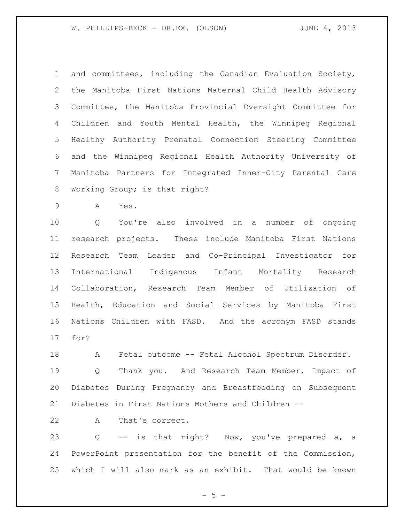and committees, including the Canadian Evaluation Society, the Manitoba First Nations Maternal Child Health Advisory Committee, the Manitoba Provincial Oversight Committee for Children and Youth Mental Health, the Winnipeg Regional Healthy Authority Prenatal Connection Steering Committee and the Winnipeg Regional Health Authority University of Manitoba Partners for Integrated Inner-City Parental Care Working Group; is that right?

A Yes.

 Q You're also involved in a number of ongoing research projects. These include Manitoba First Nations Research Team Leader and Co-Principal Investigator for International Indigenous Infant Mortality Research Collaboration, Research Team Member of Utilization of Health, Education and Social Services by Manitoba First Nations Children with FASD. And the acronym FASD stands for?

 A Fetal outcome -- Fetal Alcohol Spectrum Disorder. 19 0 Thank you. And Research Team Member, Impact of Diabetes During Pregnancy and Breastfeeding on Subsequent Diabetes in First Nations Mothers and Children --

A That's correct.

 Q -- is that right? Now, you've prepared a, a PowerPoint presentation for the benefit of the Commission, which I will also mark as an exhibit. That would be known

 $- 5 -$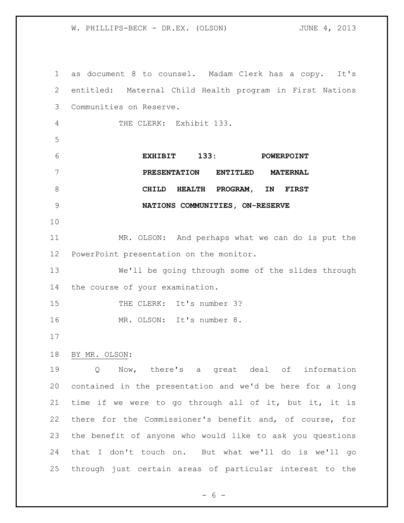as document 8 to counsel. Madam Clerk has a copy. It's entitled: Maternal Child Health program in First Nations Communities on Reserve. THE CLERK: Exhibit 133. **EXHIBIT 133: POWERPOINT PRESENTATION ENTITLED MATERNAL CHILD HEALTH PROGRAM, IN FIRST NATIONS COMMUNITIES, ON-RESERVE** MR. OLSON: And perhaps what we can do is put the PowerPoint presentation on the monitor. We'll be going through some of the slides through the course of your examination. 15 THE CLERK: It's number 3? MR. OLSON: It's number 8. BY MR. OLSON: Q Now, there's a great deal of information contained in the presentation and we'd be here for a long time if we were to go through all of it, but it, it is there for the Commissioner's benefit and, of course, for the benefit of anyone who would like to ask you questions that I don't touch on. But what we'll do is we'll go through just certain areas of particular interest to the

 $- 6 -$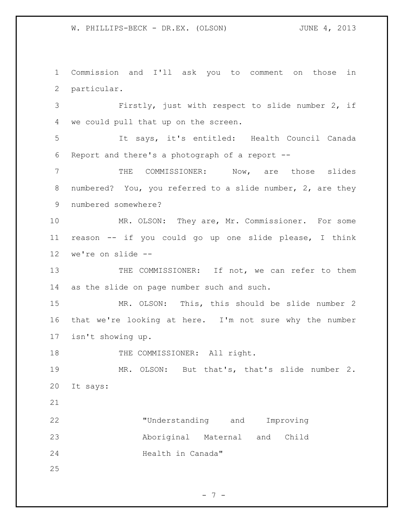Commission and I'll ask you to comment on those in particular.

 Firstly, just with respect to slide number 2, if we could pull that up on the screen.

 It says, it's entitled: Health Council Canada Report and there's a photograph of a report --

 THE COMMISSIONER: Now, are those slides numbered? You, you referred to a slide number, 2, are they numbered somewhere?

 MR. OLSON: They are, Mr. Commissioner. For some reason -- if you could go up one slide please, I think we're on slide --

13 THE COMMISSIONER: If not, we can refer to them as the slide on page number such and such.

 MR. OLSON: This, this should be slide number 2 that we're looking at here. I'm not sure why the number isn't showing up.

18 THE COMMISSIONER: All right.

 MR. OLSON: But that's, that's slide number 2. It says:

 "Understanding and Improving Aboriginal Maternal and Child 24 Health in Canada"

- 7 -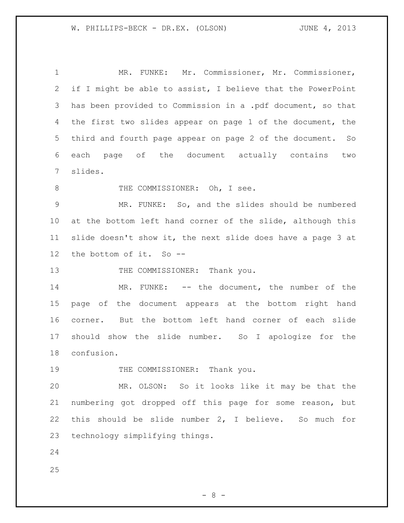| $\mathbf 1$ | FUNKE: Mr. Commissioner, Mr. Commissioner,<br>MR.           |
|-------------|-------------------------------------------------------------|
| 2           | if I might be able to assist, I believe that the PowerPoint |
| 3           | has been provided to Commission in a .pdf document, so that |
| 4           | the first two slides appear on page 1 of the document, the  |
| 5           | third and fourth page appear on page 2 of the document. So  |
| 6           | each page of the document actually contains<br>two          |
| 7           | slides.                                                     |
| 8           | THE COMMISSIONER: Oh, I see.                                |
| $\mathsf 9$ | MR. FUNKE: So, and the slides should be numbered            |
| $10 \,$     | at the bottom left hand corner of the slide, although this  |
| 11          | slide doesn't show it, the next slide does have a page 3 at |
| 12          | the bottom of it. So --                                     |
| 13          | THE COMMISSIONER: Thank you.                                |
| 14          | MR. FUNKE: -- the document, the number of the               |
| 15          | page of the document appears at the bottom<br>right hand    |
| 16          | corner. But the bottom left hand corner of each slide       |
| 17          | should show the slide number. So I apologize for the        |
| 18          | confusion.                                                  |
| 19          | THE COMMISSIONER: Thank you.                                |
| 20          | MR. OLSON: So it looks like it may be that the              |
| 21          | numbering got dropped off this page for some reason, but    |
| 22          | this should be slide number 2, I believe. So much for       |
| 23          | technology simplifying things.                              |
| 24          |                                                             |
| 25          |                                                             |
|             |                                                             |

- 8 -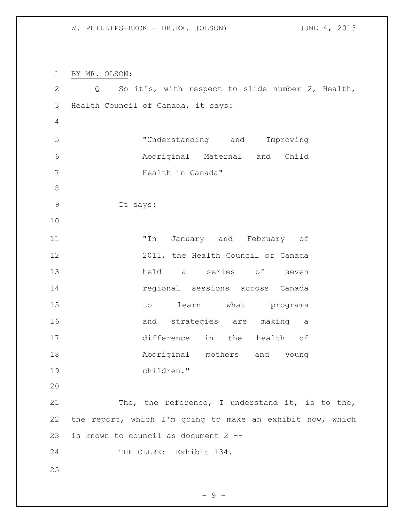BY MR. OLSON: Q So it's, with respect to slide number 2, Health, Health Council of Canada, it says: "Understanding and Improving Aboriginal Maternal and Child Health in Canada" It says: "In January and February of 2011, the Health Council of Canada held a series of seven regional sessions across Canada 15 to learn what programs 16 and strategies are making a difference in the health of Aboriginal mothers and young children." 21 The, the reference, I understand it, is to the, the report, which I'm going to make an exhibit now, which is known to council as document 2 -- 24 THE CLERK: Exhibit 134. 

 $-9 -$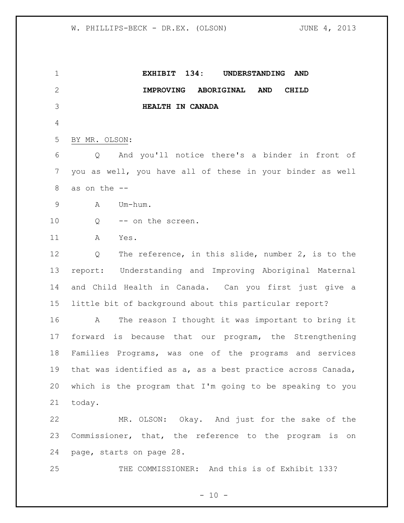**EXHIBIT 134: UNDERSTANDING AND IMPROVING ABORIGINAL AND CHILD HEALTH IN CANADA** BY MR. OLSON: Q And you'll notice there's a binder in front of you as well, you have all of these in your binder as well as on the -- A Um-hum. 10 0 -- on the screen. A Yes. Q The reference, in this slide, number 2, is to the report: Understanding and Improving Aboriginal Maternal and Child Health in Canada. Can you first just give a little bit of background about this particular report? A The reason I thought it was important to bring it forward is because that our program, the Strengthening Families Programs, was one of the programs and services that was identified as a, as a best practice across Canada, which is the program that I'm going to be speaking to you today. MR. OLSON: Okay. And just for the sake of the Commissioner, that, the reference to the program is on page, starts on page 28. THE COMMISSIONER: And this is of Exhibit 133?

 $- 10 -$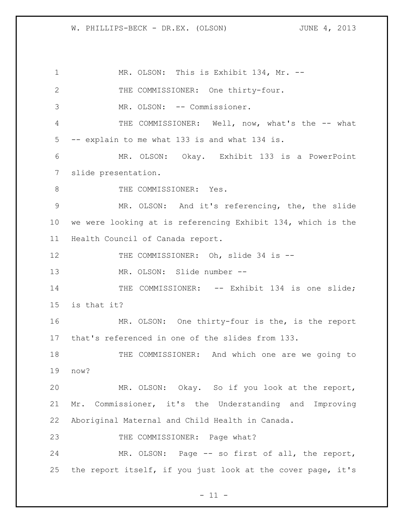1 MR. OLSON: This is Exhibit 134, Mr. --2 THE COMMISSIONER: One thirty-four. MR. OLSON: -- Commissioner. THE COMMISSIONER: Well, now, what's the -- what -- explain to me what 133 is and what 134 is. MR. OLSON: Okay. Exhibit 133 is a PowerPoint slide presentation. 8 THE COMMISSIONER: Yes. MR. OLSON: And it's referencing, the, the slide we were looking at is referencing Exhibit 134, which is the Health Council of Canada report. 12 THE COMMISSIONER: Oh, slide 34 is -- MR. OLSON: Slide number -- 14 THE COMMISSIONER: -- Exhibit 134 is one slide; is that it? MR. OLSON: One thirty-four is the, is the report that's referenced in one of the slides from 133. THE COMMISSIONER: And which one are we going to now? MR. OLSON: Okay. So if you look at the report, Mr. Commissioner, it's the Understanding and Improving Aboriginal Maternal and Child Health in Canada. 23 THE COMMISSIONER: Page what? MR. OLSON: Page -- so first of all, the report, the report itself, if you just look at the cover page, it's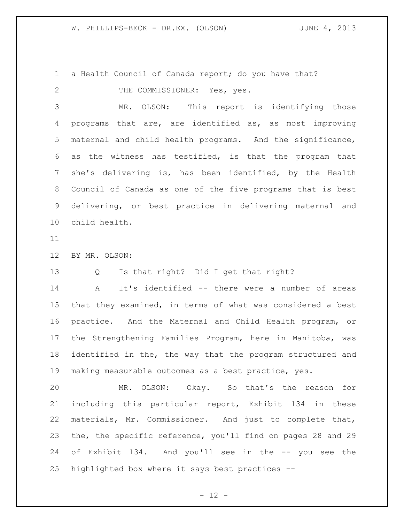a Health Council of Canada report; do you have that?

THE COMMISSIONER: Yes, yes.

 MR. OLSON: This report is identifying those programs that are, are identified as, as most improving maternal and child health programs. And the significance, as the witness has testified, is that the program that she's delivering is, has been identified, by the Health Council of Canada as one of the five programs that is best delivering, or best practice in delivering maternal and child health.

BY MR. OLSON:

Q Is that right? Did I get that right?

 A It's identified -- there were a number of areas that they examined, in terms of what was considered a best practice. And the Maternal and Child Health program, or the Strengthening Families Program, here in Manitoba, was identified in the, the way that the program structured and making measurable outcomes as a best practice, yes.

 MR. OLSON: Okay. So that's the reason for including this particular report, Exhibit 134 in these materials, Mr. Commissioner. And just to complete that, the, the specific reference, you'll find on pages 28 and 29 of Exhibit 134. And you'll see in the -- you see the highlighted box where it says best practices --

 $- 12 -$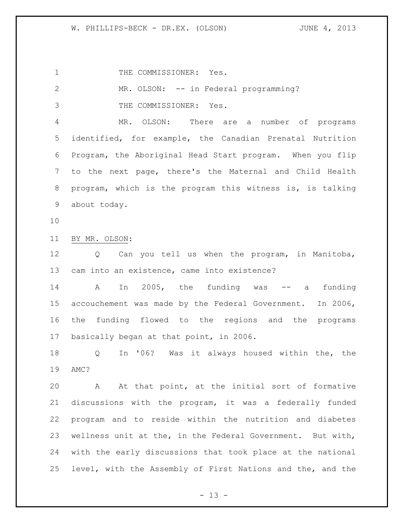1 THE COMMISSIONER: Yes.

| $\overline{2}$ | MR. OLSON: -- in Federal programming?                      |
|----------------|------------------------------------------------------------|
| 3              | THE COMMISSIONER: Yes.                                     |
| 4              | MR. OLSON: There are a number of programs                  |
| 5              | identified, for example, the Canadian Prenatal Nutrition   |
| 6              | Program, the Aboriginal Head Start program. When you flip  |
| 7              | to the next page, there's the Maternal and Child Health    |
| 8              | program, which is the program this witness is, is talking  |
| 9              | about today.                                               |
| 10             |                                                            |
| 11             | BY MR. OLSON:                                              |
| 12             | Can you tell us when the program, in Manitoba,<br>Q        |
| 13             | cam into an existence, came into existence?                |
| 14             | In 2005, the funding was $-$ a<br>$\mathbf{A}$<br>funding  |
| 15             | accouchement was made by the Federal Government. In 2006,  |
| 16             | the funding flowed to the regions and the programs         |
| 17             | basically began at that point, in 2006.                    |
| 18             | In '06? Was it always housed within the, the<br>Q          |
| 19             | AMC?                                                       |
| 20             | A At that point, at the initial sort of formative          |
| 21             | discussions with the program, it was a federally funded    |
| 22             | program and to reside within the nutrition and diabetes    |
| 23             | wellness unit at the, in the Federal Government. But with, |
| 24             | with the early discussions that took place at the national |
| 25             | level, with the Assembly of First Nations and the, and the |
|                |                                                            |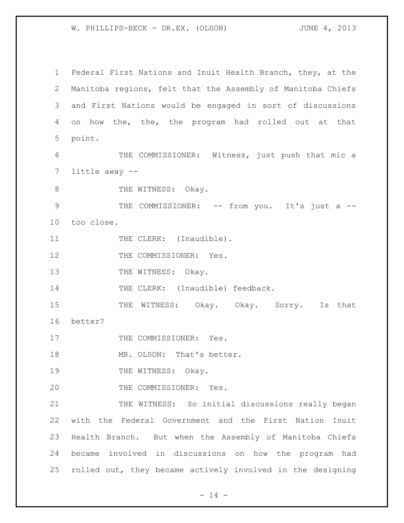1 Federal First Nations and Inuit Health Branch, they, at the 2 Manitoba regions, felt that the Assembly of Manitoba Chiefs 3 and First Nations would be engaged in sort of discussions 4 on how the, the, the program had rolled out at that 5 point. 6 THE COMMISSIONER: Witness, just push that mic a 7 little away -- 8 THE WITNESS: Okay. 9 THE COMMISSIONER: -- from you. It's just a --10 too close. 11 THE CLERK: (Inaudible). 12 THE COMMISSIONER: Yes. 13 THE WITNESS: Okay. 14 THE CLERK: (Inaudible) feedback. 15 THE WITNESS: Okay. Okay. Sorry. Is that 16 better? 17 THE COMMISSIONER: Yes. 18 MR. OLSON: That's better. 19 THE WITNESS: Okay. 20 THE COMMISSIONER: Yes. 21 THE WITNESS: So initial discussions really began 22 with the Federal Government and the First Nation Inuit 23 Health Branch. But when the Assembly of Manitoba Chiefs 24 became involved in discussions on how the program had 25 rolled out, they became actively involved in the designing

 $- 14 -$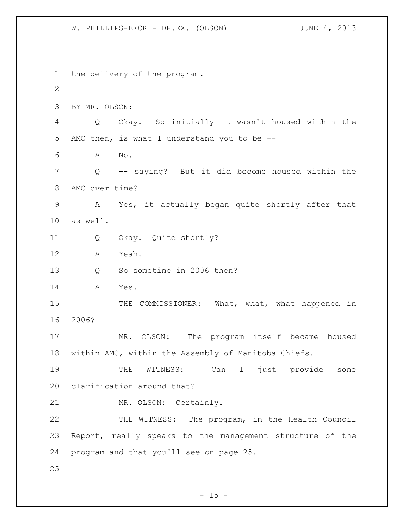the delivery of the program.  $\mathcal{P}$  BY MR. OLSON: Q Okay. So initially it wasn't housed within the AMC then, is what I understand you to be -- A No. Q -- saying? But it did become housed within the AMC over time? A Yes, it actually began quite shortly after that as well. Q Okay. Quite shortly? A Yeah. Q So sometime in 2006 then? A Yes. THE COMMISSIONER: What, what, what happened in 2006? MR. OLSON: The program itself became housed within AMC, within the Assembly of Manitoba Chiefs. 19 THE WITNESS: Can I just provide some clarification around that? MR. OLSON: Certainly. THE WITNESS: The program, in the Health Council Report, really speaks to the management structure of the program and that you'll see on page 25. 

 $- 15 -$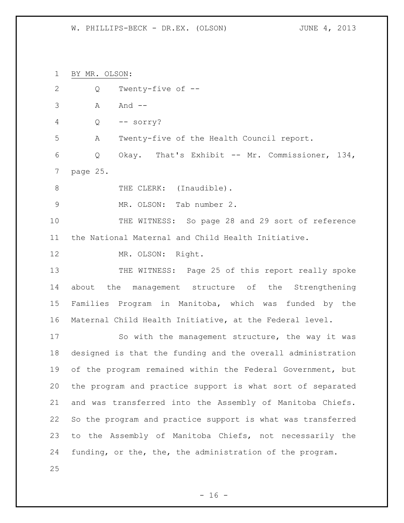BY MR. OLSON: Q Twenty-five of -- A And --  $Q \leftarrow -$  sorry? A Twenty-five of the Health Council report. Q Okay. That's Exhibit -- Mr. Commissioner, 134, page 25. 8 THE CLERK: (Inaudible). MR. OLSON: Tab number 2. THE WITNESS: So page 28 and 29 sort of reference the National Maternal and Child Health Initiative. MR. OLSON: Right. THE WITNESS: Page 25 of this report really spoke about the management structure of the Strengthening Families Program in Manitoba, which was funded by the Maternal Child Health Initiative, at the Federal level. So with the management structure, the way it was designed is that the funding and the overall administration 19 of the program remained within the Federal Government, but the program and practice support is what sort of separated and was transferred into the Assembly of Manitoba Chiefs. So the program and practice support is what was transferred to the Assembly of Manitoba Chiefs, not necessarily the funding, or the, the, the administration of the program.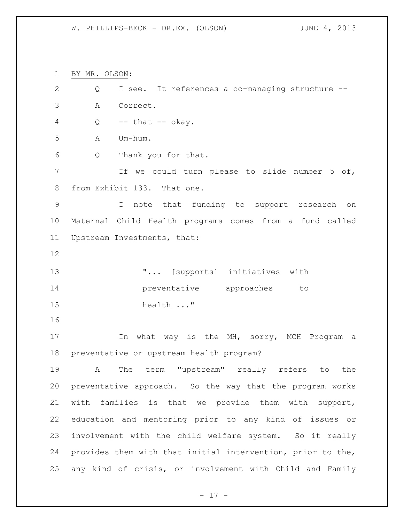BY MR. OLSON: Q I see. It references a co-managing structure -- A Correct.  $4 \qquad Q \qquad -- \text{ that } -- \text{ okay.}$  A Um-hum. Q Thank you for that. If we could turn please to slide number 5 of, from Exhibit 133. That one. I note that funding to support research on Maternal Child Health programs comes from a fund called Upstream Investments, that: **"...** [supports] initiatives with preventative approaches to 15 health ..." 17 10 In what way is the MH, sorry, MCH Program a preventative or upstream health program? A The term "upstream" really refers to the preventative approach. So the way that the program works with families is that we provide them with support, education and mentoring prior to any kind of issues or involvement with the child welfare system. So it really provides them with that initial intervention, prior to the, any kind of crisis, or involvement with Child and Family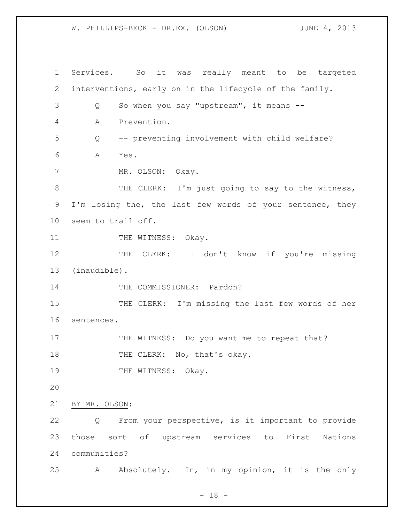1 Services. So it was really meant to be targeted 2 interventions, early on in the lifecycle of the family. 3 Q So when you say "upstream", it means -- 4 A Prevention. 5 Q -- preventing involvement with child welfare? 6 A Yes. 7 MR. OLSON: Okay. 8 THE CLERK: I'm just going to say to the witness, 9 I'm losing the, the last few words of your sentence, they 10 seem to trail off. 11 THE WITNESS: Okay. 12 THE CLERK: I don't know if you're missing 13 (inaudible). 14 THE COMMISSIONER: Pardon? 15 THE CLERK: I'm missing the last few words of her 16 sentences. 17 THE WITNESS: Do you want me to repeat that? 18 THE CLERK: No, that's okay. 19 THE WITNESS: Okay. 20 21 BY MR. OLSON: 22 Q From your perspective, is it important to provide 23 those sort of upstream services to First Nations 24 communities? 25 A Absolutely. In, in my opinion, it is the only

 $- 18 -$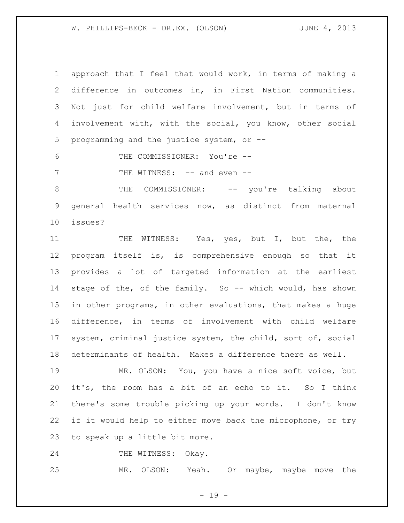approach that I feel that would work, in terms of making a difference in outcomes in, in First Nation communities. Not just for child welfare involvement, but in terms of involvement with, with the social, you know, other social programming and the justice system, or --

THE COMMISSIONER: You're --

7 THE WITNESS: -- and even --

8 THE COMMISSIONER: -- you're talking about general health services now, as distinct from maternal issues?

11 THE WITNESS: Yes, yes, but I, but the, the program itself is, is comprehensive enough so that it provides a lot of targeted information at the earliest 14 stage of the, of the family. So -- which would, has shown in other programs, in other evaluations, that makes a huge difference, in terms of involvement with child welfare system, criminal justice system, the child, sort of, social determinants of health. Makes a difference there as well.

 MR. OLSON: You, you have a nice soft voice, but it's, the room has a bit of an echo to it. So I think there's some trouble picking up your words. I don't know if it would help to either move back the microphone, or try to speak up a little bit more.

24 THE WITNESS: Okay.

MR. OLSON: Yeah. Or maybe, maybe move the

 $- 19 -$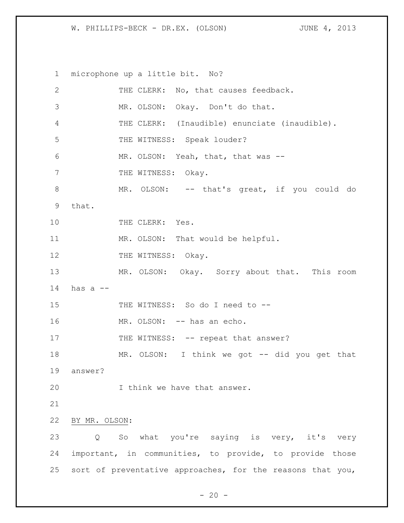1 microphone up a little bit. No? 2 THE CLERK: No, that causes feedback. 3 MR. OLSON: Okay. Don't do that. 4 THE CLERK: (Inaudible) enunciate (inaudible). 5 THE WITNESS: Speak louder? 6 MR. OLSON: Yeah, that, that was -- 7 THE WITNESS: Okay. 8 MR. OLSON: -- that's great, if you could do 9 that. 10 THE CLERK: Yes. 11 MR. OLSON: That would be helpful. 12 THE WITNESS: Okay. 13 MR. OLSON: Okay. Sorry about that. This room 14 has a -- 15 THE WITNESS: So do I need to --16 MR. OLSON: -- has an echo. 17 THE WITNESS: -- repeat that answer? 18 MR. OLSON: I think we got -- did you get that 19 answer? 20 I think we have that answer. 21 22 BY MR. OLSON: 23 Q So what you're saying is very, it's very 24 important, in communities, to provide, to provide those 25 sort of preventative approaches, for the reasons that you,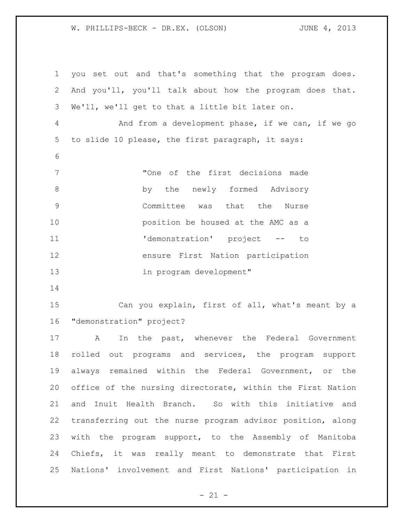| 1               | you set out and that's something that the program does.    |
|-----------------|------------------------------------------------------------|
| $\mathbf{2}$    | And you'll, you'll talk about how the program does that.   |
| 3               | We'll, we'll get to that a little bit later on.            |
| 4               | And from a development phase, if we can, if we go          |
| 5               | to slide 10 please, the first paragraph, it says:          |
| 6               |                                                            |
| $7\phantom{.0}$ | "One of the first decisions made                           |
| $\,8\,$         | by the newly formed Advisory                               |
| $\mathsf 9$     | Committee was that the Nurse                               |
| 10              | position be housed at the AMC as a                         |
| 11              | 'demonstration' project -- to                              |
| 12              | ensure First Nation participation                          |
| 13              | in program development"                                    |
| 14              |                                                            |
| 15              | Can you explain, first of all, what's meant by a           |
| 16              | "demonstration" project?                                   |
| 17              | In the past, whenever the Federal Government<br>A          |
| 18              | rolled out programs and services, the program support      |
| 19              | always remained within the Federal Government, or the      |
| 20              | office of the nursing directorate, within the First Nation |
| 21              | and Inuit Health Branch. So with this initiative and       |
| 22              | transferring out the nurse program advisor position, along |
| 23              | with the program support, to the Assembly of Manitoba      |
| 24              | Chiefs, it was really meant to demonstrate that First      |
| 25              | Nations' involvement and First Nations' participation in   |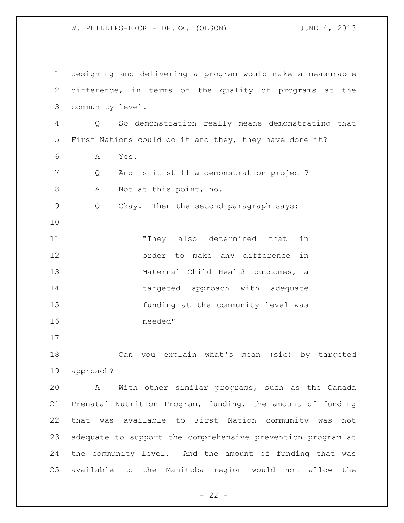designing and delivering a program would make a measurable difference, in terms of the quality of programs at the community level. Q So demonstration really means demonstrating that First Nations could do it and they, they have done it? A Yes. Q And is it still a demonstration project? 8 A Not at this point, no. Q Okay. Then the second paragraph says: "They also determined that in order to make any difference in Maternal Child Health outcomes, a 14 targeted approach with adequate funding at the community level was needed" Can you explain what's mean (sic) by targeted approach? A With other similar programs, such as the Canada Prenatal Nutrition Program, funding, the amount of funding that was available to First Nation community was not adequate to support the comprehensive prevention program at the community level. And the amount of funding that was available to the Manitoba region would not allow the

 $- 22 -$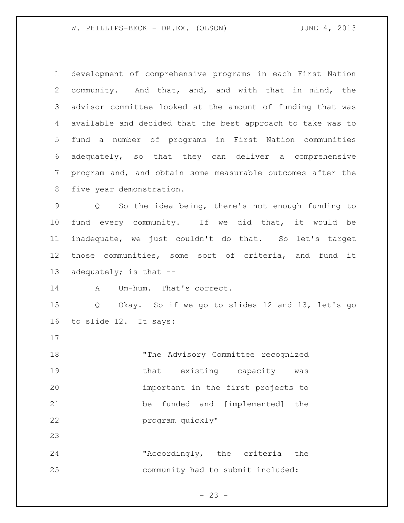development of comprehensive programs in each First Nation community. And that, and, and with that in mind, the advisor committee looked at the amount of funding that was available and decided that the best approach to take was to fund a number of programs in First Nation communities adequately, so that they can deliver a comprehensive program and, and obtain some measurable outcomes after the five year demonstration. Q So the idea being, there's not enough funding to fund every community. If we did that, it would be inadequate, we just couldn't do that. So let's target those communities, some sort of criteria, and fund it 13 adequately; is that --14 A Um-hum. That's correct. Q Okay. So if we go to slides 12 and 13, let's go to slide 12. It says: 18 The Advisory Committee recognized that existing capacity was important in the first projects to be funded and [implemented] the program quickly" "Accordingly, the criteria the community had to submit included:

 $- 23 -$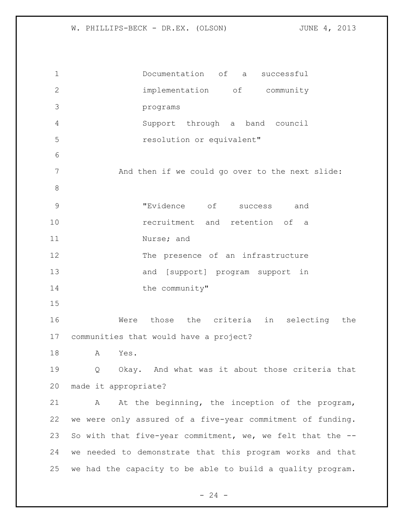Documentation of a successful implementation of community programs Support through a band council resolution or equivalent" 7 And then if we could go over to the next slide: "Evidence of success and recruitment and retention of a Nurse; and 12 The presence of an infrastructure and [support] program support in 14 the community" Were those the criteria in selecting the communities that would have a project? A Yes. Q Okay. And what was it about those criteria that made it appropriate? A At the beginning, the inception of the program, we were only assured of a five-year commitment of funding. 23 So with that five-year commitment, we, we felt that the -- we needed to demonstrate that this program works and that we had the capacity to be able to build a quality program.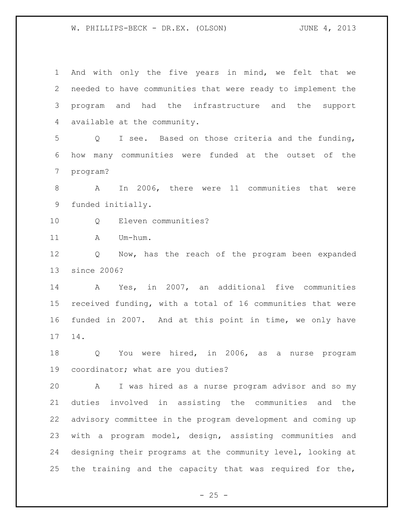And with only the five years in mind, we felt that we needed to have communities that were ready to implement the program and had the infrastructure and the support available at the community. Q I see. Based on those criteria and the funding, how many communities were funded at the outset of the program? A In 2006, there were 11 communities that were funded initially. Q Eleven communities? 11 A Um-hum. Q Now, has the reach of the program been expanded since 2006? A Yes, in 2007, an additional five communities received funding, with a total of 16 communities that were funded in 2007. And at this point in time, we only have 14. Q You were hired, in 2006, as a nurse program coordinator; what are you duties? A I was hired as a nurse program advisor and so my duties involved in assisting the communities and the advisory committee in the program development and coming up with a program model, design, assisting communities and designing their programs at the community level, looking at the training and the capacity that was required for the,

 $- 25 -$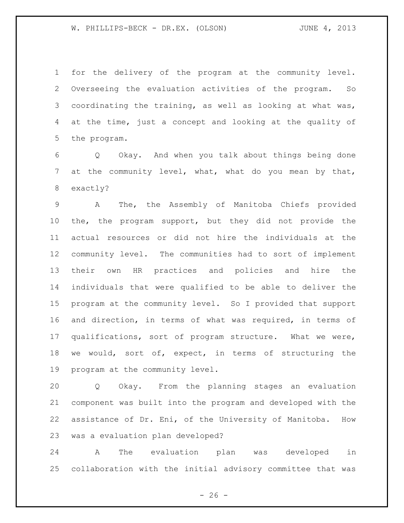for the delivery of the program at the community level. Overseeing the evaluation activities of the program. So coordinating the training, as well as looking at what was, at the time, just a concept and looking at the quality of the program.

 Q Okay. And when you talk about things being done at the community level, what, what do you mean by that, exactly?

 A The, the Assembly of Manitoba Chiefs provided the, the program support, but they did not provide the actual resources or did not hire the individuals at the community level. The communities had to sort of implement their own HR practices and policies and hire the individuals that were qualified to be able to deliver the program at the community level. So I provided that support and direction, in terms of what was required, in terms of qualifications, sort of program structure. What we were, we would, sort of, expect, in terms of structuring the program at the community level.

 Q Okay. From the planning stages an evaluation component was built into the program and developed with the assistance of Dr. Eni, of the University of Manitoba. How was a evaluation plan developed?

 A The evaluation plan was developed in collaboration with the initial advisory committee that was

 $- 26 -$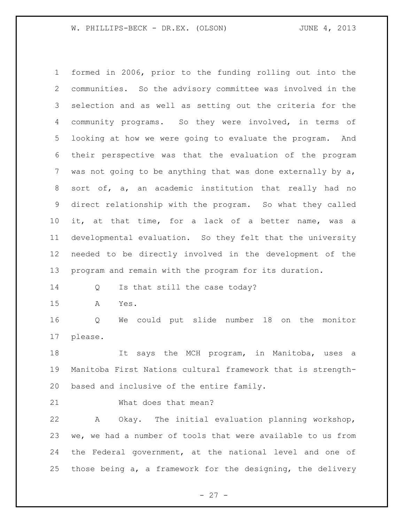formed in 2006, prior to the funding rolling out into the communities. So the advisory committee was involved in the selection and as well as setting out the criteria for the community programs. So they were involved, in terms of looking at how we were going to evaluate the program. And their perspective was that the evaluation of the program was not going to be anything that was done externally by a, sort of, a, an academic institution that really had no direct relationship with the program. So what they called it, at that time, for a lack of a better name, was a developmental evaluation. So they felt that the university needed to be directly involved in the development of the program and remain with the program for its duration. 14 Q Is that still the case today? A Yes. Q We could put slide number 18 on the monitor please.

 It says the MCH program, in Manitoba, uses a Manitoba First Nations cultural framework that is strength-based and inclusive of the entire family.

What does that mean?

 A Okay. The initial evaluation planning workshop, we, we had a number of tools that were available to us from the Federal government, at the national level and one of those being a, a framework for the designing, the delivery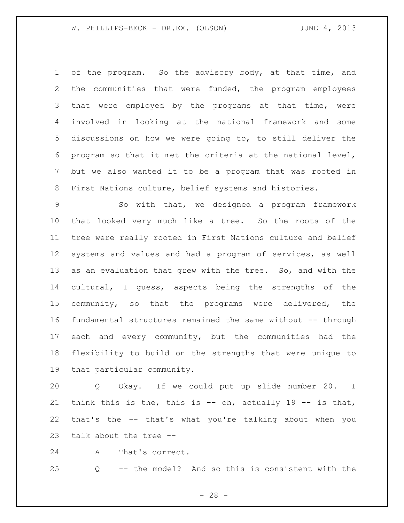of the program. So the advisory body, at that time, and the communities that were funded, the program employees that were employed by the programs at that time, were involved in looking at the national framework and some discussions on how we were going to, to still deliver the program so that it met the criteria at the national level, but we also wanted it to be a program that was rooted in First Nations culture, belief systems and histories.

 So with that, we designed a program framework that looked very much like a tree. So the roots of the tree were really rooted in First Nations culture and belief systems and values and had a program of services, as well as an evaluation that grew with the tree. So, and with the cultural, I guess, aspects being the strengths of the community, so that the programs were delivered, the fundamental structures remained the same without -- through each and every community, but the communities had the flexibility to build on the strengths that were unique to that particular community.

 Q Okay. If we could put up slide number 20. I think this is the, this is -- oh, actually 19 -- is that, that's the -- that's what you're talking about when you talk about the tree --

A That's correct.

Q -- the model? And so this is consistent with the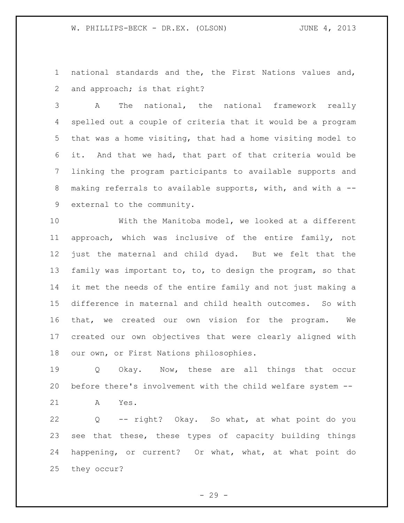national standards and the, the First Nations values and, 2 and approach; is that right?

 A The national, the national framework really spelled out a couple of criteria that it would be a program that was a home visiting, that had a home visiting model to it. And that we had, that part of that criteria would be linking the program participants to available supports and making referrals to available supports, with, and with a -- external to the community.

 With the Manitoba model, we looked at a different approach, which was inclusive of the entire family, not just the maternal and child dyad. But we felt that the family was important to, to, to design the program, so that it met the needs of the entire family and not just making a difference in maternal and child health outcomes. So with that, we created our own vision for the program. We created our own objectives that were clearly aligned with our own, or First Nations philosophies.

 Q Okay. Now, these are all things that occur before there's involvement with the child welfare system --

A Yes.

 Q -- right? Okay. So what, at what point do you see that these, these types of capacity building things happening, or current? Or what, what, at what point do they occur?

 $-29 -$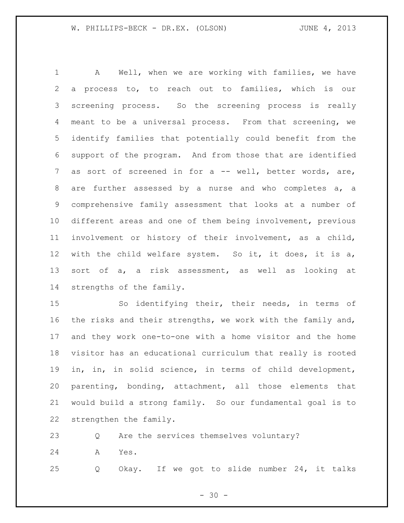A Well, when we are working with families, we have a process to, to reach out to families, which is our screening process. So the screening process is really meant to be a universal process. From that screening, we identify families that potentially could benefit from the support of the program. And from those that are identified 7 as sort of screened in for a -- well, better words, are, are further assessed by a nurse and who completes a, a comprehensive family assessment that looks at a number of different areas and one of them being involvement, previous involvement or history of their involvement, as a child, with the child welfare system. So it, it does, it is a, sort of a, a risk assessment, as well as looking at strengths of the family.

 So identifying their, their needs, in terms of the risks and their strengths, we work with the family and, and they work one-to-one with a home visitor and the home visitor has an educational curriculum that really is rooted in, in, in solid science, in terms of child development, parenting, bonding, attachment, all those elements that would build a strong family. So our fundamental goal is to strengthen the family.

 Q Are the services themselves voluntary? A Yes.

Q Okay. If we got to slide number 24, it talks

 $- 30 -$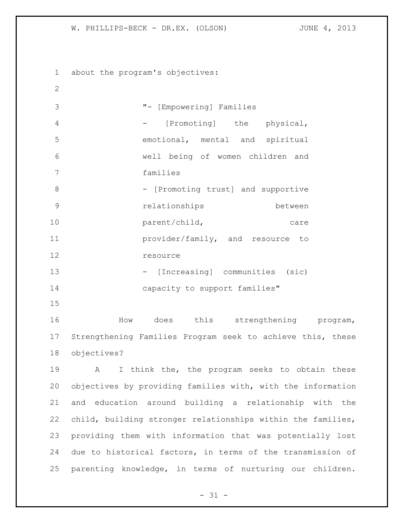about the program's objectives:  $\mathcal{P}$  "- [Empowering] Families - [Promoting] the physical, emotional, mental and spiritual well being of women children and families 8 - [Promoting trust] and supportive relationships between 10 parent/child, care **provider/family, and resource to**  resource - [Increasing] communities (sic) **capacity** to support families" 16 How does this strengthening program, Strengthening Families Program seek to achieve this, these objectives?

 A I think the, the program seeks to obtain these objectives by providing families with, with the information and education around building a relationship with the child, building stronger relationships within the families, providing them with information that was potentially lost due to historical factors, in terms of the transmission of parenting knowledge, in terms of nurturing our children.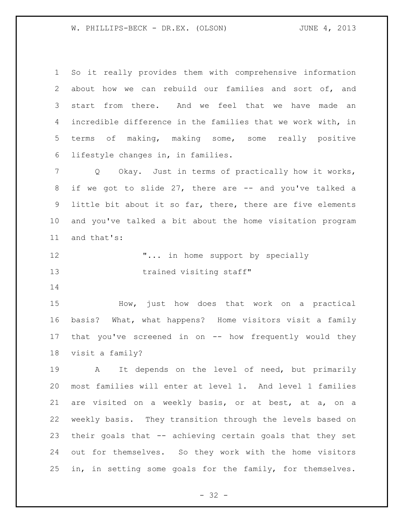So it really provides them with comprehensive information about how we can rebuild our families and sort of, and start from there. And we feel that we have made an incredible difference in the families that we work with, in terms of making, making some, some really positive lifestyle changes in, in families.

 Q Okay. Just in terms of practically how it works, 8 if we got to slide 27, there are -- and you've talked a little bit about it so far, there, there are five elements and you've talked a bit about the home visitation program and that's:

**"...** in home support by specially 13 trained visiting staff"

 How, just how does that work on a practical basis? What, what happens? Home visitors visit a family that you've screened in on -- how frequently would they visit a family?

 A It depends on the level of need, but primarily most families will enter at level 1. And level 1 families are visited on a weekly basis, or at best, at a, on a weekly basis. They transition through the levels based on their goals that -- achieving certain goals that they set out for themselves. So they work with the home visitors in, in setting some goals for the family, for themselves.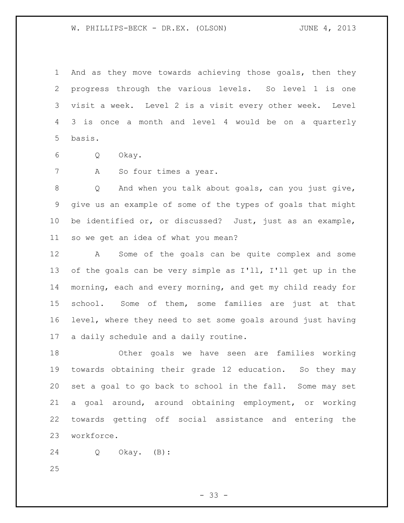And as they move towards achieving those goals, then they progress through the various levels. So level 1 is one visit a week. Level 2 is a visit every other week. Level 3 is once a month and level 4 would be on a quarterly basis.

Q Okay.

7 A So four times a year.

 Q And when you talk about goals, can you just give, give us an example of some of the types of goals that might be identified or, or discussed? Just, just as an example, so we get an idea of what you mean?

 A Some of the goals can be quite complex and some of the goals can be very simple as I'll, I'll get up in the morning, each and every morning, and get my child ready for 15 school. Some of them, some families are just at that level, where they need to set some goals around just having a daily schedule and a daily routine.

 Other goals we have seen are families working towards obtaining their grade 12 education. So they may set a goal to go back to school in the fall. Some may set a goal around, around obtaining employment, or working towards getting off social assistance and entering the workforce.

Q Okay. (B):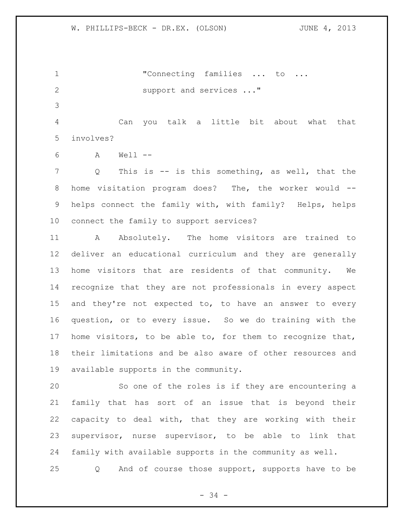1 The metric of the connecting families ... to ... 2 support and services ..."

 Can you talk a little bit about what that involves?

A Well --

 Q This is -- is this something, as well, that the home visitation program does? The, the worker would -- helps connect the family with, with family? Helps, helps connect the family to support services?

 A Absolutely. The home visitors are trained to deliver an educational curriculum and they are generally home visitors that are residents of that community. We recognize that they are not professionals in every aspect and they're not expected to, to have an answer to every question, or to every issue. So we do training with the home visitors, to be able to, for them to recognize that, their limitations and be also aware of other resources and available supports in the community.

 So one of the roles is if they are encountering a family that has sort of an issue that is beyond their capacity to deal with, that they are working with their supervisor, nurse supervisor, to be able to link that family with available supports in the community as well.

Q And of course those support, supports have to be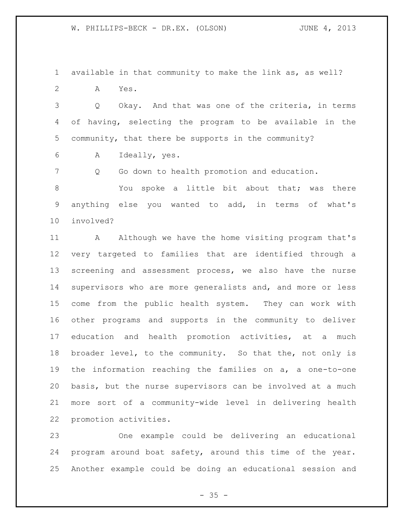available in that community to make the link as, as well?

A Yes.

 Q Okay. And that was one of the criteria, in terms of having, selecting the program to be available in the community, that there be supports in the community?

A Ideally, yes.

Q Go down to health promotion and education.

8 You spoke a little bit about that; was there anything else you wanted to add, in terms of what's involved?

 A Although we have the home visiting program that's very targeted to families that are identified through a screening and assessment process, we also have the nurse supervisors who are more generalists and, and more or less come from the public health system. They can work with other programs and supports in the community to deliver education and health promotion activities, at a much broader level, to the community. So that the, not only is the information reaching the families on a, a one-to-one basis, but the nurse supervisors can be involved at a much more sort of a community-wide level in delivering health promotion activities.

 One example could be delivering an educational program around boat safety, around this time of the year. Another example could be doing an educational session and

 $- 35 -$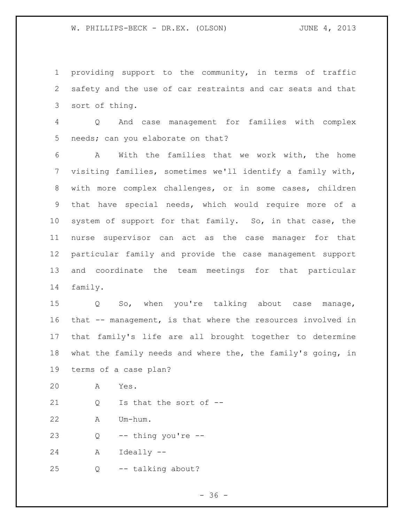providing support to the community, in terms of traffic safety and the use of car restraints and car seats and that sort of thing.

 Q And case management for families with complex needs; can you elaborate on that?

 A With the families that we work with, the home visiting families, sometimes we'll identify a family with, with more complex challenges, or in some cases, children that have special needs, which would require more of a system of support for that family. So, in that case, the nurse supervisor can act as the case manager for that particular family and provide the case management support and coordinate the team meetings for that particular family.

 Q So, when you're talking about case manage, that -- management, is that where the resources involved in that family's life are all brought together to determine what the family needs and where the, the family's going, in terms of a case plan?

- A Yes.
- 21 Q Is that the sort of --

A Um-hum.

Q  $-$  thing you're  $-$ 

A Ideally --

Q -- talking about?

 $- 36 -$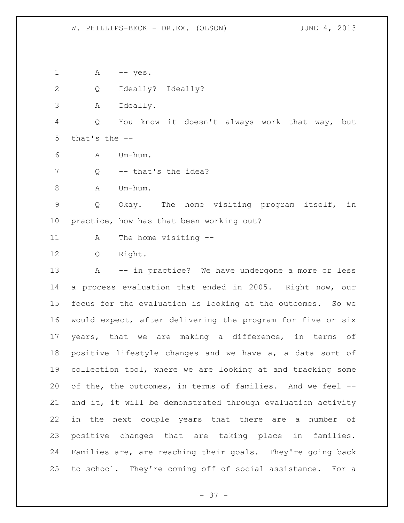1 A -- yes.

2 0 Ideally? Ideally?

A Ideally.

 Q You know it doesn't always work that way, but that's the --

A Um-hum.

7 0 -- that's the idea?

A Um-hum.

 Q Okay. The home visiting program itself, in practice, how has that been working out?

A The home visiting --

Q Right.

 A -- in practice? We have undergone a more or less a process evaluation that ended in 2005. Right now, our focus for the evaluation is looking at the outcomes. So we would expect, after delivering the program for five or six years, that we are making a difference, in terms of positive lifestyle changes and we have a, a data sort of collection tool, where we are looking at and tracking some of the, the outcomes, in terms of families. And we feel -- and it, it will be demonstrated through evaluation activity in the next couple years that there are a number of positive changes that are taking place in families. Families are, are reaching their goals. They're going back to school. They're coming off of social assistance. For a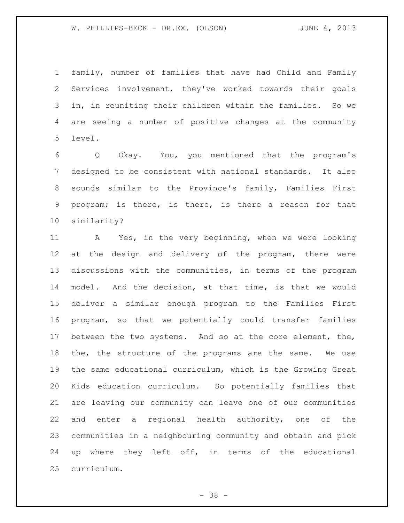family, number of families that have had Child and Family Services involvement, they've worked towards their goals in, in reuniting their children within the families. So we are seeing a number of positive changes at the community level.

 Q Okay. You, you mentioned that the program's designed to be consistent with national standards. It also sounds similar to the Province's family, Families First program; is there, is there, is there a reason for that similarity?

 A Yes, in the very beginning, when we were looking 12 at the design and delivery of the program, there were discussions with the communities, in terms of the program model. And the decision, at that time, is that we would deliver a similar enough program to the Families First program, so that we potentially could transfer families between the two systems. And so at the core element, the, the, the structure of the programs are the same. We use the same educational curriculum, which is the Growing Great Kids education curriculum. So potentially families that are leaving our community can leave one of our communities 22 and enter a regional health authority, one of the communities in a neighbouring community and obtain and pick up where they left off, in terms of the educational curriculum.

- 38 -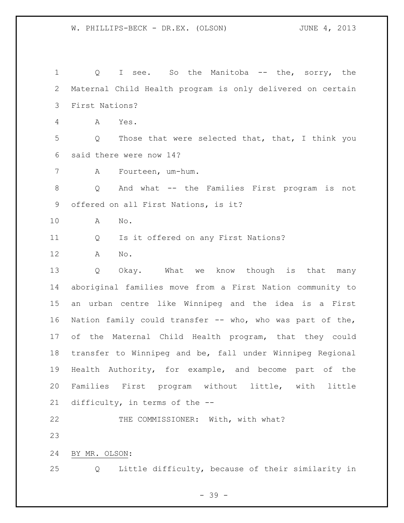1 Q I see. So the Manitoba -- the, sorry, the Maternal Child Health program is only delivered on certain First Nations? A Yes. Q Those that were selected that, that, I think you said there were now 14? A Fourteen, um-hum. Q And what -- the Families First program is not offered on all First Nations, is it? A No. Q Is it offered on any First Nations? A No. Q Okay. What we know though is that many aboriginal families move from a First Nation community to an urban centre like Winnipeg and the idea is a First Nation family could transfer -- who, who was part of the, of the Maternal Child Health program, that they could transfer to Winnipeg and be, fall under Winnipeg Regional Health Authority, for example, and become part of the Families First program without little, with little difficulty, in terms of the -- 22 THE COMMISSIONER: With, with what? BY MR. OLSON: Q Little difficulty, because of their similarity in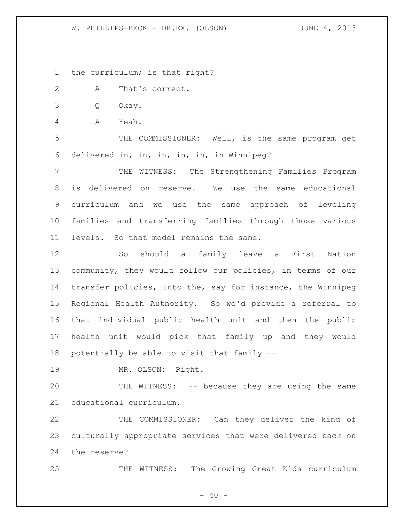the curriculum; is that right?

- A That's correct.
- Q Okay.
- A Yeah.

5 THE COMMISSIONER: Well, is the same program get delivered in, in, in, in, in, in Winnipeg?

 THE WITNESS: The Strengthening Families Program is delivered on reserve. We use the same educational curriculum and we use the same approach of leveling families and transferring families through those various levels. So that model remains the same.

 So should a family leave a First Nation community, they would follow our policies, in terms of our transfer policies, into the, say for instance, the Winnipeg Regional Health Authority. So we'd provide a referral to that individual public health unit and then the public health unit would pick that family up and they would potentially be able to visit that family --

MR. OLSON: Right.

 THE WITNESS: -- because they are using the same educational curriculum.

 THE COMMISSIONER: Can they deliver the kind of culturally appropriate services that were delivered back on the reserve?

THE WITNESS: The Growing Great Kids curriculum

 $- 40 -$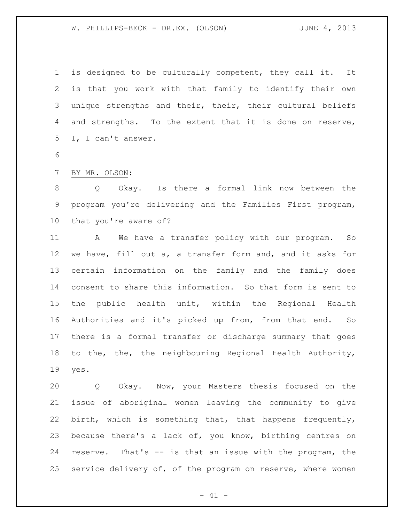is designed to be culturally competent, they call it. It is that you work with that family to identify their own unique strengths and their, their, their cultural beliefs and strengths. To the extent that it is done on reserve, I, I can't answer.

BY MR. OLSON:

8 O Okay. Is there a formal link now between the program you're delivering and the Families First program, that you're aware of?

 A We have a transfer policy with our program. So we have, fill out a, a transfer form and, and it asks for certain information on the family and the family does consent to share this information. So that form is sent to the public health unit, within the Regional Health Authorities and it's picked up from, from that end. So there is a formal transfer or discharge summary that goes to the, the, the neighbouring Regional Health Authority, yes.

 Q Okay. Now, your Masters thesis focused on the issue of aboriginal women leaving the community to give birth, which is something that, that happens frequently, because there's a lack of, you know, birthing centres on reserve. That's -- is that an issue with the program, the service delivery of, of the program on reserve, where women

 $- 41 -$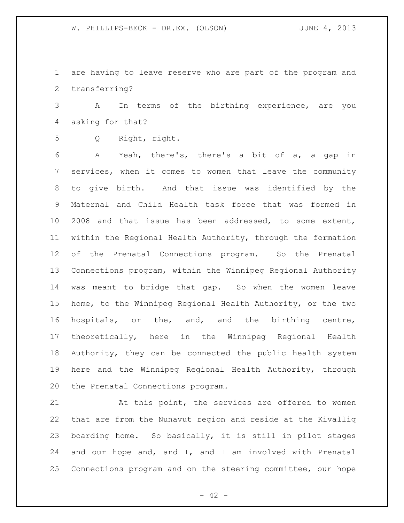are having to leave reserve who are part of the program and transferring?

 A In terms of the birthing experience, are you asking for that?

Q Right, right.

 A Yeah, there's, there's a bit of a, a gap in services, when it comes to women that leave the community to give birth. And that issue was identified by the Maternal and Child Health task force that was formed in 2008 and that issue has been addressed, to some extent, within the Regional Health Authority, through the formation of the Prenatal Connections program. So the Prenatal Connections program, within the Winnipeg Regional Authority was meant to bridge that gap. So when the women leave home, to the Winnipeg Regional Health Authority, or the two hospitals, or the, and, and the birthing centre, theoretically, here in the Winnipeg Regional Health Authority, they can be connected the public health system here and the Winnipeg Regional Health Authority, through the Prenatal Connections program.

 At this point, the services are offered to women that are from the Nunavut region and reside at the Kivalliq boarding home. So basically, it is still in pilot stages and our hope and, and I, and I am involved with Prenatal Connections program and on the steering committee, our hope

 $- 42 -$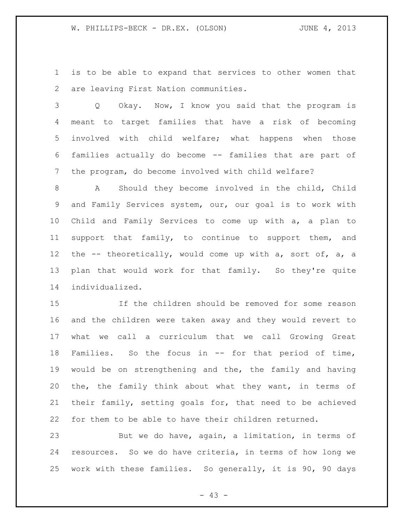is to be able to expand that services to other women that are leaving First Nation communities.

 Q Okay. Now, I know you said that the program is meant to target families that have a risk of becoming involved with child welfare; what happens when those families actually do become -- families that are part of the program, do become involved with child welfare?

 A Should they become involved in the child, Child and Family Services system, our, our goal is to work with Child and Family Services to come up with a, a plan to support that family, to continue to support them, and the -- theoretically, would come up with a, sort of, a, a plan that would work for that family. So they're quite individualized.

 If the children should be removed for some reason and the children were taken away and they would revert to what we call a curriculum that we call Growing Great Families. So the focus in -- for that period of time, would be on strengthening and the, the family and having the, the family think about what they want, in terms of their family, setting goals for, that need to be achieved for them to be able to have their children returned.

 But we do have, again, a limitation, in terms of resources. So we do have criteria, in terms of how long we work with these families. So generally, it is 90, 90 days

 $- 43 -$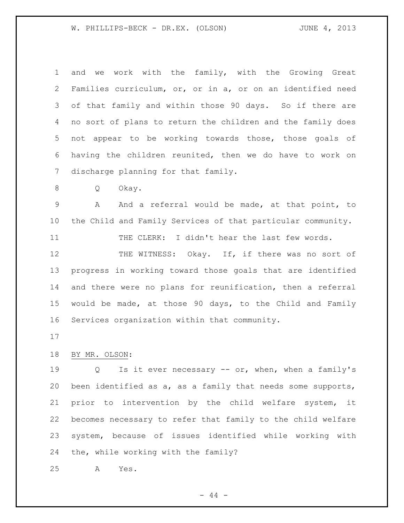and we work with the family, with the Growing Great Families curriculum, or, or in a, or on an identified need of that family and within those 90 days. So if there are no sort of plans to return the children and the family does not appear to be working towards those, those goals of having the children reunited, then we do have to work on discharge planning for that family.

Q Okay.

9 A And a referral would be made, at that point, to the Child and Family Services of that particular community.

THE CLERK: I didn't hear the last few words.

12 THE WITNESS: Okay. If, if there was no sort of progress in working toward those goals that are identified and there were no plans for reunification, then a referral would be made, at those 90 days, to the Child and Family Services organization within that community.

## BY MR. OLSON:

 Q Is it ever necessary -- or, when, when a family's been identified as a, as a family that needs some supports, prior to intervention by the child welfare system, it becomes necessary to refer that family to the child welfare system, because of issues identified while working with the, while working with the family?

A Yes.

 $-44 -$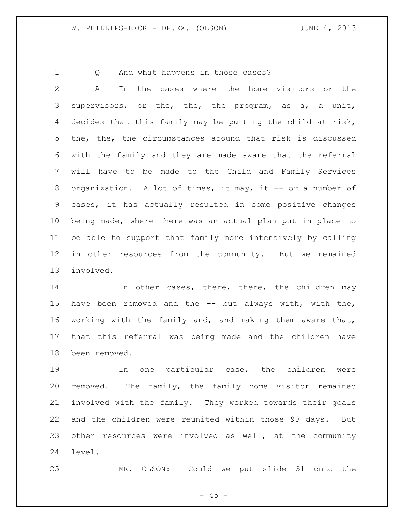1 Q And what happens in those cases?

 A In the cases where the home visitors or the supervisors, or the, the, the program, as a, a unit, decides that this family may be putting the child at risk, the, the, the circumstances around that risk is discussed with the family and they are made aware that the referral will have to be made to the Child and Family Services 8 organization. A lot of times, it may, it -- or a number of cases, it has actually resulted in some positive changes being made, where there was an actual plan put in place to be able to support that family more intensively by calling in other resources from the community. But we remained involved.

14 In other cases, there, there, the children may have been removed and the -- but always with, with the, working with the family and, and making them aware that, that this referral was being made and the children have been removed.

 In one particular case, the children were removed. The family, the family home visitor remained involved with the family. They worked towards their goals and the children were reunited within those 90 days. But other resources were involved as well, at the community level.

MR. OLSON: Could we put slide 31 onto the

 $- 45 -$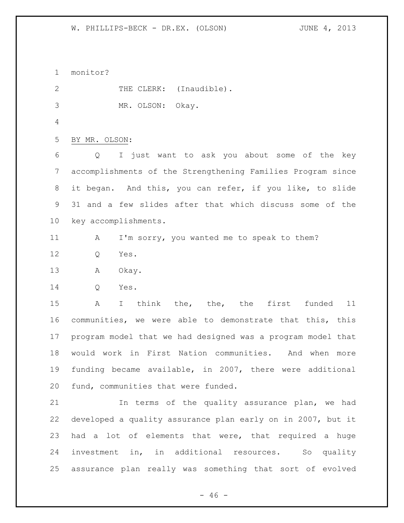monitor? 2 THE CLERK: (Inaudible). MR. OLSON: Okay. BY MR. OLSON: Q I just want to ask you about some of the key accomplishments of the Strengthening Families Program since it began. And this, you can refer, if you like, to slide 31 and a few slides after that which discuss some of the key accomplishments. 11 A I'm sorry, you wanted me to speak to them? Q Yes. A Okay. 14 0 Yes. A I think the, the, the first funded 11 communities, we were able to demonstrate that this, this program model that we had designed was a program model that would work in First Nation communities. And when more funding became available, in 2007, there were additional fund, communities that were funded. In terms of the quality assurance plan, we had developed a quality assurance plan early on in 2007, but it had a lot of elements that were, that required a huge investment in, in additional resources. So quality assurance plan really was something that sort of evolved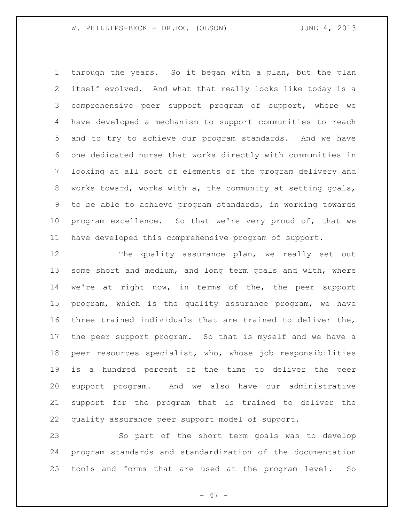through the years. So it began with a plan, but the plan itself evolved. And what that really looks like today is a comprehensive peer support program of support, where we have developed a mechanism to support communities to reach and to try to achieve our program standards. And we have one dedicated nurse that works directly with communities in looking at all sort of elements of the program delivery and works toward, works with a, the community at setting goals, to be able to achieve program standards, in working towards program excellence. So that we're very proud of, that we have developed this comprehensive program of support.

12 The quality assurance plan, we really set out some short and medium, and long term goals and with, where 14 we're at right now, in terms of the, the peer support program, which is the quality assurance program, we have three trained individuals that are trained to deliver the, the peer support program. So that is myself and we have a peer resources specialist, who, whose job responsibilities is a hundred percent of the time to deliver the peer support program. And we also have our administrative support for the program that is trained to deliver the quality assurance peer support model of support.

 So part of the short term goals was to develop program standards and standardization of the documentation tools and forms that are used at the program level. So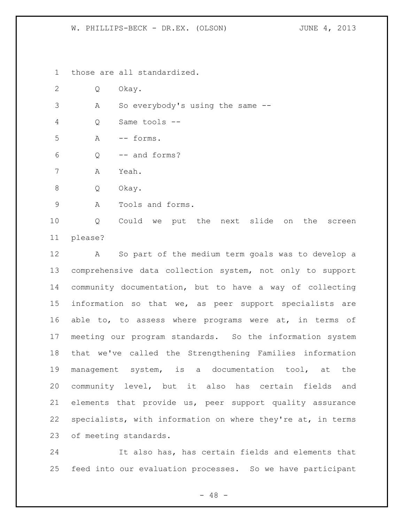those are all standardized.

| 2              | $Q_{\rm max}$ | Okay.                            |
|----------------|---------------|----------------------------------|
| 3              | Α             | So everybody's using the same -- |
| $\overline{4}$ | Q             | Same tools $--$                  |
| 5              | A             | -- forms.                        |
| 6              | Q             | -- and forms?                    |
| 7              | A             | Yeah.                            |
| 8              | Q             | Okay.                            |
| 9              | Α             | Tools and forms.                 |

 Q Could we put the next slide on the screen please?

 A So part of the medium term goals was to develop a comprehensive data collection system, not only to support community documentation, but to have a way of collecting information so that we, as peer support specialists are 16 able to, to assess where programs were at, in terms of meeting our program standards. So the information system that we've called the Strengthening Families information management system, is a documentation tool, at the community level, but it also has certain fields and elements that provide us, peer support quality assurance specialists, with information on where they're at, in terms of meeting standards.

 It also has, has certain fields and elements that feed into our evaluation processes. So we have participant

 $- 48 -$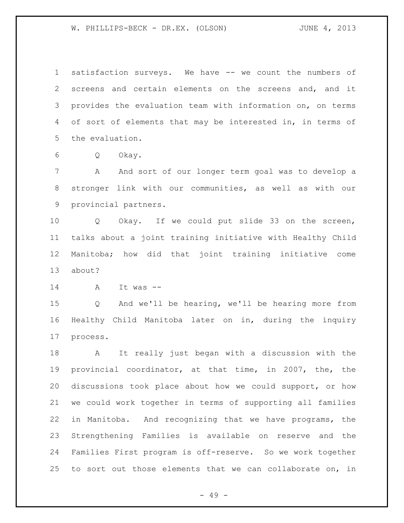satisfaction surveys. We have -- we count the numbers of screens and certain elements on the screens and, and it provides the evaluation team with information on, on terms of sort of elements that may be interested in, in terms of the evaluation.

Q Okay.

 A And sort of our longer term goal was to develop a stronger link with our communities, as well as with our provincial partners.

 Q Okay. If we could put slide 33 on the screen, talks about a joint training initiative with Healthy Child Manitoba; how did that joint training initiative come about?

A It was --

 Q And we'll be hearing, we'll be hearing more from Healthy Child Manitoba later on in, during the inquiry process.

 A It really just began with a discussion with the provincial coordinator, at that time, in 2007, the, the discussions took place about how we could support, or how we could work together in terms of supporting all families in Manitoba. And recognizing that we have programs, the Strengthening Families is available on reserve and the Families First program is off-reserve. So we work together to sort out those elements that we can collaborate on, in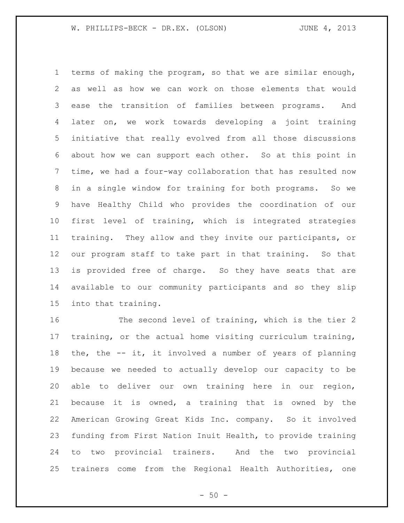terms of making the program, so that we are similar enough, as well as how we can work on those elements that would ease the transition of families between programs. And later on, we work towards developing a joint training initiative that really evolved from all those discussions about how we can support each other. So at this point in time, we had a four-way collaboration that has resulted now in a single window for training for both programs. So we have Healthy Child who provides the coordination of our first level of training, which is integrated strategies training. They allow and they invite our participants, or our program staff to take part in that training. So that is provided free of charge. So they have seats that are available to our community participants and so they slip into that training.

16 The second level of training, which is the tier 2 training, or the actual home visiting curriculum training, the, the -- it, it involved a number of years of planning because we needed to actually develop our capacity to be able to deliver our own training here in our region, because it is owned, a training that is owned by the American Growing Great Kids Inc. company. So it involved funding from First Nation Inuit Health, to provide training to two provincial trainers. And the two provincial trainers come from the Regional Health Authorities, one

 $-50 -$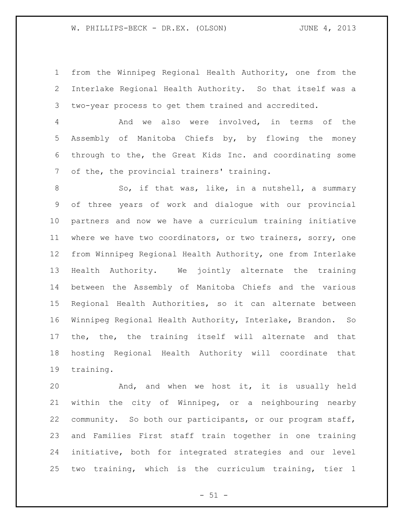from the Winnipeg Regional Health Authority, one from the Interlake Regional Health Authority. So that itself was a two-year process to get them trained and accredited.

 And we also were involved, in terms of the Assembly of Manitoba Chiefs by, by flowing the money through to the, the Great Kids Inc. and coordinating some of the, the provincial trainers' training.

8 So, if that was, like, in a nutshell, a summary of three years of work and dialogue with our provincial partners and now we have a curriculum training initiative where we have two coordinators, or two trainers, sorry, one from Winnipeg Regional Health Authority, one from Interlake Health Authority. We jointly alternate the training between the Assembly of Manitoba Chiefs and the various Regional Health Authorities, so it can alternate between Winnipeg Regional Health Authority, Interlake, Brandon. So the, the, the training itself will alternate and that hosting Regional Health Authority will coordinate that training.

 And, and when we host it, it is usually held within the city of Winnipeg, or a neighbouring nearby community. So both our participants, or our program staff, and Families First staff train together in one training initiative, both for integrated strategies and our level two training, which is the curriculum training, tier 1

 $- 51 -$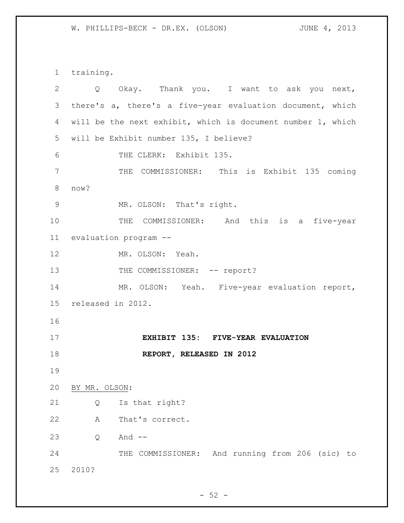training.

| $\overline{2}$ |                   | Q Okay. Thank you. I want to ask you next,                  |
|----------------|-------------------|-------------------------------------------------------------|
| 3              |                   | there's a, there's a five-year evaluation document, which   |
| 4              |                   | will be the next exhibit, which is document number 1, which |
| 5              |                   | will be Exhibit number 135, I believe?                      |
| 6              |                   | THE CLERK: Exhibit 135.                                     |
| 7              |                   | THE COMMISSIONER: This is Exhibit 135 coming                |
| $8\,$          | now?              |                                                             |
| 9              |                   | MR. OLSON: That's right.                                    |
| 10             |                   | THE COMMISSIONER: And this is a<br>five-year                |
| 11             |                   | evaluation program --                                       |
| 12             |                   | MR. OLSON: Yeah.                                            |
| 13             |                   | THE COMMISSIONER: -- report?                                |
| 14             |                   | MR. OLSON: Yeah. Five-year evaluation report,               |
| 15             | released in 2012. |                                                             |
| 16             |                   |                                                             |
| 17             |                   | EXHIBIT 135: FIVE-YEAR EVALUATION                           |
| 18             |                   | REPORT, RELEASED IN 2012                                    |
| 19             |                   |                                                             |
| 20             | BY MR. OLSON:     |                                                             |
| 21             | Q                 | Is that right?                                              |
| 22             | Α                 | That's correct.                                             |
| 23             | Q                 | And $--$                                                    |
| 24             |                   | THE COMMISSIONER: And running from 206 (sic) to             |
| 25             | 2010?             |                                                             |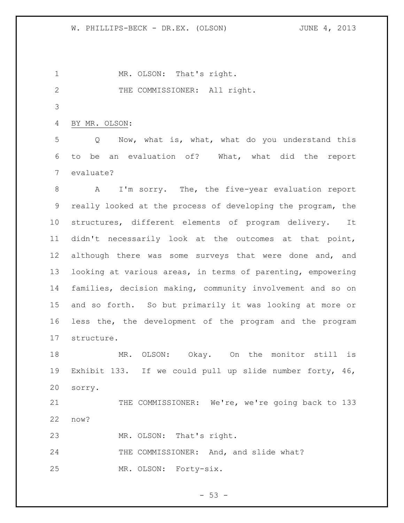1 MR. OLSON: That's right.

2 THE COMMISSIONER: All right.

BY MR. OLSON:

 Q Now, what is, what, what do you understand this to be an evaluation of? What, what did the report evaluate?

 A I'm sorry. The, the five-year evaluation report really looked at the process of developing the program, the structures, different elements of program delivery. It didn't necessarily look at the outcomes at that point, although there was some surveys that were done and, and looking at various areas, in terms of parenting, empowering families, decision making, community involvement and so on and so forth. So but primarily it was looking at more or less the, the development of the program and the program structure.

 MR. OLSON: Okay. On the monitor still is Exhibit 133. If we could pull up slide number forty, 46, sorry.

 THE COMMISSIONER: We're, we're going back to 133 now?

MR. OLSON: That's right.

24 THE COMMISSIONER: And, and slide what?

MR. OLSON: Forty-six.

 $-53 -$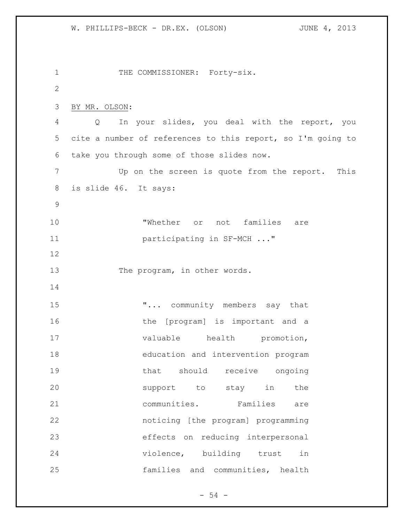1 THE COMMISSIONER: Forty-six.  $\mathcal{P}$  BY MR. OLSON: Q In your slides, you deal with the report, you cite a number of references to this report, so I'm going to take you through some of those slides now. Up on the screen is quote from the report. This is slide 46. It says: "Whether or not families are **participating in SF-MCH ..."**  13 The program, in other words. **"...** community members say that 16 16 16 (program) is important and a 17 valuable health promotion, education and intervention program 19 that should receive ongoing support to stay in the communities. Families are noticing [the program] programming effects on reducing interpersonal violence, building trust in families and communities, health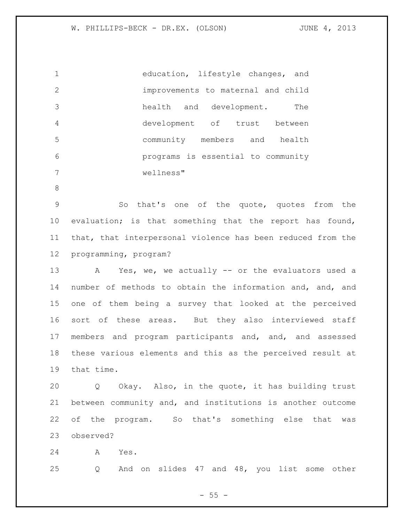education, lifestyle changes, and improvements to maternal and child health and development. The development of trust between community members and health programs is essential to community wellness"

 So that's one of the quote, quotes from the evaluation; is that something that the report has found, that, that interpersonal violence has been reduced from the programming, program?

 A Yes, we, we actually -- or the evaluators used a number of methods to obtain the information and, and, and one of them being a survey that looked at the perceived sort of these areas. But they also interviewed staff members and program participants and, and, and assessed these various elements and this as the perceived result at that time.

 Q Okay. Also, in the quote, it has building trust between community and, and institutions is another outcome of the program. So that's something else that was observed?

A Yes.

Q And on slides 47 and 48, you list some other

 $- 55 -$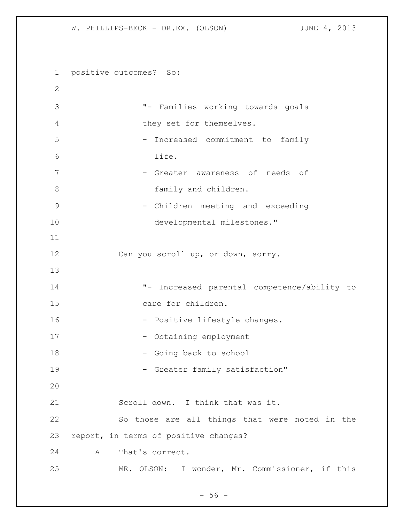positive outcomes? So:  $\mathcal{P}$  "- Families working towards goals they set for themselves. - Increased commitment to family life. 7 - Greater awareness of needs of 8 family and children. 9 - Children meeting and exceeding developmental milestones." Can you scroll up, or down, sorry. "- Increased parental competence/ability to care for children. 16 - Positive lifestyle changes. 17 - Obtaining employment 18 - Going back to school 19 - Greater family satisfaction" Scroll down. I think that was it. So those are all things that were noted in the report, in terms of positive changes? A That's correct. MR. OLSON: I wonder, Mr. Commissioner, if this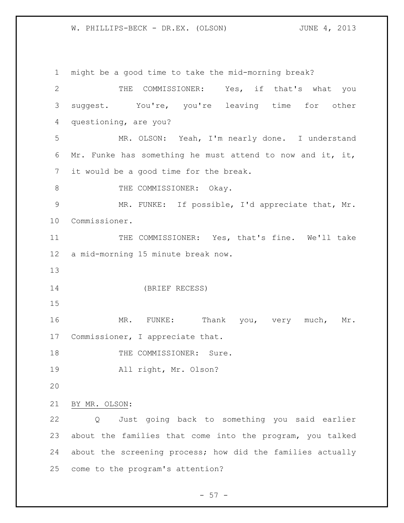might be a good time to take the mid-morning break? THE COMMISSIONER: Yes, if that's what you suggest. You're, you're leaving time for other questioning, are you? MR. OLSON: Yeah, I'm nearly done. I understand Mr. Funke has something he must attend to now and it, it, it would be a good time for the break. 8 THE COMMISSIONER: Okay. MR. FUNKE: If possible, I'd appreciate that, Mr. Commissioner. 11 THE COMMISSIONER: Yes, that's fine. We'll take a mid-morning 15 minute break now. (BRIEF RECESS) 16 MR. FUNKE: Thank you, very much, Mr. Commissioner, I appreciate that. 18 THE COMMISSIONER: Sure. All right, Mr. Olson? BY MR. OLSON: Q Just going back to something you said earlier about the families that come into the program, you talked about the screening process; how did the families actually come to the program's attention?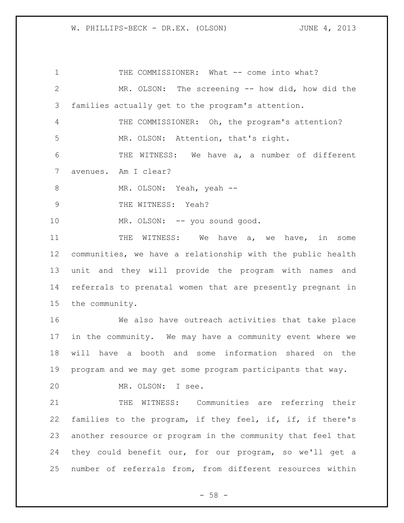1 THE COMMISSIONER: What -- come into what? MR. OLSON: The screening -- how did, how did the families actually get to the program's attention. THE COMMISSIONER: Oh, the program's attention? MR. OLSON: Attention, that's right. THE WITNESS: We have a, a number of different avenues. Am I clear? 8 MR. OLSON: Yeah, yeah -- THE WITNESS: Yeah? MR. OLSON: -- you sound good. 11 THE WITNESS: We have a, we have, in some communities, we have a relationship with the public health unit and they will provide the program with names and referrals to prenatal women that are presently pregnant in the community. We also have outreach activities that take place in the community. We may have a community event where we will have a booth and some information shared on the program and we may get some program participants that way. MR. OLSON: I see. 21 THE WITNESS: Communities are referring their 22 families to the program, if they feel, if, if, if there's another resource or program in the community that feel that they could benefit our, for our program, so we'll get a number of referrals from, from different resources within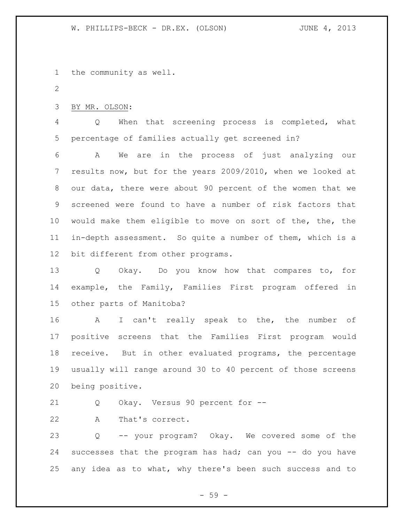the community as well.

 $\mathcal{P}$ 

BY MR. OLSON:

 Q When that screening process is completed, what percentage of families actually get screened in?

 A We are in the process of just analyzing our results now, but for the years 2009/2010, when we looked at our data, there were about 90 percent of the women that we screened were found to have a number of risk factors that would make them eligible to move on sort of the, the, the in-depth assessment. So quite a number of them, which is a bit different from other programs.

 Q Okay. Do you know how that compares to, for example, the Family, Families First program offered in other parts of Manitoba?

 A I can't really speak to the, the number of positive screens that the Families First program would receive. But in other evaluated programs, the percentage usually will range around 30 to 40 percent of those screens being positive.

Q Okay. Versus 90 percent for --

A That's correct.

 Q -- your program? Okay. We covered some of the 24 successes that the program has had; can you -- do you have 25 any idea as to what, why there's been such success and to

- 59 -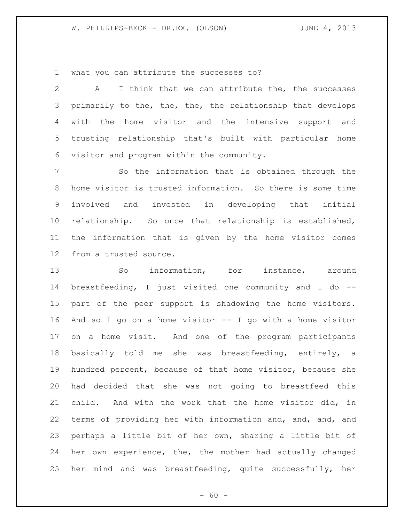what you can attribute the successes to?

 A I think that we can attribute the, the successes primarily to the, the, the, the relationship that develops with the home visitor and the intensive support and trusting relationship that's built with particular home visitor and program within the community.

 So the information that is obtained through the home visitor is trusted information. So there is some time involved and invested in developing that initial relationship. So once that relationship is established, the information that is given by the home visitor comes from a trusted source.

 So information, for instance, around breastfeeding, I just visited one community and I do -- part of the peer support is shadowing the home visitors. And so I go on a home visitor -- I go with a home visitor on a home visit. And one of the program participants basically told me she was breastfeeding, entirely, a hundred percent, because of that home visitor, because she had decided that she was not going to breastfeed this child. And with the work that the home visitor did, in terms of providing her with information and, and, and, and perhaps a little bit of her own, sharing a little bit of her own experience, the, the mother had actually changed her mind and was breastfeeding, quite successfully, her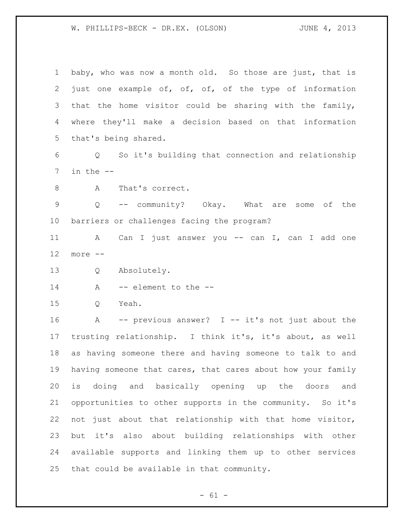baby, who was now a month old. So those are just, that is just one example of, of, of, of the type of information that the home visitor could be sharing with the family, where they'll make a decision based on that information that's being shared.

 Q So it's building that connection and relationship in the --

8 A That's correct.

 Q -- community? Okay. What are some of the barriers or challenges facing the program?

 A Can I just answer you -- can I, can I add one more --

Q Absolutely.

A -- element to the --

Q Yeah.

 A -- previous answer? I -- it's not just about the trusting relationship. I think it's, it's about, as well as having someone there and having someone to talk to and having someone that cares, that cares about how your family is doing and basically opening up the doors and opportunities to other supports in the community. So it's not just about that relationship with that home visitor, but it's also about building relationships with other available supports and linking them up to other services that could be available in that community.

 $- 61 -$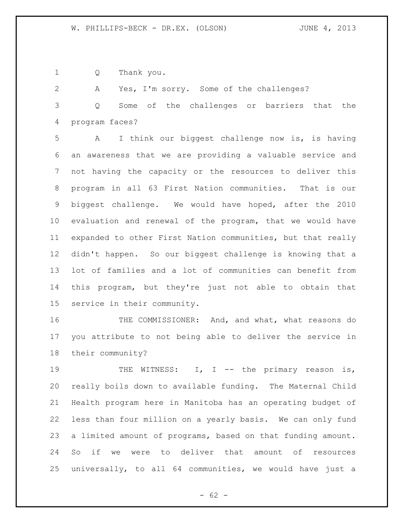Q Thank you.

A Yes, I'm sorry. Some of the challenges?

 Q Some of the challenges or barriers that the program faces?

 A I think our biggest challenge now is, is having an awareness that we are providing a valuable service and not having the capacity or the resources to deliver this program in all 63 First Nation communities. That is our biggest challenge. We would have hoped, after the 2010 evaluation and renewal of the program, that we would have expanded to other First Nation communities, but that really didn't happen. So our biggest challenge is knowing that a lot of families and a lot of communities can benefit from this program, but they're just not able to obtain that service in their community.

 THE COMMISSIONER: And, and what, what reasons do you attribute to not being able to deliver the service in their community?

19 THE WITNESS: I, I -- the primary reason is, really boils down to available funding. The Maternal Child Health program here in Manitoba has an operating budget of less than four million on a yearly basis. We can only fund a limited amount of programs, based on that funding amount. So if we were to deliver that amount of resources universally, to all 64 communities, we would have just a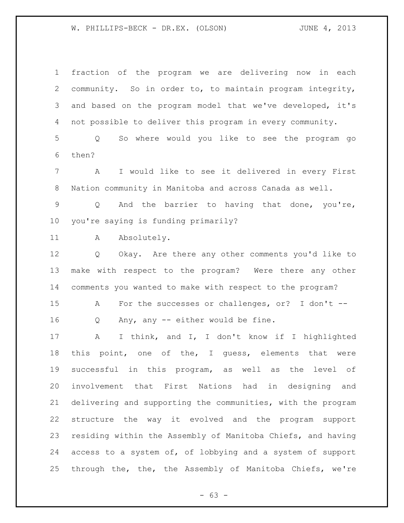fraction of the program we are delivering now in each community. So in order to, to maintain program integrity, and based on the program model that we've developed, it's not possible to deliver this program in every community. Q So where would you like to see the program go then? A I would like to see it delivered in every First Nation community in Manitoba and across Canada as well. Q And the barrier to having that done, you're, you're saying is funding primarily? 11 A Absolutely. Q Okay. Are there any other comments you'd like to make with respect to the program? Were there any other comments you wanted to make with respect to the program? A For the successes or challenges, or? I don't -- Q Any, any -- either would be fine. A I think, and I, I don't know if I highlighted 18 this point, one of the, I quess, elements that were successful in this program, as well as the level of involvement that First Nations had in designing and delivering and supporting the communities, with the program structure the way it evolved and the program support residing within the Assembly of Manitoba Chiefs, and having access to a system of, of lobbying and a system of support through the, the, the Assembly of Manitoba Chiefs, we're

 $- 63 -$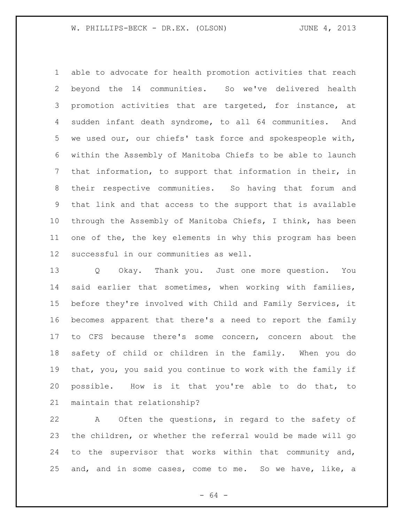able to advocate for health promotion activities that reach beyond the 14 communities. So we've delivered health promotion activities that are targeted, for instance, at sudden infant death syndrome, to all 64 communities. And we used our, our chiefs' task force and spokespeople with, within the Assembly of Manitoba Chiefs to be able to launch that information, to support that information in their, in their respective communities. So having that forum and that link and that access to the support that is available through the Assembly of Manitoba Chiefs, I think, has been one of the, the key elements in why this program has been successful in our communities as well.

 Q Okay. Thank you. Just one more question. You said earlier that sometimes, when working with families, before they're involved with Child and Family Services, it becomes apparent that there's a need to report the family to CFS because there's some concern, concern about the safety of child or children in the family. When you do that, you, you said you continue to work with the family if possible. How is it that you're able to do that, to maintain that relationship?

 A Often the questions, in regard to the safety of the children, or whether the referral would be made will go to the supervisor that works within that community and, and, and in some cases, come to me. So we have, like, a

- 64 -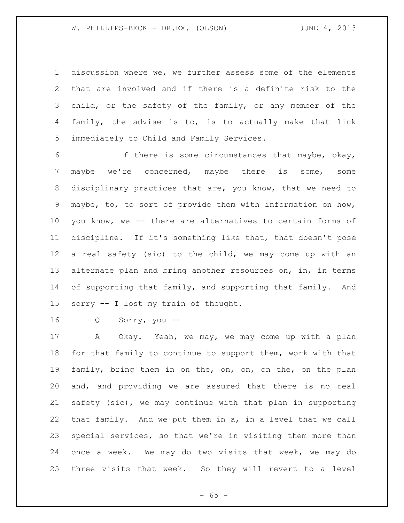discussion where we, we further assess some of the elements that are involved and if there is a definite risk to the child, or the safety of the family, or any member of the family, the advise is to, is to actually make that link immediately to Child and Family Services.

 If there is some circumstances that maybe, okay, maybe we're concerned, maybe there is some, some disciplinary practices that are, you know, that we need to maybe, to, to sort of provide them with information on how, you know, we -- there are alternatives to certain forms of discipline. If it's something like that, that doesn't pose a real safety (sic) to the child, we may come up with an 13 alternate plan and bring another resources on, in, in terms 14 of supporting that family, and supporting that family. And sorry -- I lost my train of thought.

Q Sorry, you --

 A Okay. Yeah, we may, we may come up with a plan for that family to continue to support them, work with that family, bring them in on the, on, on, on the, on the plan and, and providing we are assured that there is no real safety (sic), we may continue with that plan in supporting that family. And we put them in a, in a level that we call special services, so that we're in visiting them more than once a week. We may do two visits that week, we may do three visits that week. So they will revert to a level

 $- 65 -$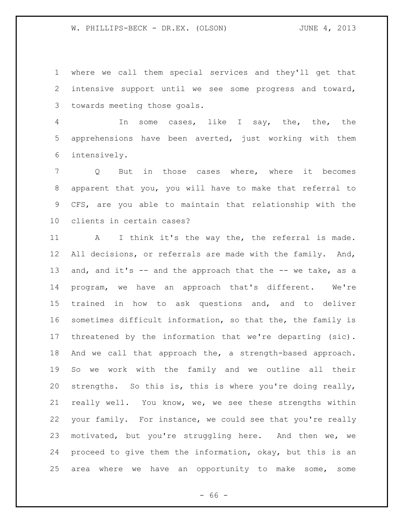where we call them special services and they'll get that intensive support until we see some progress and toward, towards meeting those goals.

 In some cases, like I say, the, the, the apprehensions have been averted, just working with them intensively.

 Q But in those cases where, where it becomes apparent that you, you will have to make that referral to CFS, are you able to maintain that relationship with the clients in certain cases?

 A I think it's the way the, the referral is made. 12 All decisions, or referrals are made with the family. And, 13 and, and it's -- and the approach that the -- we take, as a program, we have an approach that's different. We're trained in how to ask questions and, and to deliver sometimes difficult information, so that the, the family is threatened by the information that we're departing (sic). And we call that approach the, a strength-based approach. So we work with the family and we outline all their strengths. So this is, this is where you're doing really, really well. You know, we, we see these strengths within your family. For instance, we could see that you're really motivated, but you're struggling here. And then we, we proceed to give them the information, okay, but this is an area where we have an opportunity to make some, some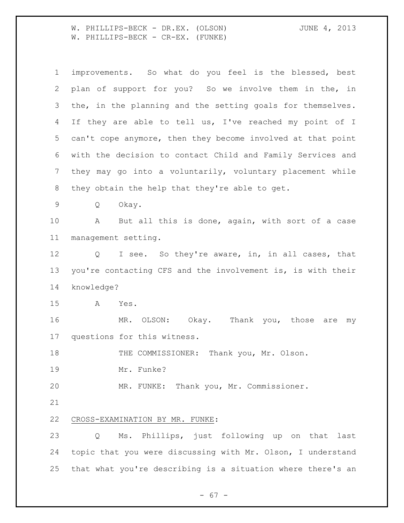W. PHILLIPS-BECK - DR.EX. (OLSON) JUNE 4, 2013 W. PHILLIPS-BECK - CR-EX. (FUNKE)

| 1              | improvements. So what do you feel is the blessed, best      |
|----------------|-------------------------------------------------------------|
| 2              | plan of support for you? So we involve them in the, in      |
| 3              | the, in the planning and the setting goals for themselves.  |
| 4              | If they are able to tell us, I've reached my point of I     |
| 5 <sup>1</sup> | can't cope anymore, then they become involved at that point |
| 6              | with the decision to contact Child and Family Services and  |
| 7              | they may go into a voluntarily, voluntary placement while   |
| 8              | they obtain the help that they're able to get.              |
| $\mathsf 9$    | Okay.<br>Q                                                  |
| 10             | But all this is done, again, with sort of a case<br>Α       |
| 11             | management setting.                                         |
| 12             | I see. So they're aware, in, in all cases, that<br>Q        |
| 13             | you're contacting CFS and the involvement is, is with their |
| 14             | knowledge?                                                  |
| 15             | Α<br>Yes.                                                   |
| 16             | MR. OLSON: Okay. Thank you, those<br>are<br>my              |
| 17             | questions for this witness.                                 |
| 18             | THE COMMISSIONER: Thank you, Mr. Olson.                     |
| 19             | Mr. Funke?                                                  |
| 20             | MR. FUNKE: Thank you, Mr. Commissioner.                     |
| 21             |                                                             |
| 22             | CROSS-EXAMINATION BY MR. FUNKE:                             |
| 23             | Phillips, just following up on that last<br>Q<br>Ms.        |
| 24             | topic that you were discussing with Mr. Olson, I understand |
| 25             | that what you're describing is a situation where there's an |
|                |                                                             |

- 67 -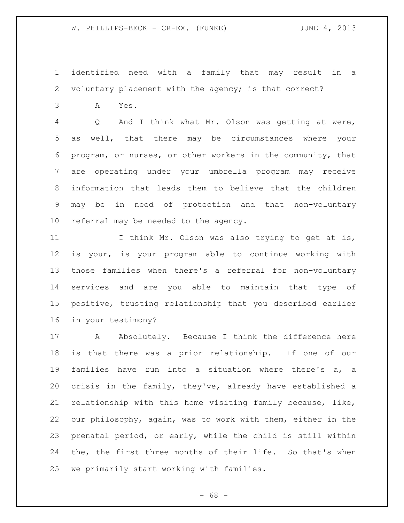## W. PHILLIPS-BECK - CR-EX. (FUNKE) JUNE 4, 2013

 identified need with a family that may result in a voluntary placement with the agency; is that correct?

A Yes.

 Q And I think what Mr. Olson was getting at were, as well, that there may be circumstances where your program, or nurses, or other workers in the community, that are operating under your umbrella program may receive information that leads them to believe that the children may be in need of protection and that non-voluntary referral may be needed to the agency.

 I think Mr. Olson was also trying to get at is, is your, is your program able to continue working with those families when there's a referral for non-voluntary services and are you able to maintain that type of positive, trusting relationship that you described earlier in your testimony?

 A Absolutely. Because I think the difference here is that there was a prior relationship. If one of our families have run into a situation where there's a, a crisis in the family, they've, already have established a relationship with this home visiting family because, like, our philosophy, again, was to work with them, either in the prenatal period, or early, while the child is still within the, the first three months of their life. So that's when we primarily start working with families.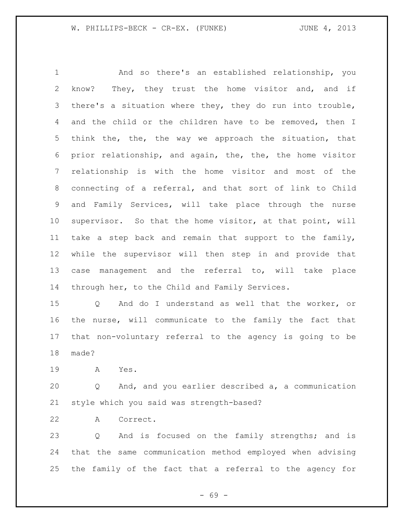And so there's an established relationship, you know? They, they trust the home visitor and, and if there's a situation where they, they do run into trouble, and the child or the children have to be removed, then I think the, the, the way we approach the situation, that prior relationship, and again, the, the, the home visitor relationship is with the home visitor and most of the connecting of a referral, and that sort of link to Child and Family Services, will take place through the nurse supervisor. So that the home visitor, at that point, will take a step back and remain that support to the family, while the supervisor will then step in and provide that case management and the referral to, will take place through her, to the Child and Family Services.

 Q And do I understand as well that the worker, or the nurse, will communicate to the family the fact that that non-voluntary referral to the agency is going to be made?

A Yes.

 Q And, and you earlier described a, a communication style which you said was strength-based?

A Correct.

 Q And is focused on the family strengths; and is that the same communication method employed when advising the family of the fact that a referral to the agency for

- 69 -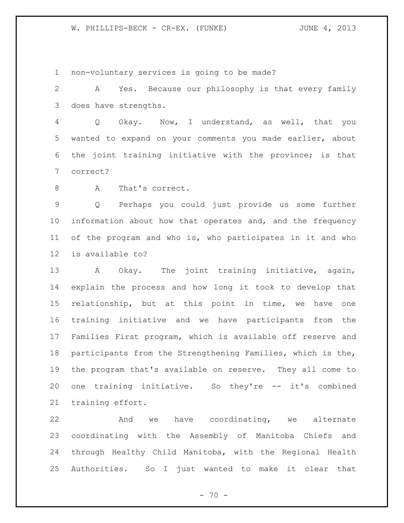non-voluntary services is going to be made?

 A Yes. Because our philosophy is that every family does have strengths.

 Q Okay. Now, I understand, as well, that you wanted to expand on your comments you made earlier, about the joint training initiative with the province; is that correct?

8 A That's correct.

 Q Perhaps you could just provide us some further information about how that operates and, and the frequency of the program and who is, who participates in it and who is available to?

 A Okay. The joint training initiative, again, explain the process and how long it took to develop that relationship, but at this point in time, we have one training initiative and we have participants from the Families First program, which is available off reserve and participants from the Strengthening Families, which is the, the program that's available on reserve. They all come to one training initiative. So they're -- it's combined training effort.

22 And we have coordinating, we alternate coordinating with the Assembly of Manitoba Chiefs and through Healthy Child Manitoba, with the Regional Health Authorities. So I just wanted to make it clear that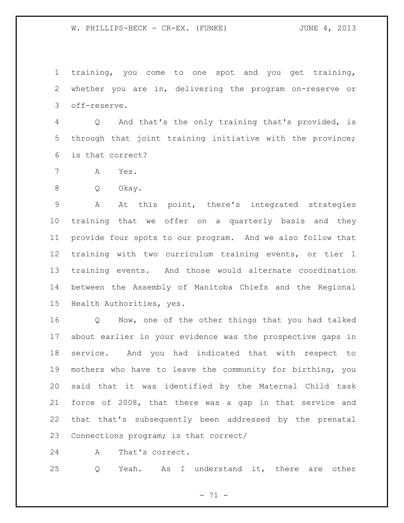training, you come to one spot and you get training, whether you are in, delivering the program on-reserve or off-reserve.

 Q And that's the only training that's provided, is through that joint training initiative with the province; is that correct?

- A Yes.
- Q Okay.

 A At this point, there's integrated strategies training that we offer on a quarterly basis and they provide four spots to our program. And we also follow that training with two curriculum training events, or tier 1 training events. And those would alternate coordination between the Assembly of Manitoba Chiefs and the Regional Health Authorities, yes.

 Q Now, one of the other things that you had talked about earlier in your evidence was the prospective gaps in service. And you had indicated that with respect to mothers who have to leave the community for birthing, you said that it was identified by the Maternal Child task force of 2008, that there was a gap in that service and that that's subsequently been addressed by the prenatal Connections program; is that correct/

A That's correct.

Q Yeah. As I understand it, there are other

 $- 71 -$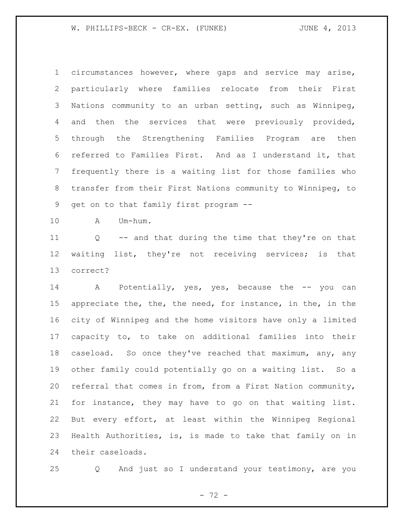circumstances however, where gaps and service may arise, particularly where families relocate from their First Nations community to an urban setting, such as Winnipeg, and then the services that were previously provided, through the Strengthening Families Program are then referred to Families First. And as I understand it, that frequently there is a waiting list for those families who transfer from their First Nations community to Winnipeg, to get on to that family first program --

A Um-hum.

 Q -- and that during the time that they're on that waiting list, they're not receiving services; is that correct?

14 A Potentially, yes, yes, because the -- you can appreciate the, the, the need, for instance, in the, in the city of Winnipeg and the home visitors have only a limited capacity to, to take on additional families into their caseload. So once they've reached that maximum, any, any other family could potentially go on a waiting list. So a referral that comes in from, from a First Nation community, for instance, they may have to go on that waiting list. But every effort, at least within the Winnipeg Regional Health Authorities, is, is made to take that family on in their caseloads.

Q And just so I understand your testimony, are you

- 72 -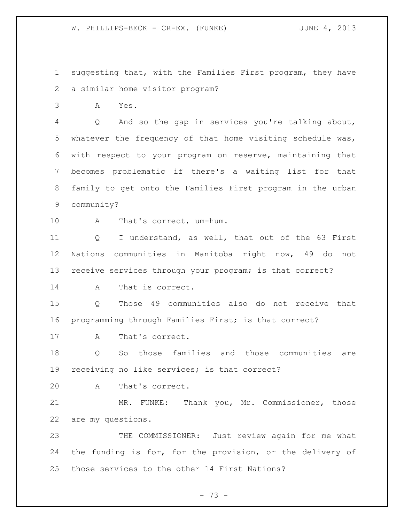suggesting that, with the Families First program, they have a similar home visitor program?

A Yes.

 Q And so the gap in services you're talking about, whatever the frequency of that home visiting schedule was, with respect to your program on reserve, maintaining that becomes problematic if there's a waiting list for that family to get onto the Families First program in the urban community?

A That's correct, um-hum.

 Q I understand, as well, that out of the 63 First Nations communities in Manitoba right now, 49 do not receive services through your program; is that correct?

A That is correct.

 Q Those 49 communities also do not receive that programming through Families First; is that correct?

A That's correct.

18 0 So those families and those communities are receiving no like services; is that correct?

A That's correct.

 MR. FUNKE: Thank you, Mr. Commissioner, those are my questions.

 THE COMMISSIONER: Just review again for me what the funding is for, for the provision, or the delivery of those services to the other 14 First Nations?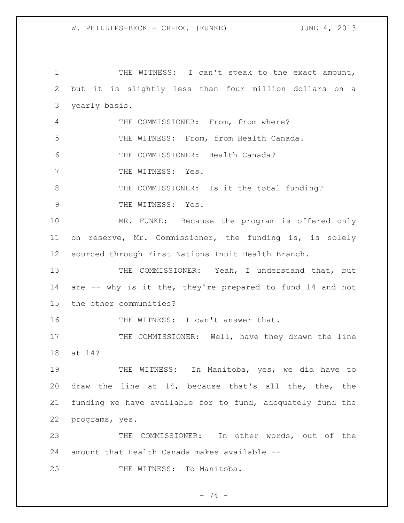1 THE WITNESS: I can't speak to the exact amount, but it is slightly less than four million dollars on a yearly basis. THE COMMISSIONER: From, from where? 5 THE WITNESS: From, from Health Canada. THE COMMISSIONER: Health Canada? 7 THE WITNESS: Yes. 8 THE COMMISSIONER: Is it the total funding? 9 THE WITNESS: Yes. MR. FUNKE: Because the program is offered only on reserve, Mr. Commissioner, the funding is, is solely sourced through First Nations Inuit Health Branch. THE COMMISSIONER: Yeah, I understand that, but are -- why is it the, they're prepared to fund 14 and not the other communities? 16 THE WITNESS: I can't answer that. 17 THE COMMISSIONER: Well, have they drawn the line at 14? THE WITNESS: In Manitoba, yes, we did have to draw the line at 14, because that's all the, the, the funding we have available for to fund, adequately fund the programs, yes. THE COMMISSIONER: In other words, out of the amount that Health Canada makes available -- 25 THE WITNESS: To Manitoba.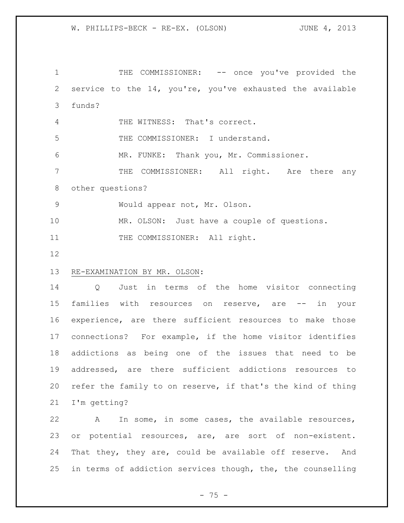W. PHILLIPS-BECK - RE-EX. (OLSON) JUNE 4, 2013

1 THE COMMISSIONER: -- once you've provided the service to the 14, you're, you've exhausted the available funds? THE WITNESS: That's correct. THE COMMISSIONER: I understand. MR. FUNKE: Thank you, Mr. Commissioner. 7 THE COMMISSIONER: All right. Are there any other questions? Would appear not, Mr. Olson. MR. OLSON: Just have a couple of questions. 11 THE COMMISSIONER: All right. RE-EXAMINATION BY MR. OLSON: Q Just in terms of the home visitor connecting families with resources on reserve, are -- in your experience, are there sufficient resources to make those connections? For example, if the home visitor identifies addictions as being one of the issues that need to be addressed, are there sufficient addictions resources to refer the family to on reserve, if that's the kind of thing I'm getting?

 A In some, in some cases, the available resources, or potential resources, are, are sort of non-existent. That they, they are, could be available off reserve. And in terms of addiction services though, the, the counselling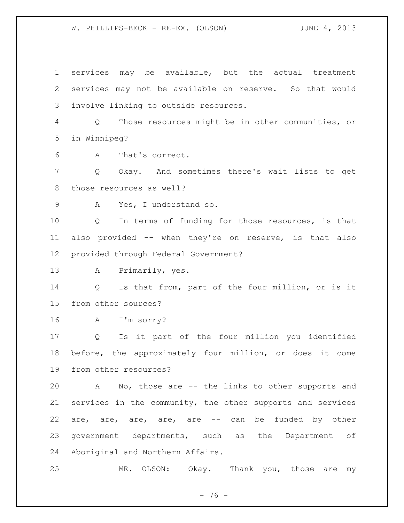W. PHILLIPS-BECK - RE-EX. (OLSON) **JUNE 4, 2013** 

 services may be available, but the actual treatment services may not be available on reserve. So that would involve linking to outside resources. Q Those resources might be in other communities, or in Winnipeg? A That's correct. Q Okay. And sometimes there's wait lists to get those resources as well? A Yes, I understand so. Q In terms of funding for those resources, is that also provided -- when they're on reserve, is that also provided through Federal Government? A Primarily, yes. Q Is that from, part of the four million, or is it from other sources? A I'm sorry? Q Is it part of the four million you identified before, the approximately four million, or does it come from other resources? A No, those are -- the links to other supports and services in the community, the other supports and services are, are, are, are, are -- can be funded by other government departments, such as the Department of Aboriginal and Northern Affairs. MR. OLSON: Okay. Thank you, those are my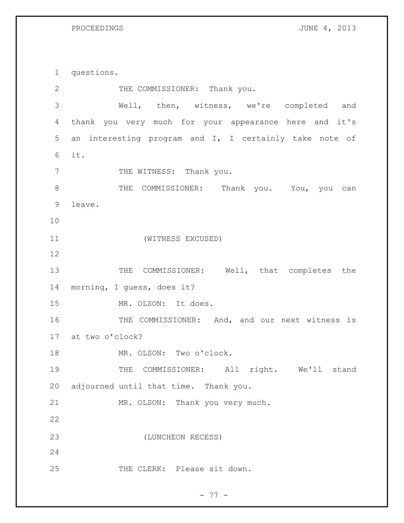PROCEEDINGS **DESIGNATION** OUNE 4, 2013

 questions. 2 THE COMMISSIONER: Thank you. Well, then, witness, we're completed and thank you very much for your appearance here and it's an interesting program and I, I certainly take note of it. 7 THE WITNESS: Thank you. 8 THE COMMISSIONER: Thank you. You, you can leave. (WITNESS EXCUSED) THE COMMISSIONER: Well, that completes the morning, I guess, does it? MR. OLSON: It does. 16 THE COMMISSIONER: And, and our next witness is at two o'clock? 18 MR. OLSON: Two o'clock. 19 THE COMMISSIONER: All right. We'll stand adjourned until that time. Thank you. MR. OLSON: Thank you very much. (LUNCHEON RECESS) 25 THE CLERK: Please sit down.

- 77 -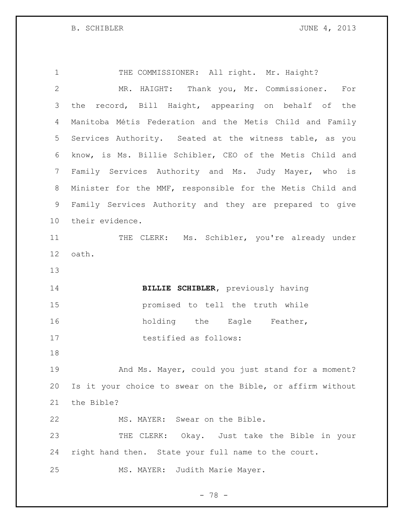B. SCHIBLER JUNE 4, 2013

1 THE COMMISSIONER: All right. Mr. Haight? MR. HAIGHT: Thank you, Mr. Commissioner. For the record, Bill Haight, appearing on behalf of the Manitoba Métis Federation and the Metis Child and Family Services Authority. Seated at the witness table, as you know, is Ms. Billie Schibler, CEO of the Metis Child and Family Services Authority and Ms. Judy Mayer, who is Minister for the MMF, responsible for the Metis Child and Family Services Authority and they are prepared to give their evidence. 11 THE CLERK: Ms. Schibler, you're already under oath. **BILLIE SCHIBLER,** previously having promised to tell the truth while 16 holding the Eagle Feather, testified as follows: 19 And Ms. Mayer, could you just stand for a moment? Is it your choice to swear on the Bible, or affirm without the Bible? MS. MAYER: Swear on the Bible. THE CLERK: Okay. Just take the Bible in your right hand then. State your full name to the court. MS. MAYER: Judith Marie Mayer.

- 78 -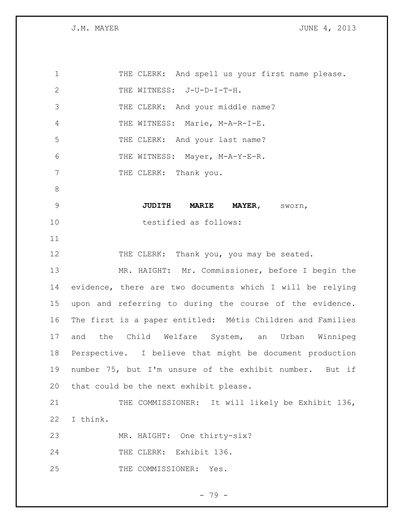J.M. MAYER JUNE 4, 2013

1 THE CLERK: And spell us your first name please. 2 THE WITNESS: J-U-D-I-T-H. THE CLERK: And your middle name? THE WITNESS: Marie, M-A-R-I-E. 5 THE CLERK: And your last name? THE WITNESS: Mayer, M-A-Y-E-R. 7 THE CLERK: Thank you. **JUDITH MARIE MAYER,** sworn, testified as follows: 12 THE CLERK: Thank you, you may be seated. MR. HAIGHT: Mr. Commissioner, before I begin the evidence, there are two documents which I will be relying upon and referring to during the course of the evidence. The first is a paper entitled: Métis Children and Families and the Child Welfare System, an Urban Winnipeg Perspective. I believe that might be document production number 75, but I'm unsure of the exhibit number. But if that could be the next exhibit please. 21 THE COMMISSIONER: It will likely be Exhibit 136, I think. MR. HAIGHT: One thirty-six? 24 THE CLERK: Exhibit 136. 25 THE COMMISSIONER: Yes.

- 79 -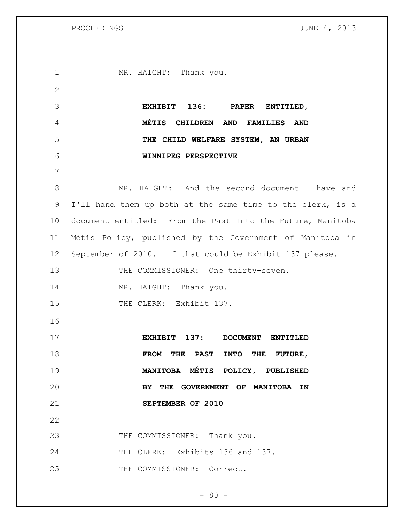PROCEEDINGS **DEVELOPS JUNE 4, 2013** 

1 MR. HAIGHT: Thank you. **EXHIBIT 136: PAPER ENTITLED, MÉTIS CHILDREN AND FAMILIES AND THE CHILD WELFARE SYSTEM, AN URBAN WINNIPEG PERSPECTIVE** MR. HAIGHT: And the second document I have and I'll hand them up both at the same time to the clerk, is a document entitled: From the Past Into the Future, Manitoba Métis Policy, published by the Government of Manitoba in September of 2010. If that could be Exhibit 137 please. 13 THE COMMISSIONER: One thirty-seven. 14 MR. HAIGHT: Thank you. 15 THE CLERK: Exhibit 137. **EXHIBIT 137: DOCUMENT ENTITLED FROM THE PAST INTO THE FUTURE, MANITOBA MÉTIS POLICY, PUBLISHED BY THE GOVERNMENT OF MANITOBA IN SEPTEMBER OF 2010** 23 THE COMMISSIONER: Thank you. 24 THE CLERK: Exhibits 136 and 137. THE COMMISSIONER: Correct.

 $- 80 -$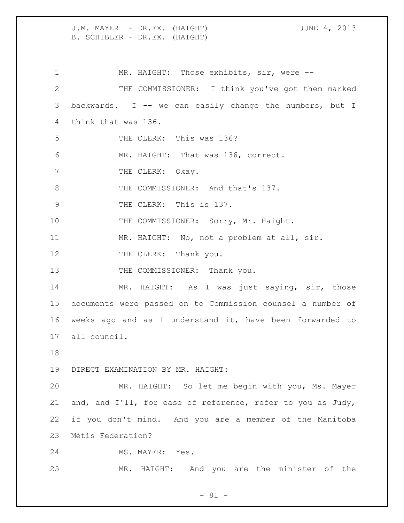1 MR. HAIGHT: Those exhibits, sir, were --2 THE COMMISSIONER: I think you've got them marked 3 backwards. I -- we can easily change the numbers, but I 4 think that was 136. 5 THE CLERK: This was 136? 6 MR. HAIGHT: That was 136, correct. 7 THE CLERK: Okay. 8 THE COMMISSIONER: And that's 137. 9 THE CLERK: This is 137. 10 THE COMMISSIONER: Sorry, Mr. Haight. 11 MR. HAIGHT: No, not a problem at all, sir. 12 THE CLERK: Thank you. 13 THE COMMISSIONER: Thank you. 14 MR. HAIGHT: As I was just saying, sir, those 15 documents were passed on to Commission counsel a number of 16 weeks ago and as I understand it, have been forwarded to 17 all council. 18 19 DIRECT EXAMINATION BY MR. HAIGHT: 20 MR. HAIGHT: So let me begin with you, Ms. Mayer 21 and, and I'll, for ease of reference, refer to you as Judy, 22 if you don't mind. And you are a member of the Manitoba 23 Métis Federation? 24 MS. MAYER: Yes. 25 MR. HAIGHT: And you are the minister of the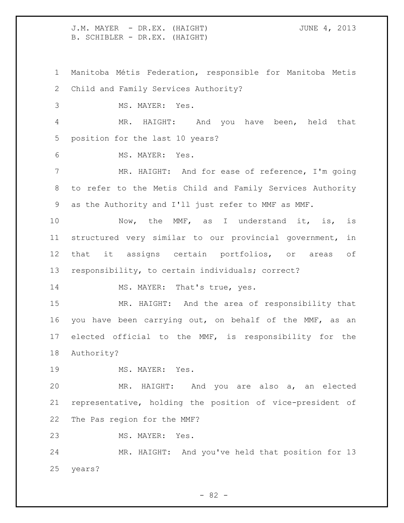Manitoba Métis Federation, responsible for Manitoba Metis Child and Family Services Authority?

MS. MAYER: Yes.

 MR. HAIGHT: And you have been, held that position for the last 10 years?

MS. MAYER: Yes.

 MR. HAIGHT: And for ease of reference, I'm going to refer to the Metis Child and Family Services Authority as the Authority and I'll just refer to MMF as MMF.

10 Mow, the MMF, as I understand it, is, is structured very similar to our provincial government, in that it assigns certain portfolios, or areas of responsibility, to certain individuals; correct?

14 MS. MAYER: That's true, yes.

 MR. HAIGHT: And the area of responsibility that you have been carrying out, on behalf of the MMF, as an elected official to the MMF, is responsibility for the Authority?

MS. MAYER: Yes.

 MR. HAIGHT: And you are also a, an elected representative, holding the position of vice-president of The Pas region for the MMF?

MS. MAYER: Yes.

 MR. HAIGHT: And you've held that position for 13 years?

 $- 82 -$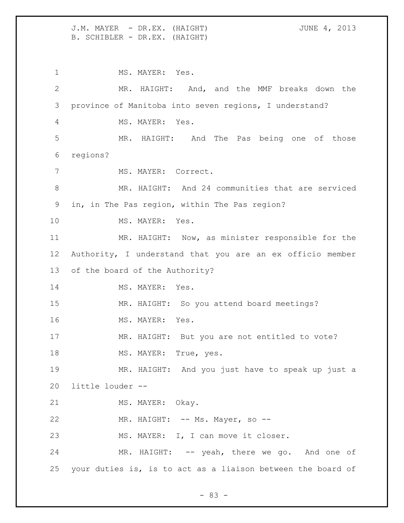1 MS. MAYER: Yes. MR. HAIGHT: And, and the MMF breaks down the province of Manitoba into seven regions, I understand? MS. MAYER: Yes. MR. HAIGHT: And The Pas being one of those regions? 7 MS. MAYER: Correct. MR. HAIGHT: And 24 communities that are serviced in, in The Pas region, within The Pas region? 10 MS. MAYER: Yes. MR. HAIGHT: Now, as minister responsible for the Authority, I understand that you are an ex officio member of the board of the Authority? 14 MS. MAYER: Yes. MR. HAIGHT: So you attend board meetings? 16 MS. MAYER: Yes. MR. HAIGHT: But you are not entitled to vote? 18 MS. MAYER: True, yes. MR. HAIGHT: And you just have to speak up just a little louder -- 21 MS. MAYER: Okay. 22 MR. HAIGHT: -- Ms. Mayer, so -- MS. MAYER: I, I can move it closer. MR. HAIGHT: -- yeah, there we go. And one of your duties is, is to act as a liaison between the board of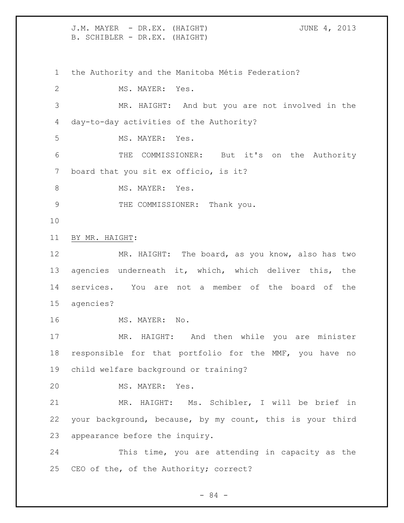J.M. MAYER - DR.EX. (HAIGHT) JUNE 4, 2013 B. SCHIBLER - DR.EX. (HAIGHT) the Authority and the Manitoba Métis Federation? 2 MS. MAYER: Yes. MR. HAIGHT: And but you are not involved in the day-to-day activities of the Authority? MS. MAYER: Yes. THE COMMISSIONER: But it's on the Authority board that you sit ex officio, is it? 8 MS. MAYER: Yes. 9 THE COMMISSIONER: Thank you. BY MR. HAIGHT: MR. HAIGHT: The board, as you know, also has two agencies underneath it, which, which deliver this, the services. You are not a member of the board of the agencies? MS. MAYER: No. MR. HAIGHT: And then while you are minister responsible for that portfolio for the MMF, you have no child welfare background or training? MS. MAYER: Yes. MR. HAIGHT: Ms. Schibler, I will be brief in your background, because, by my count, this is your third appearance before the inquiry. This time, you are attending in capacity as the CEO of the, of the Authority; correct?

- 84 -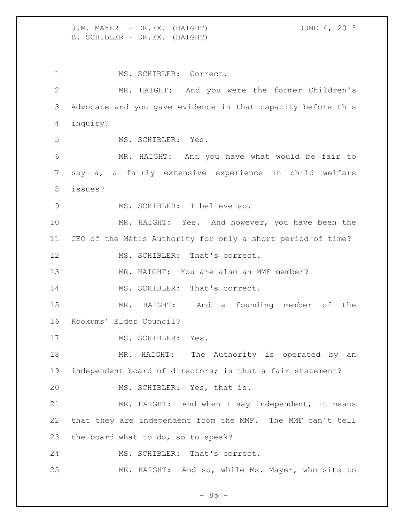1 MS. SCHIBLER: Correct. MR. HAIGHT: And you were the former Children's Advocate and you gave evidence in that capacity before this inquiry? MS. SCHIBLER: Yes. MR. HAIGHT: And you have what would be fair to say a, a fairly extensive experience in child welfare issues? MS. SCHIBLER: I believe so. MR. HAIGHT: Yes. And however, you have been the CEO of the Métis Authority for only a short period of time? 12 MS. SCHIBLER: That's correct. MR. HAIGHT: You are also an MMF member? 14 MS. SCHIBLER: That's correct. MR. HAIGHT: And a founding member of the Kookums' Elder Council? 17 MS. SCHIBLER: Yes. MR. HAIGHT: The Authority is operated by an independent board of directors; is that a fair statement? MS. SCHIBLER: Yes, that is. MR. HAIGHT: And when I say independent, it means that they are independent from the MMF. The MMF can't tell the board what to do, so to speak? MS. SCHIBLER: That's correct. MR. HAIGHT: And so, while Ms. Mayer, who sits to

 $- 85 -$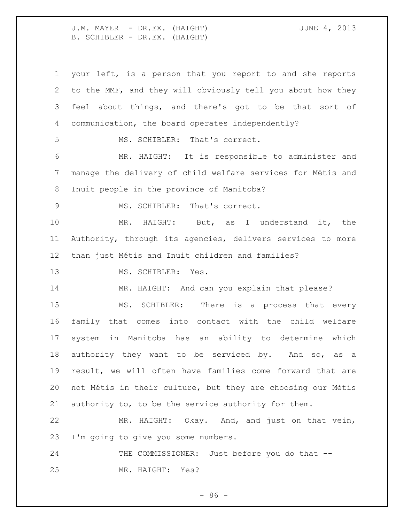your left, is a person that you report to and she reports to the MMF, and they will obviously tell you about how they feel about things, and there's got to be that sort of communication, the board operates independently? MS. SCHIBLER: That's correct. MR. HAIGHT: It is responsible to administer and manage the delivery of child welfare services for Métis and Inuit people in the province of Manitoba? MS. SCHIBLER: That's correct. MR. HAIGHT: But, as I understand it, the Authority, through its agencies, delivers services to more than just Métis and Inuit children and families? MS. SCHIBLER: Yes. MR. HAIGHT: And can you explain that please? MS. SCHIBLER: There is a process that every family that comes into contact with the child welfare system in Manitoba has an ability to determine which 18 authority they want to be serviced by. And so, as a result, we will often have families come forward that are not Métis in their culture, but they are choosing our Métis authority to, to be the service authority for them. MR. HAIGHT: Okay. And, and just on that vein, I'm going to give you some numbers. 24 THE COMMISSIONER: Just before you do that --MR. HAIGHT: Yes?

 $-86 -$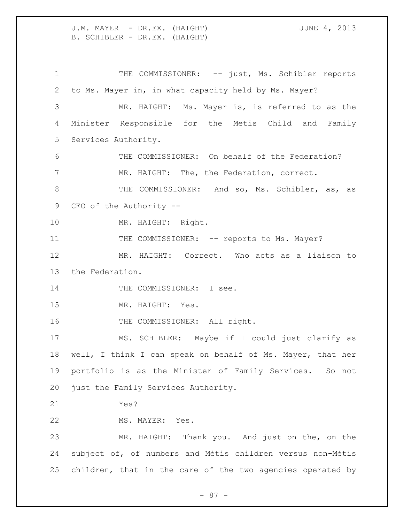1 THE COMMISSIONER: -- just, Ms. Schibler reports to Ms. Mayer in, in what capacity held by Ms. Mayer? MR. HAIGHT: Ms. Mayer is, is referred to as the Minister Responsible for the Metis Child and Family Services Authority. THE COMMISSIONER: On behalf of the Federation? MR. HAIGHT: The, the Federation, correct. THE COMMISSIONER: And so, Ms. Schibler, as, as CEO of the Authority -- MR. HAIGHT: Right. 11 THE COMMISSIONER: -- reports to Ms. Mayer? MR. HAIGHT: Correct. Who acts as a liaison to the Federation. 14 THE COMMISSIONER: I see. MR. HAIGHT: Yes. 16 THE COMMISSIONER: All right. MS. SCHIBLER: Maybe if I could just clarify as well, I think I can speak on behalf of Ms. Mayer, that her portfolio is as the Minister of Family Services. So not just the Family Services Authority. Yes? MS. MAYER: Yes. MR. HAIGHT: Thank you. And just on the, on the subject of, of numbers and Métis children versus non-Métis children, that in the care of the two agencies operated by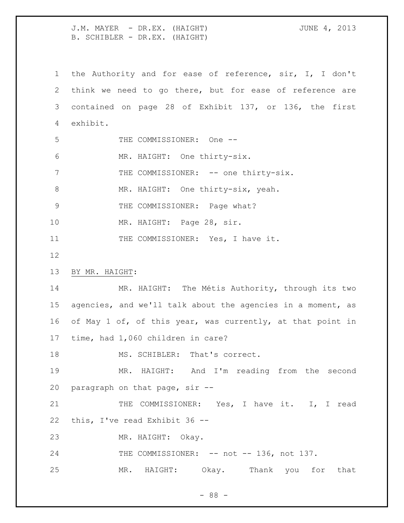1 the Authority and for ease of reference, sir, I, I don't 2 think we need to go there, but for ease of reference are 3 contained on page 28 of Exhibit 137, or 136, the first 4 exhibit. 5 THE COMMISSIONER: One --6 MR. HAIGHT: One thirty-six. 7 THE COMMISSIONER: -- one thirty-six. 8 MR. HAIGHT: One thirty-six, yeah. 9 THE COMMISSIONER: Page what? 10 MR. HAIGHT: Page 28, sir. 11 THE COMMISSIONER: Yes, I have it. 12 13 BY MR. HAIGHT: 14 MR. HAIGHT: The Métis Authority, through its two 15 agencies, and we'll talk about the agencies in a moment, as 16 of May 1 of, of this year, was currently, at that point in 17 time, had 1,060 children in care? 18 MS. SCHIBLER: That's correct. 19 MR. HAIGHT: And I'm reading from the second 20 paragraph on that page, sir -- 21 THE COMMISSIONER: Yes, I have it. I, I read 22 this, I've read Exhibit 36 -- 23 MR. HAIGHT: Okay. 24 THE COMMISSIONER: -- not -- 136, not 137. 25 MR. HAIGHT: Okay. Thank you for that

- 88 -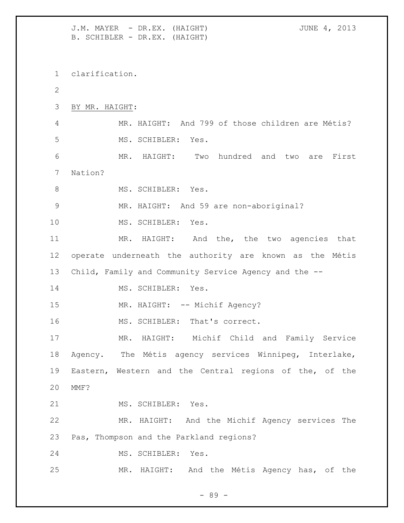J.M. MAYER - DR.EX. (HAIGHT) JUNE 4, 2013 B. SCHIBLER - DR.EX. (HAIGHT) clarification. BY MR. HAIGHT: MR. HAIGHT: And 799 of those children are Métis? MS. SCHIBLER: Yes. MR. HAIGHT: Two hundred and two are First Nation? 8 MS. SCHIBLER: Yes. MR. HAIGHT: And 59 are non-aboriginal? MS. SCHIBLER: Yes. 11 MR. HAIGHT: And the, the two agencies that operate underneath the authority are known as the Métis Child, Family and Community Service Agency and the -- 14 MS. SCHIBLER: Yes. 15 MR. HAIGHT: -- Michif Agency? 16 MS. SCHIBLER: That's correct. MR. HAIGHT: Michif Child and Family Service Agency. The Métis agency services Winnipeg, Interlake, Eastern, Western and the Central regions of the, of the MMF? MS. SCHIBLER: Yes. MR. HAIGHT: And the Michif Agency services The Pas, Thompson and the Parkland regions? MS. SCHIBLER: Yes. MR. HAIGHT: And the Métis Agency has, of the

- 89 -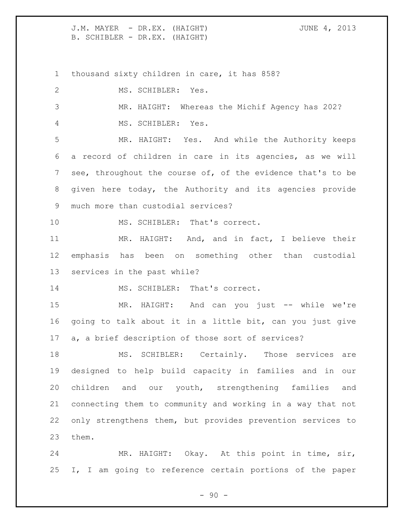thousand sixty children in care, it has 858?

MS. SCHIBLER: Yes.

 MR. HAIGHT: Whereas the Michif Agency has 202? MS. SCHIBLER: Yes.

 MR. HAIGHT: Yes. And while the Authority keeps a record of children in care in its agencies, as we will 7 see, throughout the course of, of the evidence that's to be given here today, the Authority and its agencies provide much more than custodial services?

10 MS. SCHIBLER: That's correct.

11 MR. HAIGHT: And, and in fact, I believe their emphasis has been on something other than custodial services in the past while?

14 MS. SCHIBLER: That's correct.

 MR. HAIGHT: And can you just -- while we're going to talk about it in a little bit, can you just give a, a brief description of those sort of services?

 MS. SCHIBLER: Certainly. Those services are designed to help build capacity in families and in our children and our youth, strengthening families and connecting them to community and working in a way that not only strengthens them, but provides prevention services to them.

 MR. HAIGHT: Okay. At this point in time, sir, I, I am going to reference certain portions of the paper

 $-90 -$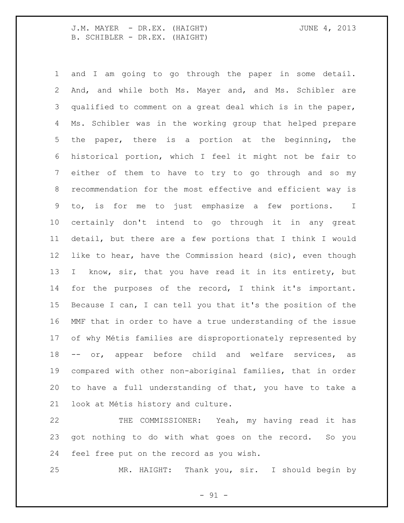and I am going to go through the paper in some detail. And, and while both Ms. Mayer and, and Ms. Schibler are qualified to comment on a great deal which is in the paper, Ms. Schibler was in the working group that helped prepare the paper, there is a portion at the beginning, the historical portion, which I feel it might not be fair to either of them to have to try to go through and so my recommendation for the most effective and efficient way is to, is for me to just emphasize a few portions. I certainly don't intend to go through it in any great detail, but there are a few portions that I think I would like to hear, have the Commission heard (sic), even though I know, sir, that you have read it in its entirety, but for the purposes of the record, I think it's important. Because I can, I can tell you that it's the position of the MMF that in order to have a true understanding of the issue of why Métis families are disproportionately represented by -- or, appear before child and welfare services, as compared with other non-aboriginal families, that in order to have a full understanding of that, you have to take a look at Métis history and culture.

22 THE COMMISSIONER: Yeah, my having read it has got nothing to do with what goes on the record. So you feel free put on the record as you wish.

MR. HAIGHT: Thank you, sir. I should begin by

 $-91 -$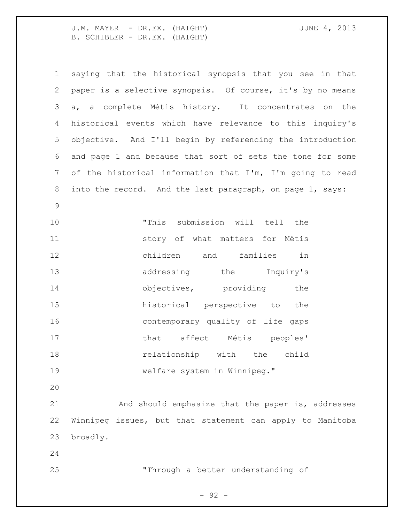| $\mathbf{1}$    | saying that the historical synopsis that you see in that   |
|-----------------|------------------------------------------------------------|
| 2               | paper is a selective synopsis. Of course, it's by no means |
| 3               | a, a complete Métis history. It concentrates on the        |
| 4               | historical events which have relevance to this inquiry's   |
| 5               | objective. And I'll begin by referencing the introduction  |
| 6               | and page 1 and because that sort of sets the tone for some |
| $7\phantom{.0}$ | of the historical information that I'm, I'm going to read  |
| 8               | into the record. And the last paragraph, on page 1, says:  |
| $\mathcal{G}$   |                                                            |
| 10              | "This submission will tell the                             |
| 11              | story of what matters for Métis                            |
| 12              | children and families<br>in                                |
| 13              | addressing the Inquiry's                                   |
| 14              | objectives, providing the                                  |
| 15              | historical perspective to the                              |
| 16              | contemporary quality of life gaps                          |
| 17              | that affect Métis peoples'                                 |
| 18              | relationship with the child                                |
| 19              | welfare system in Winnipeg."                               |
| 20              |                                                            |
| 21              | And should emphasize that the paper is, addresses          |
| 22              | Winnipeg issues, but that statement can apply to Manitoba  |
| 23              | broadly.                                                   |
| 24              |                                                            |
| 25              | "Through a better understanding of                         |

- 92 -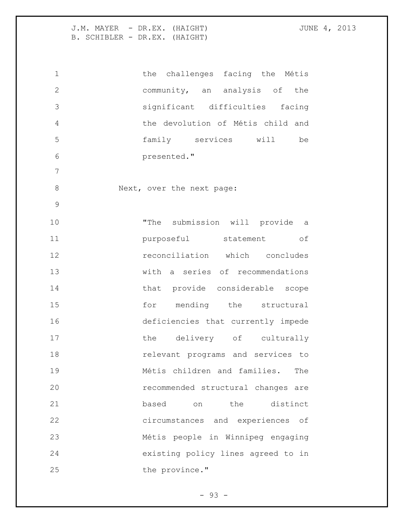| $\mathbf 1$    | the challenges facing the Métis     |
|----------------|-------------------------------------|
| $\overline{2}$ | community, an analysis of the       |
| 3              | significant difficulties facing     |
| 4              | the devolution of Métis child and   |
| 5              | family services will be             |
| 6              | presented."                         |
| 7              |                                     |
| 8              | Next, over the next page:           |
| $\mathsf 9$    |                                     |
| 10             | "The submission will provide a      |
| 11             | purposeful statement of             |
| 12             | reconciliation which concludes      |
| 13             | with a series of recommendations    |
| 14             | that provide considerable scope     |
| 15             | for mending the structural          |
| 16             | deficiencies that currently impede  |
| 17             | the delivery of culturally          |
| 18             | relevant programs and services to   |
| 19             | Métis children and families.<br>The |
| 20             | recommended structural changes are  |
| 21             | based<br>the distinct<br>on         |
| 22             | circumstances and experiences of    |
| 23             | Métis people in Winnipeg engaging   |
| 24             | existing policy lines agreed to in  |
| 25             | the province."                      |

- 93 -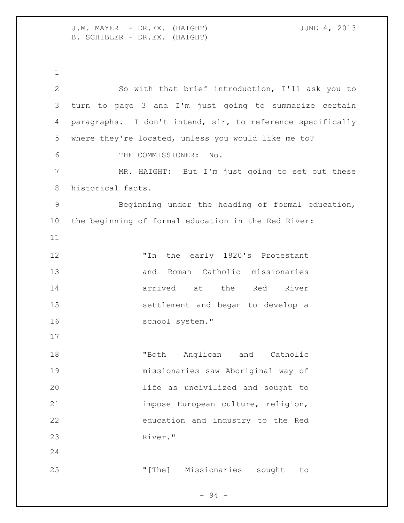So with that brief introduction, I'll ask you to turn to page 3 and I'm just going to summarize certain paragraphs. I don't intend, sir, to reference specifically where they're located, unless you would like me to? THE COMMISSIONER: No. MR. HAIGHT: But I'm just going to set out these historical facts. Beginning under the heading of formal education, the beginning of formal education in the Red River: "In the early 1820's Protestant and Roman Catholic missionaries arrived at the Red River settlement and began to develop a 16 school system." "Both Anglican and Catholic missionaries saw Aboriginal way of life as uncivilized and sought to impose European culture, religion, education and industry to the Red River." "[The] Missionaries sought to

 $-94 -$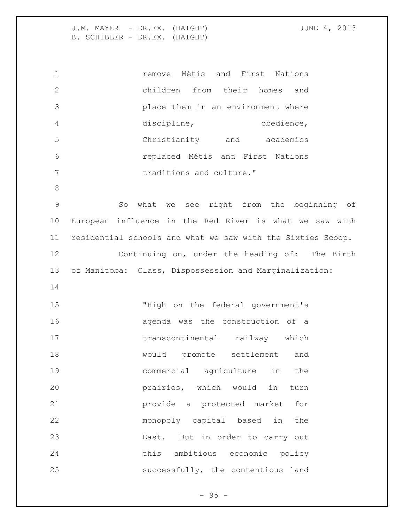| $\mathbf 1$  | remove Métis and First Nations                              |
|--------------|-------------------------------------------------------------|
| $\mathbf{2}$ | children from their homes and                               |
| 3            | place them in an environment where                          |
| 4            | discipline,<br>obedience,                                   |
| 5            | Christianity and academics                                  |
| 6            | replaced Métis and First Nations                            |
| 7            | traditions and culture."                                    |
| $\,8\,$      |                                                             |
| $\mathsf 9$  | So<br>what we see right from the beginning of               |
| 10           | European influence in the Red River is what we saw with     |
| 11           | residential schools and what we saw with the Sixties Scoop. |
| 12           | Continuing on, under the heading of: The Birth              |
| 13           | of Manitoba: Class, Dispossession and Marginalization:      |
| 14           |                                                             |
| 15           | "High on the federal government's                           |
| 16           | agenda was the construction of a                            |
| 17           | transcontinental railway which                              |
| 18           | would promote settlement and                                |
| 19           | commercial agriculture in the                               |
| 20           | prairies, which would in turn                               |
| 21           | provide a protected market for                              |
| 22           | monopoly capital based in the                               |
| 23           | East. But in order to carry out                             |
| 24           | this ambitious economic policy                              |
| 25           | successfully, the contentious land                          |

- 95 -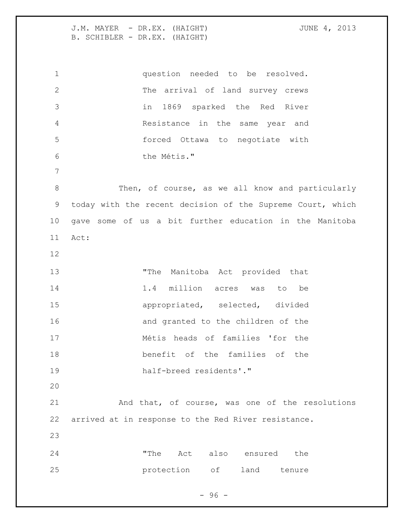question needed to be resolved. The arrival of land survey crews in 1869 sparked the Red River Resistance in the same year and forced Ottawa to negotiate with the Métis." Then, of course, as we all know and particularly today with the recent decision of the Supreme Court, which gave some of us a bit further education in the Manitoba Act: "The Manitoba Act provided that 1.4 million acres was to be appropriated, selected, divided 16 and granted to the children of the Métis heads of families 'for the benefit of the families of the half-breed residents'." 21 And that, of course, was one of the resolutions arrived at in response to the Red River resistance. "The Act also ensured the protection of land tenure

 $-96 -$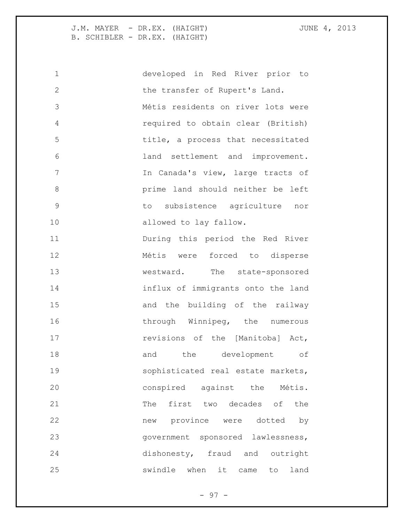developed in Red River prior to 2 the transfer of Rupert's Land. Métis residents on river lots were required to obtain clear (British) title, a process that necessitated land settlement and improvement. 7 12 In Canada's view, large tracts of prime land should neither be left to subsistence agriculture nor 10 allowed to lay fallow. During this period the Red River Métis were forced to disperse 13 westward. The state-sponsored influx of immigrants onto the land and the building of the railway 16 through Winnipeg, the numerous **revisions of the [Manitoba] Act,** 18 and the development of sophisticated real estate markets, conspired against the Métis. The first two decades of the new province were dotted by government sponsored lawlessness, dishonesty, fraud and outright

swindle when it came to land

 $-97 -$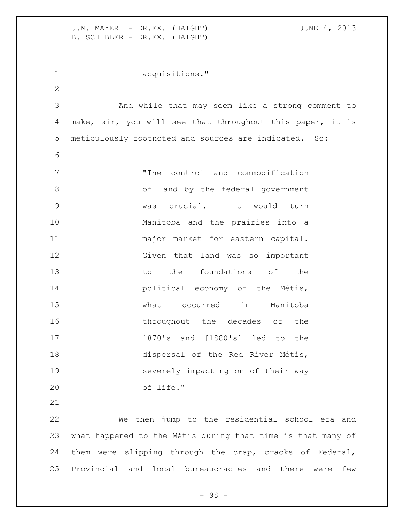acquisitions."  $\mathcal{P}$  And while that may seem like a strong comment to make, sir, you will see that throughout this paper, it is meticulously footnoted and sources are indicated. So: "The control and commodification of land by the federal government was crucial. It would turn Manitoba and the prairies into a major market for eastern capital. Given that land was so important to the foundations of the **political** economy of the Métis, what occurred in Manitoba 16 throughout the decades of the 1870's and [1880's] led to the dispersal of the Red River Métis, severely impacting on of their way of life." 

 We then jump to the residential school era and what happened to the Métis during that time is that many of them were slipping through the crap, cracks of Federal, Provincial and local bureaucracies and there were few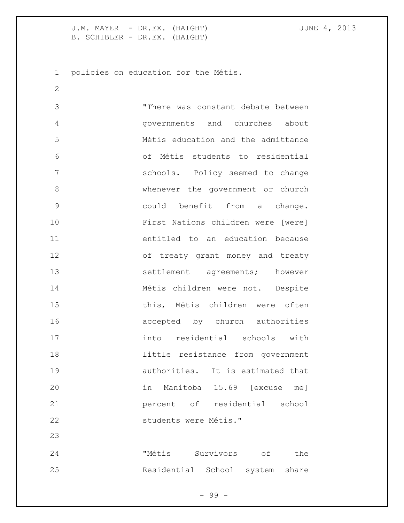policies on education for the Métis.

 $\mathcal{P}$ 

 "There was constant debate between governments and churches about Métis education and the admittance of Métis students to residential schools. Policy seemed to change whenever the government or church could benefit from a change. First Nations children were [were] entitled to an education because of treaty grant money and treaty 13 settlement agreements; however Métis children were not. Despite this, Métis children were often accepted by church authorities into residential schools with little resistance from government authorities. It is estimated that in Manitoba 15.69 [excuse me] percent of residential school students were Métis." 

 "Métis Survivors of the Residential School system share

- 99 -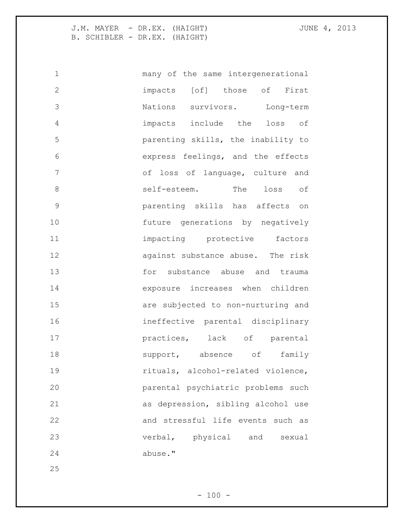many of the same intergenerational impacts [of] those of First Nations survivors. Long-term impacts include the loss of parenting skills, the inability to express feelings, and the effects of loss of language, culture and self-esteem. The loss of parenting skills has affects on future generations by negatively impacting protective factors **against substance abuse.** The risk for substance abuse and trauma exposure increases when children are subjected to non-nurturing and ineffective parental disciplinary **practices**, lack of parental 18 support, absence of family rituals, alcohol-related violence, parental psychiatric problems such as depression, sibling alcohol use and stressful life events such as verbal, physical and sexual abuse."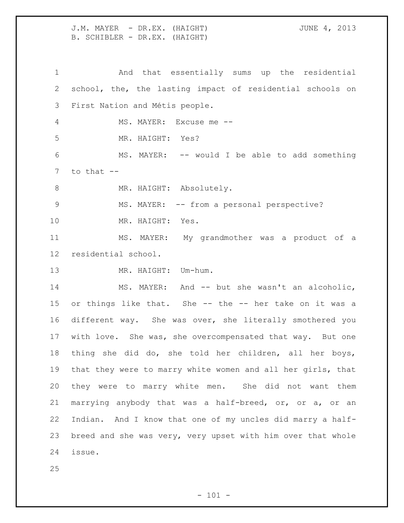And that essentially sums up the residential school, the, the lasting impact of residential schools on First Nation and Métis people. 4 MS. MAYER: Excuse me -- MR. HAIGHT: Yes? MS. MAYER: -- would I be able to add something to that -- 8 MR. HAIGHT: Absolutely. 9 MS. MAYER: -- from a personal perspective? 10 MR. HAIGHT: Yes. MS. MAYER: My grandmother was a product of a residential school. MR. HAIGHT: Um-hum. MS. MAYER: And -- but she wasn't an alcoholic, or things like that. She -- the -- her take on it was a different way. She was over, she literally smothered you with love. She was, she overcompensated that way. But one thing she did do, she told her children, all her boys, that they were to marry white women and all her girls, that they were to marry white men. She did not want them marrying anybody that was a half-breed, or, or a, or an Indian. And I know that one of my uncles did marry a half- breed and she was very, very upset with him over that whole issue.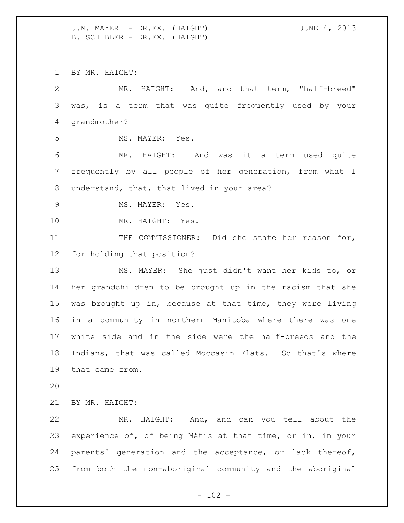BY MR. HAIGHT:

| 2               | MR. HAIGHT: And, and that term, "half-breed"               |
|-----------------|------------------------------------------------------------|
| 3               | was, is a term that was quite frequently used by your      |
| 4               | grandmother?                                               |
| 5               | MS. MAYER: Yes.                                            |
| 6               | MR.<br>HAIGHT: And was<br>it a term used quite             |
| 7               | frequently by all people of her generation, from what I    |
| 8               | understand, that, that lived in your area?                 |
| 9               | MS. MAYER: Yes.                                            |
| 10              | MR. HAIGHT: Yes.                                           |
| 11              | THE COMMISSIONER: Did she state her reason for,            |
| 12 <sup>°</sup> | for holding that position?                                 |
| 13              | MS. MAYER: She just didn't want her kids to, or            |
| 14              | her grandchildren to be brought up in the racism that she  |
| 15              | was brought up in, because at that time, they were living  |
| 16              | in a community in northern Manitoba where there was one    |
| 17              | white side and in the side were the half-breeds and the    |
| 18              | Indians, that was called Moccasin Flats. So that's where   |
| 19              | that came from.                                            |
| 20              |                                                            |
| 21              | BY MR. HAIGHT:                                             |
| 22              | HAIGHT: And, and can you tell about the<br>MR.             |
| 23              | experience of, of being Métis at that time, or in, in your |
| 24              | parents' generation and the acceptance, or lack thereof,   |
| 25              | from both the non-aboriginal community and the aboriginal  |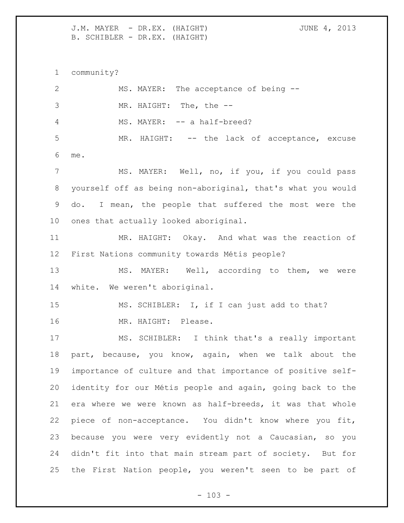community?

| $\mathbf{2}$   | MS. MAYER: The acceptance of being --                       |
|----------------|-------------------------------------------------------------|
| $\mathcal{S}$  | MR. HAIGHT: The, the --                                     |
| $\overline{4}$ | MS. MAYER: -- a half-breed?                                 |
| 5              | MR. HAIGHT: -- the lack of acceptance, excuse               |
| 6              | me.                                                         |
| 7              | MS. MAYER: Well, no, if you, if you could pass              |
| 8              | yourself off as being non-aboriginal, that's what you would |
| $\mathsf 9$    | I mean, the people that suffered the most were the<br>do.   |
| 10             | ones that actually looked aboriginal.                       |
| 11             | MR. HAIGHT: Okay. And what was the reaction of              |
| 12             | First Nations community towards Métis people?               |
| 13             | MS. MAYER: Well, according to them, we were                 |
| 14             | white. We weren't aboriginal.                               |
| 15             | MS. SCHIBLER: I, if I can just add to that?                 |
| 16             | MR. HAIGHT: Please.                                         |
| 17             | MS. SCHIBLER: I think that's a really important             |
| 18             | part, because, you know, again, when we talk about the      |
| 19             | importance of culture and that importance of positive self- |
| 20             | identity for our Métis people and again, going back to the  |
| 21             | era where we were known as half-breeds, it was that whole   |
| 22             | piece of non-acceptance. You didn't know where you fit,     |
| 23             | because you were very evidently not a Caucasian, so you     |
| 24             | didn't fit into that main stream part of society. But for   |
| 25             | the First Nation people, you weren't seen to be part of     |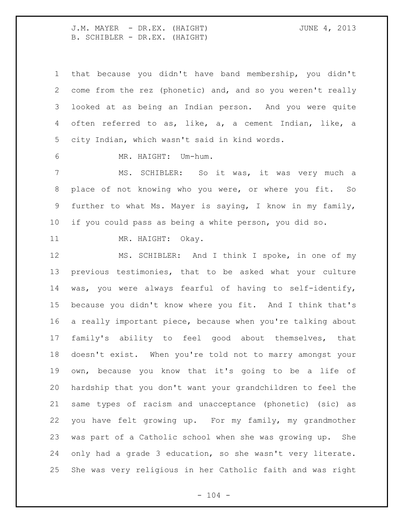| $\mathbf 1$    | that because you didn't have band membership, you didn't    |
|----------------|-------------------------------------------------------------|
| 2              | come from the rez (phonetic) and, and so you weren't really |
| 3              | looked at as being an Indian person. And you were quite     |
| 4              | often referred to as, like, a, a cement Indian, like, a     |
| 5              | city Indian, which wasn't said in kind words.               |
| 6              | MR. HAIGHT: Um-hum.                                         |
| $7\phantom{.}$ | MS. SCHIBLER: So it was, it was very much a                 |
| $8\,$          | place of not knowing who you were, or where you fit. So     |
| 9              | further to what Ms. Mayer is saying, I know in my family,   |
| 10             | if you could pass as being a white person, you did so.      |
| 11             | MR. HAIGHT: Okay.                                           |
| 12             | MS. SCHIBLER: And I think I spoke, in one of my             |
| 13             | previous testimonies, that to be asked what your culture    |
| 14             | was, you were always fearful of having to self-identify,    |
| 15             | because you didn't know where you fit. And I think that's   |
| 16             | a really important piece, because when you're talking about |
| 17             | family's ability to feel good about themselves, that        |
| 18             | doesn't exist. When you're told not to marry amongst your   |
| 19             | own, because you know that it's going to be a life of       |
| 20             | hardship that you don't want your grandchildren to feel the |
| 21             | same types of racism and unacceptance (phonetic) (sic) as   |
| 22             | you have felt growing up. For my family, my grandmother     |
| 23             | was part of a Catholic school when she was growing up. She  |
| 24             | only had a grade 3 education, so she wasn't very literate.  |
| 25             | She was very religious in her Catholic faith and was right  |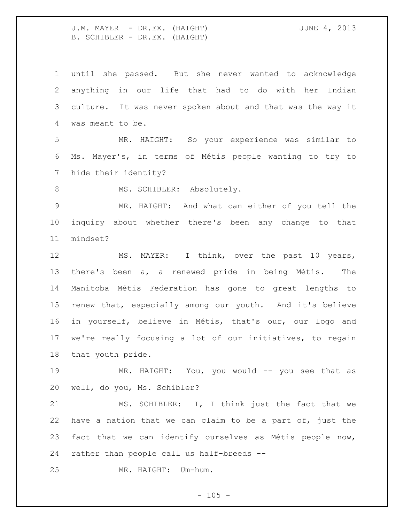until she passed. But she never wanted to acknowledge anything in our life that had to do with her Indian culture. It was never spoken about and that was the way it was meant to be.

 MR. HAIGHT: So your experience was similar to Ms. Mayer's, in terms of Métis people wanting to try to hide their identity?

8 MS. SCHIBLER: Absolutely.

 MR. HAIGHT: And what can either of you tell the inquiry about whether there's been any change to that mindset?

 MS. MAYER: I think, over the past 10 years, there's been a, a renewed pride in being Métis. The Manitoba Métis Federation has gone to great lengths to renew that, especially among our youth. And it's believe in yourself, believe in Métis, that's our, our logo and we're really focusing a lot of our initiatives, to regain that youth pride.

 MR. HAIGHT: You, you would -- you see that as well, do you, Ms. Schibler?

21 MS. SCHIBLER: I, I think just the fact that we have a nation that we can claim to be a part of, just the fact that we can identify ourselves as Métis people now, rather than people call us half-breeds --

MR. HAIGHT: Um-hum.

 $- 105 -$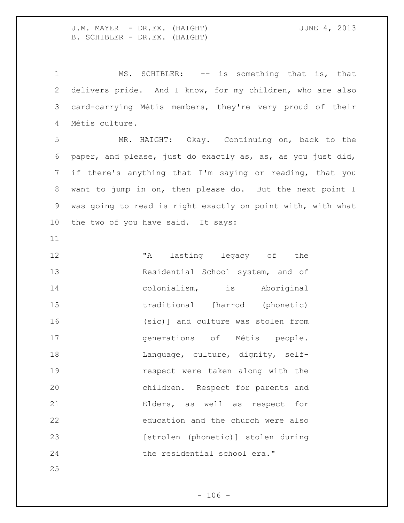1 MS. SCHIBLER: -- is something that is, that delivers pride. And I know, for my children, who are also card-carrying Métis members, they're very proud of their Métis culture. MR. HAIGHT: Okay. Continuing on, back to the paper, and please, just do exactly as, as, as you just did, if there's anything that I'm saying or reading, that you want to jump in on, then please do. But the next point I was going to read is right exactly on point with, with what the two of you have said. It says: 12 TA lasting legacy of the 13 Residential School system, and of colonialism, is Aboriginal traditional [harrod (phonetic) (sic)] and culture was stolen from generations of Métis people. 18 Language, culture, dignity, self- respect were taken along with the children. Respect for parents and Elders, as well as respect for education and the church were also [strolen (phonetic)] stolen during 24 the residential school era."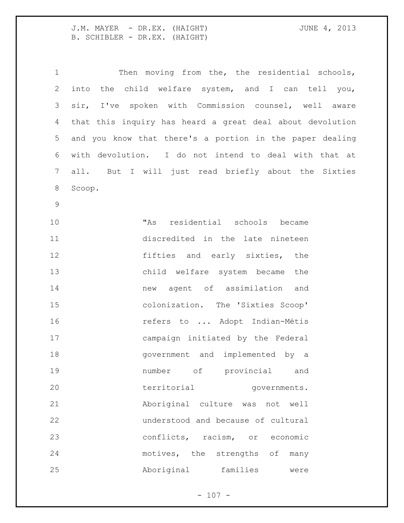1 Then moving from the, the residential schools, into the child welfare system, and I can tell you, sir, I've spoken with Commission counsel, well aware that this inquiry has heard a great deal about devolution and you know that there's a portion in the paper dealing with devolution. I do not intend to deal with that at all. But I will just read briefly about the Sixties Scoop. "As residential schools became discredited in the late nineteen fifties and early sixties, the child welfare system became the new agent of assimilation and colonization. The 'Sixties Scoop' **refers to ...** Adopt Indian-Métis campaign initiated by the Federal government and implemented by a number of provincial and 20 territorial governments. Aboriginal culture was not well understood and because of cultural conflicts, racism, or economic motives, the strengths of many Aboriginal families were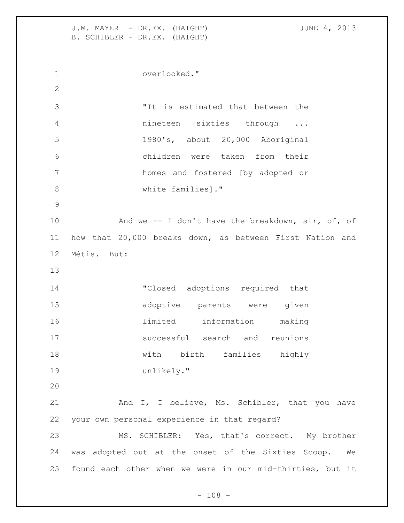J.M. MAYER - DR.EX. (HAIGHT) JUNE 4, 2013 B. SCHIBLER - DR.EX. (HAIGHT) overlooked."  $\mathcal{P}$  "It is estimated that between the nineteen sixties through ... 1980's, about 20,000 Aboriginal children were taken from their homes and fostered [by adopted or 8 white families]." And we -- I don't have the breakdown, sir, of, of how that 20,000 breaks down, as between First Nation and Métis. But: "Closed adoptions required that adoptive parents were given limited information making 17 successful search and reunions with birth families highly unlikely." 21 And I, I believe, Ms. Schibler, that you have your own personal experience in that regard? MS. SCHIBLER: Yes, that's correct. My brother was adopted out at the onset of the Sixties Scoop. We found each other when we were in our mid-thirties, but it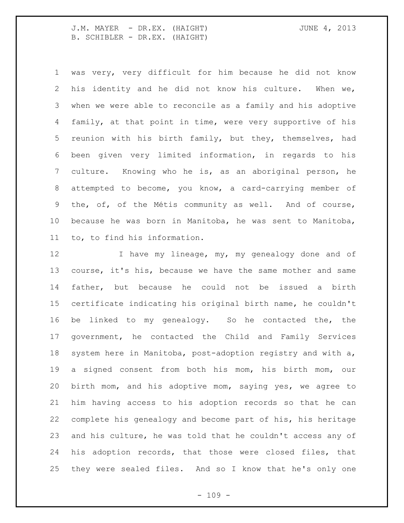was very, very difficult for him because he did not know his identity and he did not know his culture. When we, when we were able to reconcile as a family and his adoptive family, at that point in time, were very supportive of his reunion with his birth family, but they, themselves, had been given very limited information, in regards to his culture. Knowing who he is, as an aboriginal person, he attempted to become, you know, a card-carrying member of the, of, of the Métis community as well. And of course, because he was born in Manitoba, he was sent to Manitoba, to, to find his information.

12 I have my lineage, my, my genealogy done and of course, it's his, because we have the same mother and same father, but because he could not be issued a birth certificate indicating his original birth name, he couldn't be linked to my genealogy. So he contacted the, the government, he contacted the Child and Family Services system here in Manitoba, post-adoption registry and with a, a signed consent from both his mom, his birth mom, our birth mom, and his adoptive mom, saying yes, we agree to him having access to his adoption records so that he can complete his genealogy and become part of his, his heritage and his culture, he was told that he couldn't access any of his adoption records, that those were closed files, that they were sealed files. And so I know that he's only one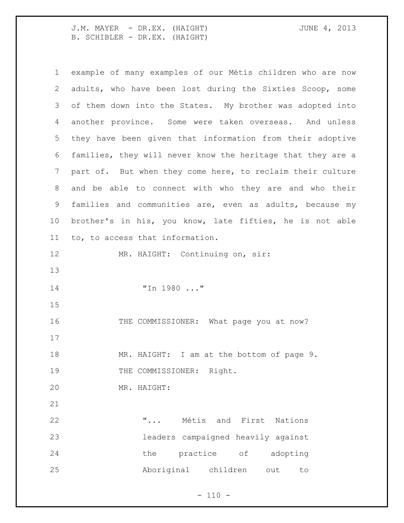| 1  | example of many examples of our Métis children who are now  |
|----|-------------------------------------------------------------|
| 2  | adults, who have been lost during the Sixties Scoop, some   |
| 3  | of them down into the States. My brother was adopted into   |
| 4  | another province. Some were taken overseas. And unless      |
| 5  | they have been given that information from their adoptive   |
| 6  | families, they will never know the heritage that they are a |
| 7  | part of. But when they come here, to reclaim their culture  |
| 8  | and be able to connect with who they are and who their      |
| 9  | families and communities are, even as adults, because my    |
| 10 | brother's in his, you know, late fifties, he is not able    |
| 11 | to, to access that information.                             |
| 12 | MR. HAIGHT: Continuing on, sir:                             |
| 13 |                                                             |
| 14 | "In 1980 "                                                  |
| 15 |                                                             |
| 16 | THE COMMISSIONER: What page you at now?                     |
| 17 |                                                             |
| 18 | MR. HAIGHT: I am at the bottom of page 9.                   |
| 19 | THE COMMISSIONER: Right.                                    |
| 20 | MR. HAIGHT:                                                 |
| 21 |                                                             |
| 22 | $\mathbf{u}$<br>Métis and First Nations                     |
| 23 | leaders campaigned heavily against                          |
| 24 | the practice of adopting                                    |
| 25 | Aboriginal children out<br>to                               |
|    |                                                             |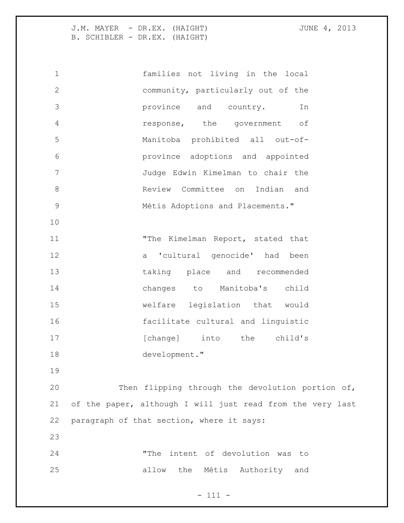| $\mathbf 1$ | families not living in the local                           |
|-------------|------------------------------------------------------------|
| 2           | community, particularly out of the                         |
| 3           | province and country.<br>In                                |
| 4           | response, the government<br>оf                             |
| 5           | Manitoba prohibited all out-of-                            |
| 6           | province adoptions and appointed                           |
| 7           | Judge Edwin Kimelman to chair the                          |
| $\,8\,$     | Review Committee on Indian and                             |
| $\mathsf 9$ | Métis Adoptions and Placements."                           |
| 10          |                                                            |
| 11          | "The Kimelman Report, stated that                          |
| 12          | a 'cultural genocide' had been                             |
| 13          | taking place and recommended                               |
| 14          | changes to Manitoba's child                                |
| 15          | welfare legislation that would                             |
| 16          | facilitate cultural and linguistic                         |
| 17          | [change] into the child's                                  |
| 18          | development."                                              |
| 19          |                                                            |
| 20          | Then flipping through the devolution portion of,           |
| 21          | of the paper, although I will just read from the very last |
| 22          | paragraph of that section, where it says:                  |
| 23          |                                                            |
| 24          | intent of devolution was to<br>"The                        |
| 25          | allow the Métis Authority and                              |
|             |                                                            |

- 111 -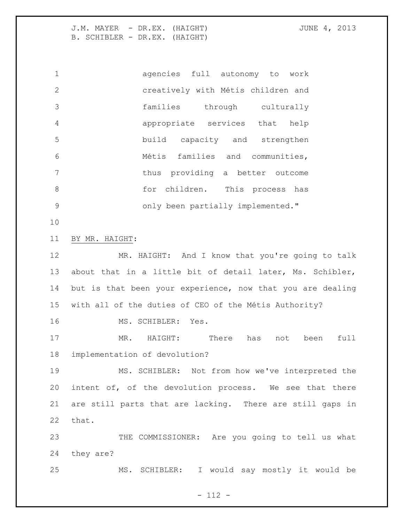agencies full autonomy to work creatively with Métis children and families through culturally appropriate services that help build capacity and strengthen Métis families and communities, thus providing a better outcome 8 for children. This process has only been partially implemented." BY MR. HAIGHT: MR. HAIGHT: And I know that you're going to talk about that in a little bit of detail later, Ms. Schibler, but is that been your experience, now that you are dealing with all of the duties of CEO of the Métis Authority? 16 MS. SCHIBLER: Yes. MR. HAIGHT: There has not been full implementation of devolution? MS. SCHIBLER: Not from how we've interpreted the intent of, of the devolution process. We see that there are still parts that are lacking. There are still gaps in that. THE COMMISSIONER: Are you going to tell us what they are? MS. SCHIBLER: I would say mostly it would be

 $- 112 -$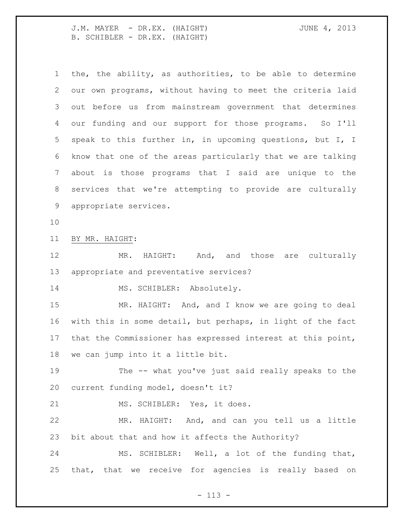the, the ability, as authorities, to be able to determine our own programs, without having to meet the criteria laid out before us from mainstream government that determines 4 our funding and our support for those programs. So I'll speak to this further in, in upcoming questions, but I, I know that one of the areas particularly that we are talking about is those programs that I said are unique to the services that we're attempting to provide are culturally appropriate services.

BY MR. HAIGHT:

12 MR. HAIGHT: And, and those are culturally appropriate and preventative services?

14 MS. SCHIBLER: Absolutely.

 MR. HAIGHT: And, and I know we are going to deal with this in some detail, but perhaps, in light of the fact that the Commissioner has expressed interest at this point, we can jump into it a little bit.

 The -- what you've just said really speaks to the current funding model, doesn't it?

21 MS. SCHIBLER: Yes, it does.

 MR. HAIGHT: And, and can you tell us a little bit about that and how it affects the Authority?

 MS. SCHIBLER: Well, a lot of the funding that, that, that we receive for agencies is really based on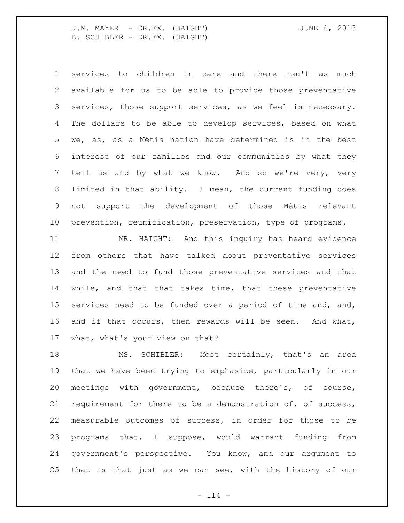services to children in care and there isn't as much available for us to be able to provide those preventative services, those support services, as we feel is necessary. The dollars to be able to develop services, based on what we, as, as a Métis nation have determined is in the best interest of our families and our communities by what they tell us and by what we know. And so we're very, very limited in that ability. I mean, the current funding does not support the development of those Métis relevant prevention, reunification, preservation, type of programs.

 MR. HAIGHT: And this inquiry has heard evidence from others that have talked about preventative services and the need to fund those preventative services and that while, and that that takes time, that these preventative services need to be funded over a period of time and, and, and if that occurs, then rewards will be seen. And what, what, what's your view on that?

 MS. SCHIBLER: Most certainly, that's an area that we have been trying to emphasize, particularly in our meetings with government, because there's, of course, requirement for there to be a demonstration of, of success, measurable outcomes of success, in order for those to be programs that, I suppose, would warrant funding from government's perspective. You know, and our argument to that is that just as we can see, with the history of our

 $- 114 -$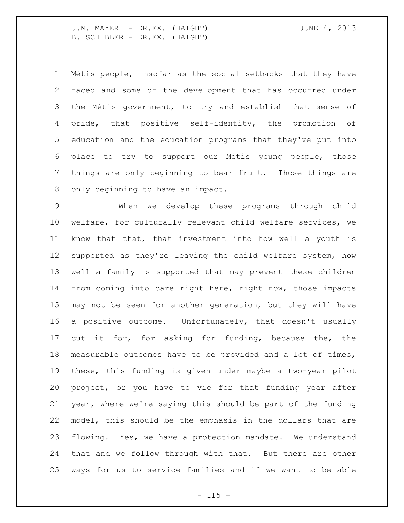Métis people, insofar as the social setbacks that they have faced and some of the development that has occurred under the Métis government, to try and establish that sense of pride, that positive self-identity, the promotion of education and the education programs that they've put into place to try to support our Métis young people, those things are only beginning to bear fruit. Those things are only beginning to have an impact.

 When we develop these programs through child welfare, for culturally relevant child welfare services, we know that that, that investment into how well a youth is supported as they're leaving the child welfare system, how well a family is supported that may prevent these children from coming into care right here, right now, those impacts may not be seen for another generation, but they will have a positive outcome. Unfortunately, that doesn't usually 17 cut it for, for asking for funding, because the, the measurable outcomes have to be provided and a lot of times, these, this funding is given under maybe a two-year pilot project, or you have to vie for that funding year after year, where we're saying this should be part of the funding model, this should be the emphasis in the dollars that are flowing. Yes, we have a protection mandate. We understand that and we follow through with that. But there are other ways for us to service families and if we want to be able

 $- 115 -$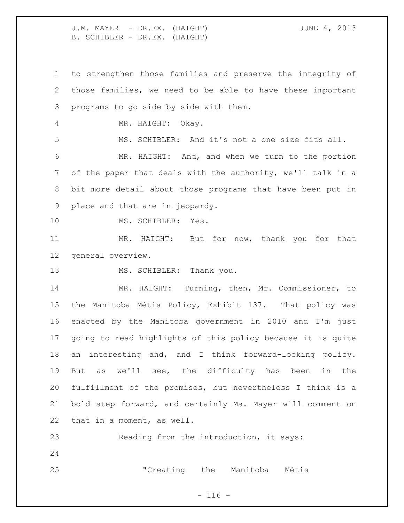to strengthen those families and preserve the integrity of those families, we need to be able to have these important programs to go side by side with them. MR. HAIGHT: Okay. MS. SCHIBLER: And it's not a one size fits all. MR. HAIGHT: And, and when we turn to the portion of the paper that deals with the authority, we'll talk in a bit more detail about those programs that have been put in place and that are in jeopardy.

10 MS. SCHIBLER: Yes.

 MR. HAIGHT: But for now, thank you for that general overview.

13 MS. SCHIBLER: Thank you.

 MR. HAIGHT: Turning, then, Mr. Commissioner, to the Manitoba Métis Policy, Exhibit 137. That policy was enacted by the Manitoba government in 2010 and I'm just going to read highlights of this policy because it is quite an interesting and, and I think forward-looking policy. But as we'll see, the difficulty has been in the fulfillment of the promises, but nevertheless I think is a bold step forward, and certainly Ms. Mayer will comment on that in a moment, as well.

 Reading from the introduction, it says: "Creating the Manitoba Métis

## $- 116 -$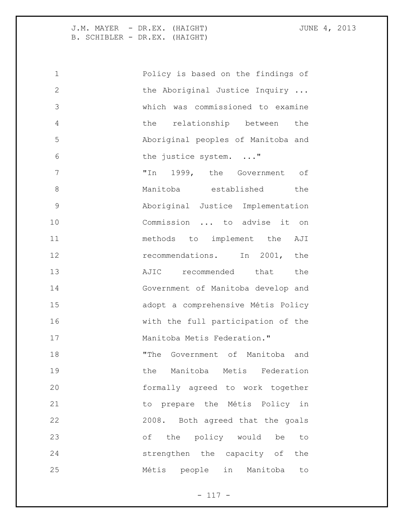Policy is based on the findings of 2 the Aboriginal Justice Inquiry ... which was commissioned to examine the relationship between the Aboriginal peoples of Manitoba and 6 the justice system. ..." "In 1999, the Government of Manitoba established the Aboriginal Justice Implementation Commission ... to advise it on methods to implement the AJI **12** recommendations. In 2001, the AJIC recommended that the Government of Manitoba develop and adopt a comprehensive Métis Policy with the full participation of the Manitoba Metis Federation." "The Government of Manitoba and the Manitoba Metis Federation formally agreed to work together to prepare the Métis Policy in 2008. Both agreed that the goals of the policy would be to strengthen the capacity of the

Métis people in Manitoba to

 $- 117 -$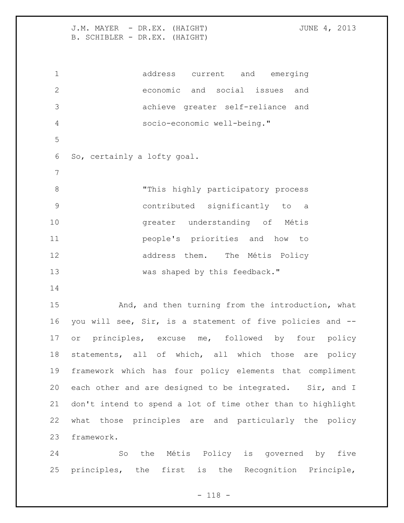address current and emerging economic and social issues and achieve greater self-reliance and socio-economic well-being." So, certainly a lofty goal. "This highly participatory process contributed significantly to a greater understanding of Métis people's priorities and how to 12 address them. The Métis Policy 13 was shaped by this feedback." 15 And, and then turning from the introduction, what you will see, Sir, is a statement of five policies and -- or principles, excuse me, followed by four policy statements, all of which, all which those are policy framework which has four policy elements that compliment each other and are designed to be integrated. Sir, and I don't intend to spend a lot of time other than to highlight what those principles are and particularly the policy framework. So the Métis Policy is governed by five

principles, the first is the Recognition Principle,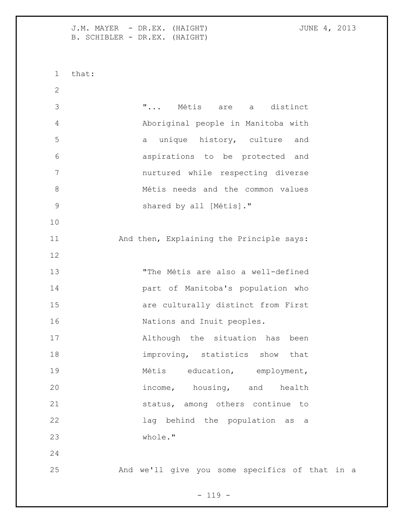that: "... Métis are a distinct Aboriginal people in Manitoba with a unique history, culture and aspirations to be protected and nurtured while respecting diverse Métis needs and the common values 9 shared by all [Métis]." And then, Explaining the Principle says: "The Métis are also a well-defined part of Manitoba's population who are culturally distinct from First Nations and Inuit peoples. Although the situation has been 18 improving, statistics show that Métis education, employment, income, housing, and health status, among others continue to lag behind the population as a whole." And we'll give you some specifics of that in a

 $- 119 -$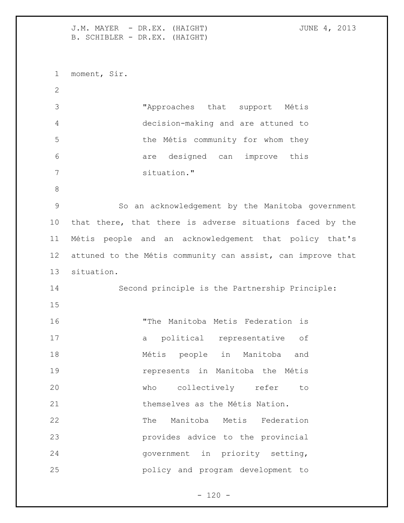J.M. MAYER - DR.EX. (HAIGHT) JUNE 4, 2013 B. SCHIBLER - DR.EX. (HAIGHT) moment, Sir. "Approaches that support Métis decision-making and are attuned to the Métis community for whom they are designed can improve this situation." So an acknowledgement by the Manitoba government that there, that there is adverse situations faced by the Métis people and an acknowledgement that policy that's attuned to the Métis community can assist, can improve that situation. Second principle is the Partnership Principle: "The Manitoba Metis Federation is a political representative of Métis people in Manitoba and represents in Manitoba the Métis who collectively refer to themselves as the Métis Nation. The Manitoba Metis Federation provides advice to the provincial government in priority setting, policy and program development to

 $- 120 -$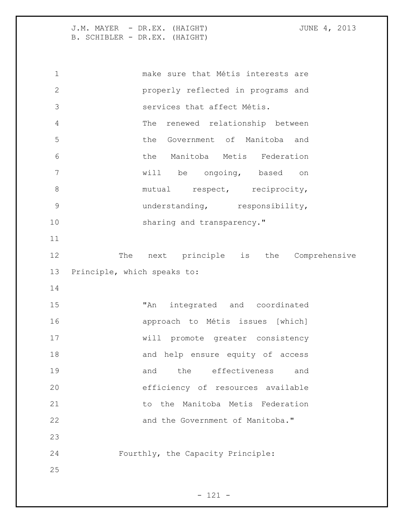make sure that Métis interests are properly reflected in programs and services that affect Métis. The renewed relationship between the Government of Manitoba and the Manitoba Metis Federation will be ongoing, based on 8 mutual respect, reciprocity, 9 understanding, responsibility, 10 sharing and transparency." The next principle is the Comprehensive Principle, which speaks to: "An integrated and coordinated approach to Métis issues [which] will promote greater consistency 18 and help ensure equity of access and the effectiveness and efficiency of resources available to the Manitoba Metis Federation and the Government of Manitoba." Fourthly, the Capacity Principle: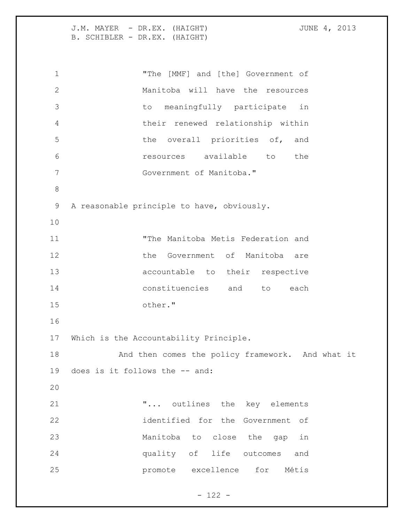"The [MMF] and [the] Government of Manitoba will have the resources to meaningfully participate in their renewed relationship within the overall priorities of, and resources available to the Government of Manitoba." A reasonable principle to have, obviously. "The Manitoba Metis Federation and the Government of Manitoba are accountable to their respective constituencies and to each other." Which is the Accountability Principle. 18 And then comes the policy framework. And what it does is it follows the -- and: "... outlines the key elements identified for the Government of Manitoba to close the gap in quality of life outcomes and promote excellence for Métis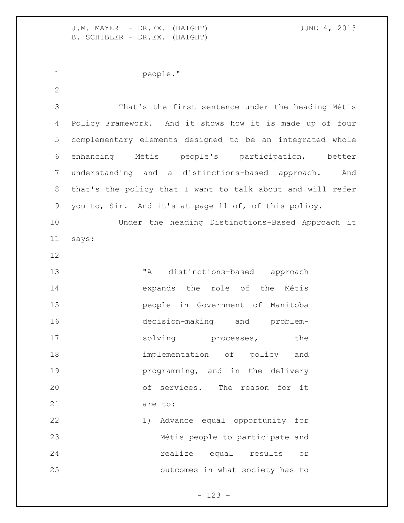```
1 people."
```
 That's the first sentence under the heading Métis Policy Framework. And it shows how it is made up of four complementary elements designed to be an integrated whole enhancing Métis people's participation, better understanding and a distinctions-based approach. And that's the policy that I want to talk about and will refer you to, Sir. And it's at page 11 of, of this policy.

 Under the heading Distinctions-Based Approach it says:

13 TA distinctions-based approach expands the role of the Métis people in Government of Manitoba decision-making and problem-17 solving processes, the implementation of policy and **programming**, and in the delivery of services. The reason for it are to: 1) Advance equal opportunity for

 Métis people to participate and realize equal results or outcomes in what society has to

 $- 123 -$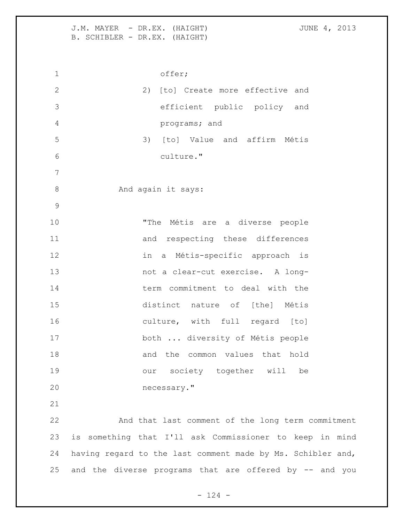offer; 2) [to] Create more effective and efficient public policy and programs; and 3) [to] Value and affirm Métis culture." 8 And again it says: "The Métis are a diverse people and respecting these differences in a Métis-specific approach is not a clear-cut exercise. A long- term commitment to deal with the distinct nature of [the] Métis culture, with full regard [to] both ... diversity of Métis people and the common values that hold 19 our society together will be necessary." And that last comment of the long term commitment is something that I'll ask Commissioner to keep in mind having regard to the last comment made by Ms. Schibler and,

and the diverse programs that are offered by -- and you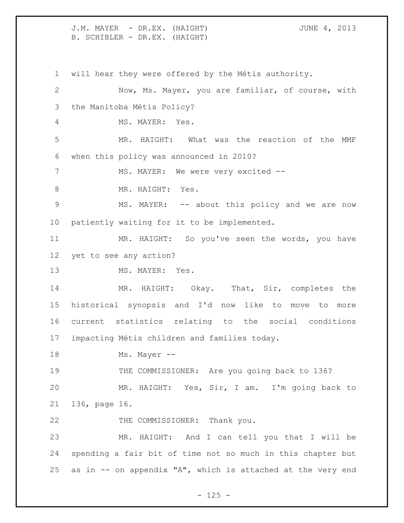will hear they were offered by the Métis authority. Now, Ms. Mayer, you are familiar, of course, with the Manitoba Métis Policy? MS. MAYER: Yes. MR. HAIGHT: What was the reaction of the MMF when this policy was announced in 2010? 7 MS. MAYER: We were very excited --8 MR. HAIGHT: Yes. 9 MS. MAYER: -- about this policy and we are now patiently waiting for it to be implemented. MR. HAIGHT: So you've seen the words, you have yet to see any action? 13 MS. MAYER: Yes. MR. HAIGHT: Okay. That, Sir, completes the historical synopsis and I'd now like to move to more current statistics relating to the social conditions impacting Métis children and families today. Ms. Mayer -- 19 THE COMMISSIONER: Are you going back to 136? MR. HAIGHT: Yes, Sir, I am. I'm going back to 136, page 16. 22 THE COMMISSIONER: Thank you. MR. HAIGHT: And I can tell you that I will be spending a fair bit of time not so much in this chapter but 25 as in  $-$  on appendix "A", which is attached at the very end

 $- 125 -$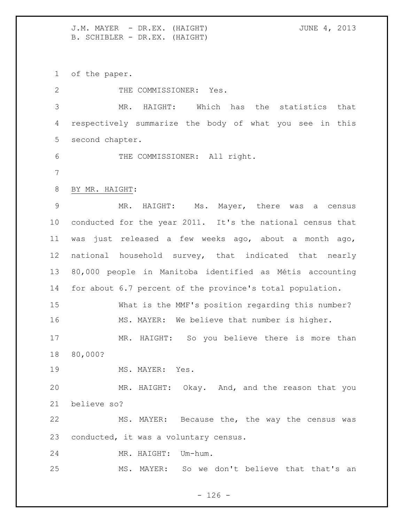of the paper.

2 THE COMMISSIONER: Yes.

 MR. HAIGHT: Which has the statistics that respectively summarize the body of what you see in this second chapter.

THE COMMISSIONER: All right.

BY MR. HAIGHT:

 MR. HAIGHT: Ms. Mayer, there was a census conducted for the year 2011. It's the national census that was just released a few weeks ago, about a month ago, national household survey, that indicated that nearly 80,000 people in Manitoba identified as Métis accounting for about 6.7 percent of the province's total population. What is the MMF's position regarding this number? MS. MAYER: We believe that number is higher. MR. HAIGHT: So you believe there is more than 80,000? 19 MS. MAYER: Yes. MR. HAIGHT: Okay. And, and the reason that you believe so? MS. MAYER: Because the, the way the census was conducted, it was a voluntary census.

MR. HAIGHT: Um-hum.

MS. MAYER: So we don't believe that that's an

 $- 126 -$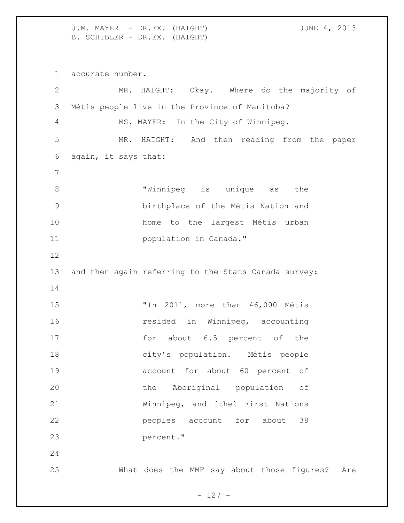accurate number.

 MR. HAIGHT: Okay. Where do the majority of Métis people live in the Province of Manitoba? MS. MAYER: In the City of Winnipeg. MR. HAIGHT: And then reading from the paper again, it says that: "Winnipeg is unique as the birthplace of the Métis Nation and home to the largest Métis urban **population** in Canada." and then again referring to the Stats Canada survey: "In 2011, more than 46,000 Métis **16** resided in Winnipeg, accounting 17 for about 6.5 percent of the city's population. Métis people account for about 60 percent of the Aboriginal population of Winnipeg, and [the] First Nations peoples account for about 38 percent." What does the MMF say about those figures? Are

- 127 -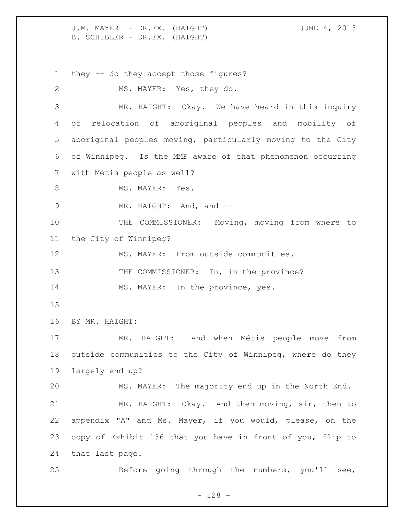they -- do they accept those figures?

MS. MAYER: Yes, they do.

 MR. HAIGHT: Okay. We have heard in this inquiry of relocation of aboriginal peoples and mobility of aboriginal peoples moving, particularly moving to the City of Winnipeg. Is the MMF aware of that phenomenon occurring with Métis people as well?

8 MS. MAYER: Yes.

9 MR. HAIGHT: And, and --

 THE COMMISSIONER: Moving, moving from where to the City of Winnipeg?

12 MS. MAYER: From outside communities.

13 THE COMMISSIONER: In, in the province?

14 MS. MAYER: In the province, yes.

BY MR. HAIGHT:

 MR. HAIGHT: And when Métis people move from outside communities to the City of Winnipeg, where do they largely end up?

MS. MAYER: The majority end up in the North End.

 MR. HAIGHT: Okay. And then moving, sir, then to appendix "A" and Ms. Mayer, if you would, please, on the copy of Exhibit 136 that you have in front of you, flip to that last page.

Before going through the numbers, you'll see,

- 128 -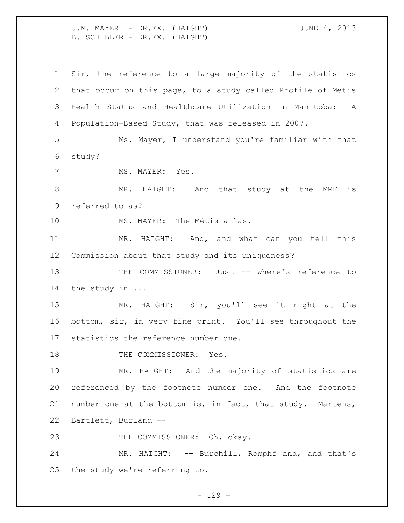Sir, the reference to a large majority of the statistics that occur on this page, to a study called Profile of Métis Health Status and Healthcare Utilization in Manitoba: A Population-Based Study, that was released in 2007. Ms. Mayer, I understand you're familiar with that study? 7 MS. MAYER: Yes. MR. HAIGHT: And that study at the MMF is referred to as? 10 MS. MAYER: The Métis atlas. MR. HAIGHT: And, and what can you tell this Commission about that study and its uniqueness? 13 THE COMMISSIONER: Just -- where's reference to the study in ... MR. HAIGHT: Sir, you'll see it right at the bottom, sir, in very fine print. You'll see throughout the statistics the reference number one. 18 THE COMMISSIONER: Yes. MR. HAIGHT: And the majority of statistics are referenced by the footnote number one. And the footnote number one at the bottom is, in fact, that study. Martens, Bartlett, Burland -- 23 THE COMMISSIONER: Oh, okay. 24 MR. HAIGHT: -- Burchill, Romphf and, and that's the study we're referring to.

 $-129 -$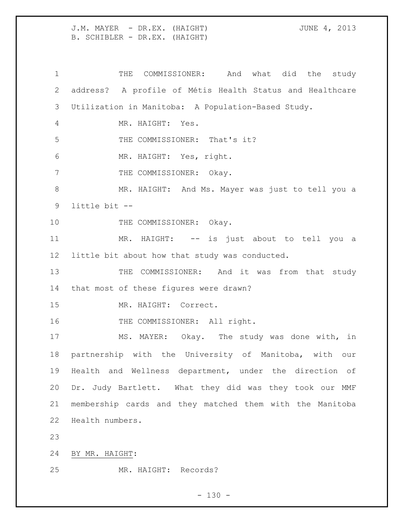THE COMMISSIONER: And what did the study address? A profile of Métis Health Status and Healthcare Utilization in Manitoba: A Population-Based Study. MR. HAIGHT: Yes. THE COMMISSIONER: That's it? MR. HAIGHT: Yes, right. 7 THE COMMISSIONER: Okay. MR. HAIGHT: And Ms. Mayer was just to tell you a little bit -- 10 THE COMMISSIONER: Okay. 11 MR. HAIGHT: -- is just about to tell you a little bit about how that study was conducted. 13 THE COMMISSIONER: And it was from that study that most of these figures were drawn? MR. HAIGHT: Correct. 16 THE COMMISSIONER: All right. MS. MAYER: Okay. The study was done with, in partnership with the University of Manitoba, with our Health and Wellness department, under the direction of Dr. Judy Bartlett. What they did was they took our MMF membership cards and they matched them with the Manitoba Health numbers. BY MR. HAIGHT: MR. HAIGHT: Records?

 $- 130 -$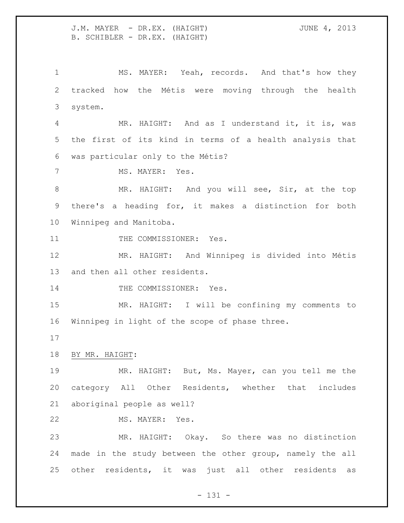MS. MAYER: Yeah, records. And that's how they tracked how the Métis were moving through the health system.

 MR. HAIGHT: And as I understand it, it is, was the first of its kind in terms of a health analysis that was particular only to the Métis?

7 MS. MAYER: Yes.

 MR. HAIGHT: And you will see, Sir, at the top there's a heading for, it makes a distinction for both Winnipeg and Manitoba.

11 THE COMMISSIONER: Yes.

 MR. HAIGHT: And Winnipeg is divided into Métis and then all other residents.

14 THE COMMISSIONER: Yes.

 MR. HAIGHT: I will be confining my comments to Winnipeg in light of the scope of phase three.

## BY MR. HAIGHT:

 MR. HAIGHT: But, Ms. Mayer, can you tell me the category All Other Residents, whether that includes aboriginal people as well?

MS. MAYER: Yes.

 MR. HAIGHT: Okay. So there was no distinction made in the study between the other group, namely the all other residents, it was just all other residents as

- 131 -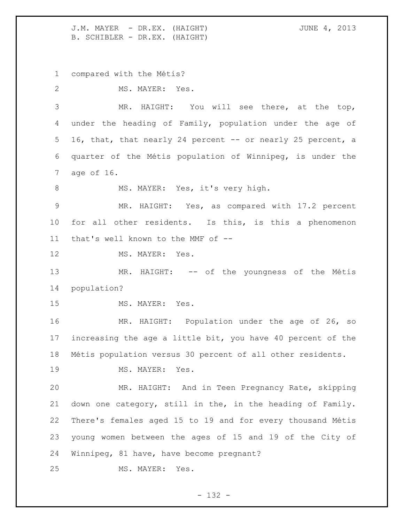compared with the Métis?

2 MS. MAYER: Yes.

 MR. HAIGHT: You will see there, at the top, under the heading of Family, population under the age of 5 16, that, that nearly 24 percent -- or nearly 25 percent, a quarter of the Métis population of Winnipeg, is under the age of 16.

8 MS. MAYER: Yes, it's very high.

 MR. HAIGHT: Yes, as compared with 17.2 percent for all other residents. Is this, is this a phenomenon that's well known to the MMF of --

12 MS. MAYER: Yes.

13 MR. HAIGHT: -- of the youngness of the Métis population?

15 MS. MAYER: Yes.

 MR. HAIGHT: Population under the age of 26, so increasing the age a little bit, you have 40 percent of the Métis population versus 30 percent of all other residents.

19 MS. MAYER: Yes.

 MR. HAIGHT: And in Teen Pregnancy Rate, skipping down one category, still in the, in the heading of Family. There's females aged 15 to 19 and for every thousand Métis young women between the ages of 15 and 19 of the City of Winnipeg, 81 have, have become pregnant?

MS. MAYER: Yes.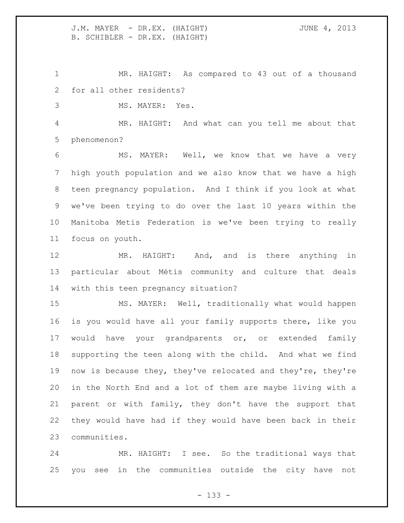MR. HAIGHT: As compared to 43 out of a thousand for all other residents?

MS. MAYER: Yes.

 MR. HAIGHT: And what can you tell me about that phenomenon?

 MS. MAYER: Well, we know that we have a very high youth population and we also know that we have a high teen pregnancy population. And I think if you look at what we've been trying to do over the last 10 years within the Manitoba Metis Federation is we've been trying to really focus on youth.

 MR. HAIGHT: And, and is there anything in particular about Métis community and culture that deals with this teen pregnancy situation?

 MS. MAYER: Well, traditionally what would happen is you would have all your family supports there, like you would have your grandparents or, or extended family supporting the teen along with the child. And what we find now is because they, they've relocated and they're, they're in the North End and a lot of them are maybe living with a parent or with family, they don't have the support that they would have had if they would have been back in their communities.

 MR. HAIGHT: I see. So the traditional ways that you see in the communities outside the city have not

- 133 -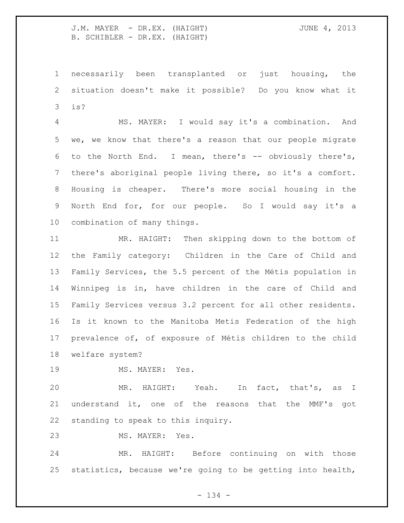necessarily been transplanted or just housing, the situation doesn't make it possible? Do you know what it is?

 MS. MAYER: I would say it's a combination. And we, we know that there's a reason that our people migrate to the North End. I mean, there's -- obviously there's, there's aboriginal people living there, so it's a comfort. Housing is cheaper. There's more social housing in the North End for, for our people. So I would say it's a combination of many things.

 MR. HAIGHT: Then skipping down to the bottom of the Family category: Children in the Care of Child and Family Services, the 5.5 percent of the Métis population in Winnipeg is in, have children in the care of Child and Family Services versus 3.2 percent for all other residents. Is it known to the Manitoba Metis Federation of the high prevalence of, of exposure of Métis children to the child welfare system?

MS. MAYER: Yes.

 MR. HAIGHT: Yeah. In fact, that's, as I understand it, one of the reasons that the MMF's got standing to speak to this inquiry.

MS. MAYER: Yes.

 MR. HAIGHT: Before continuing on with those statistics, because we're going to be getting into health,

- 134 -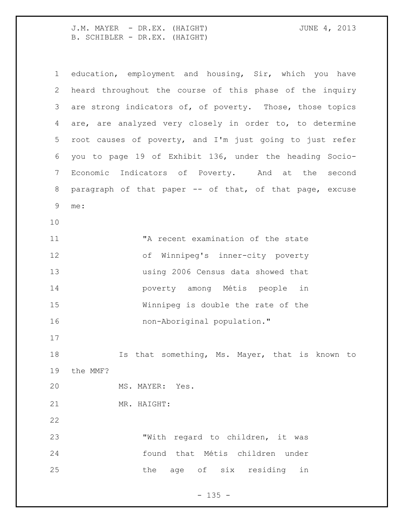education, employment and housing, Sir, which you have heard throughout the course of this phase of the inquiry are strong indicators of, of poverty. Those, those topics are, are analyzed very closely in order to, to determine root causes of poverty, and I'm just going to just refer you to page 19 of Exhibit 136, under the heading Socio- Economic Indicators of Poverty. And at the second paragraph of that paper -- of that, of that page, excuse me: 11 The recent examination of the state of Winnipeg's inner-city poverty using 2006 Census data showed that poverty among Métis people in Winnipeg is double the rate of the non-Aboriginal population." **Is that something, Ms. Mayer, that is known to**  the MMF? MS. MAYER: Yes. MR. HAIGHT: "With regard to children, it was found that Métis children under 25 the age of six residing in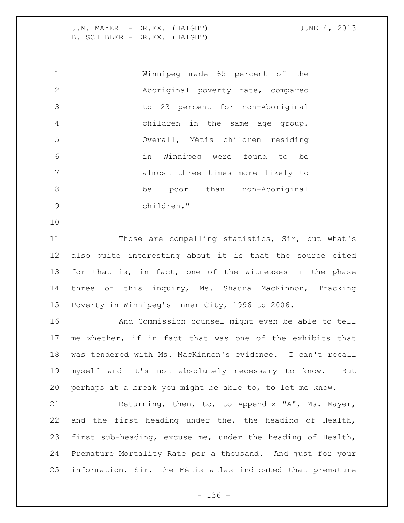Winnipeg made 65 percent of the Aboriginal poverty rate, compared to 23 percent for non-Aboriginal children in the same age group. Overall, Métis children residing in Winnipeg were found to be almost three times more likely to be poor than non-Aboriginal children."

 Those are compelling statistics, Sir, but what's also quite interesting about it is that the source cited for that is, in fact, one of the witnesses in the phase three of this inquiry, Ms. Shauna MacKinnon, Tracking Poverty in Winnipeg's Inner City, 1996 to 2006.

 And Commission counsel might even be able to tell me whether, if in fact that was one of the exhibits that was tendered with Ms. MacKinnon's evidence. I can't recall myself and it's not absolutely necessary to know. But perhaps at a break you might be able to, to let me know.

 Returning, then, to, to Appendix "A", Ms. Mayer, and the first heading under the, the heading of Health, first sub-heading, excuse me, under the heading of Health, Premature Mortality Rate per a thousand. And just for your information, Sir, the Métis atlas indicated that premature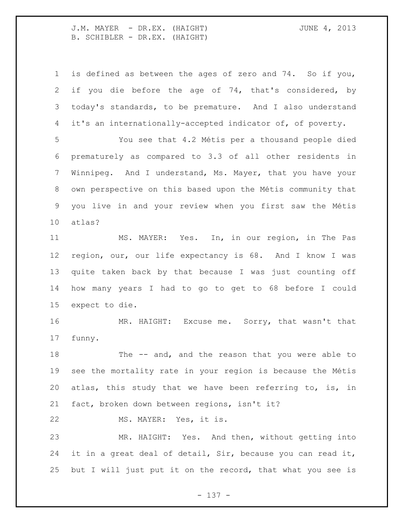is defined as between the ages of zero and 74. So if you, if you die before the age of 74, that's considered, by today's standards, to be premature. And I also understand it's an internationally-accepted indicator of, of poverty. You see that 4.2 Métis per a thousand people died prematurely as compared to 3.3 of all other residents in Winnipeg. And I understand, Ms. Mayer, that you have your own perspective on this based upon the Métis community that you live in and your review when you first saw the Métis atlas? MS. MAYER: Yes. In, in our region, in The Pas region, our, our life expectancy is 68. And I know I was quite taken back by that because I was just counting off how many years I had to go to get to 68 before I could expect to die. MR. HAIGHT: Excuse me. Sorry, that wasn't that funny. 18 The -- and, and the reason that you were able to see the mortality rate in your region is because the Métis atlas, this study that we have been referring to, is, in fact, broken down between regions, isn't it? MS. MAYER: Yes, it is. MR. HAIGHT: Yes. And then, without getting into it in a great deal of detail, Sir, because you can read it, but I will just put it on the record, that what you see is

- 137 -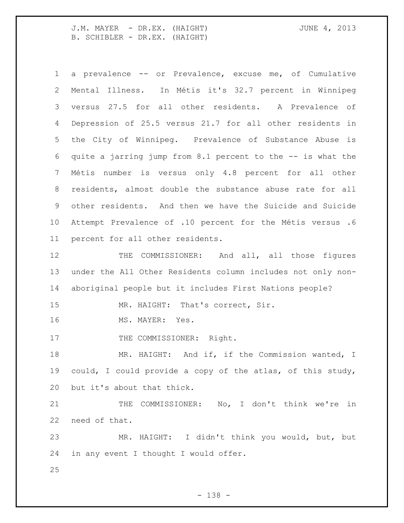a prevalence -- or Prevalence, excuse me, of Cumulative Mental Illness. In Métis it's 32.7 percent in Winnipeg versus 27.5 for all other residents. A Prevalence of Depression of 25.5 versus 21.7 for all other residents in the City of Winnipeg. Prevalence of Substance Abuse is quite a jarring jump from 8.1 percent to the -- is what the Métis number is versus only 4.8 percent for all other residents, almost double the substance abuse rate for all other residents. And then we have the Suicide and Suicide Attempt Prevalence of .10 percent for the Métis versus .6 percent for all other residents. 12 THE COMMISSIONER: And all, all those figures under the All Other Residents column includes not only non- aboriginal people but it includes First Nations people? 15 MR. HAIGHT: That's correct, Sir. 16 MS. MAYER: Yes. 17 THE COMMISSIONER: Right. 18 MR. HAIGHT: And if, if the Commission wanted, I could, I could provide a copy of the atlas, of this study, but it's about that thick.

 THE COMMISSIONER: No, I don't think we're in need of that.

 MR. HAIGHT: I didn't think you would, but, but in any event I thought I would offer.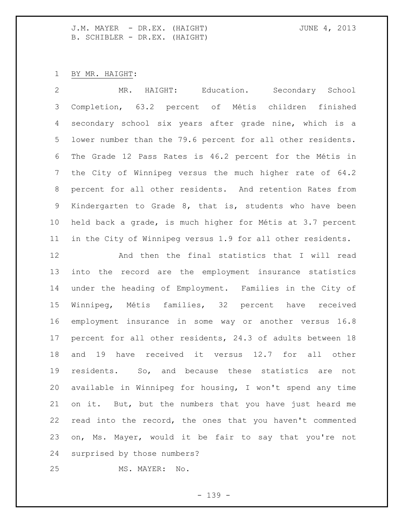BY MR. HAIGHT:

 MR. HAIGHT: Education. Secondary School Completion, 63.2 percent of Métis children finished secondary school six years after grade nine, which is a lower number than the 79.6 percent for all other residents. The Grade 12 Pass Rates is 46.2 percent for the Métis in the City of Winnipeg versus the much higher rate of 64.2 percent for all other residents. And retention Rates from Kindergarten to Grade 8, that is, students who have been held back a grade, is much higher for Métis at 3.7 percent in the City of Winnipeg versus 1.9 for all other residents.

 And then the final statistics that I will read into the record are the employment insurance statistics under the heading of Employment. Families in the City of Winnipeg, Métis families, 32 percent have received employment insurance in some way or another versus 16.8 percent for all other residents, 24.3 of adults between 18 and 19 have received it versus 12.7 for all other residents. So, and because these statistics are not available in Winnipeg for housing, I won't spend any time on it. But, but the numbers that you have just heard me read into the record, the ones that you haven't commented on, Ms. Mayer, would it be fair to say that you're not surprised by those numbers?

MS. MAYER: No.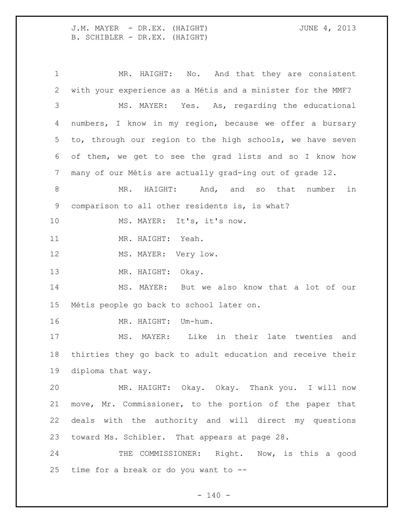MR. HAIGHT: No. And that they are consistent with your experience as a Métis and a minister for the MMF? MS. MAYER: Yes. As, regarding the educational numbers, I know in my region, because we offer a bursary to, through our region to the high schools, we have seven of them, we get to see the grad lists and so I know how many of our Métis are actually grad-ing out of grade 12. MR. HAIGHT: And, and so that number in comparison to all other residents is, is what? 10 MS. MAYER: It's, it's now. MR. HAIGHT: Yeah. 12 MS. MAYER: Very low. MR. HAIGHT: Okay. MS. MAYER: But we also know that a lot of our Métis people go back to school later on. MR. HAIGHT: Um-hum. MS. MAYER: Like in their late twenties and thirties they go back to adult education and receive their diploma that way. MR. HAIGHT: Okay. Okay. Thank you. I will now move, Mr. Commissioner, to the portion of the paper that deals with the authority and will direct my questions toward Ms. Schibler. That appears at page 28. THE COMMISSIONER: Right. Now, is this a good time for a break or do you want to --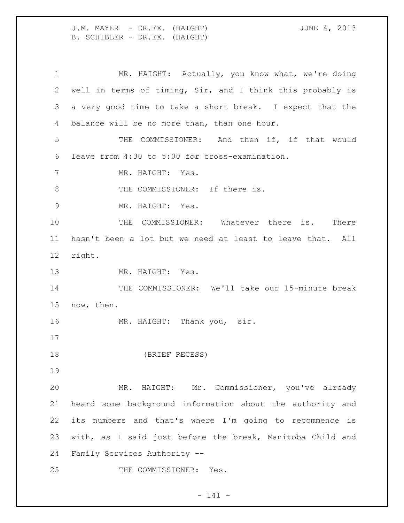1 MR. HAIGHT: Actually, you know what, we're doing well in terms of timing, Sir, and I think this probably is a very good time to take a short break. I expect that the balance will be no more than, than one hour. THE COMMISSIONER: And then if, if that would leave from 4:30 to 5:00 for cross-examination. MR. HAIGHT: Yes. 8 THE COMMISSIONER: If there is. MR. HAIGHT: Yes. THE COMMISSIONER: Whatever there is. There hasn't been a lot but we need at least to leave that. All right. MR. HAIGHT: Yes. 14 THE COMMISSIONER: We'll take our 15-minute break now, then. 16 MR. HAIGHT: Thank you, sir. (BRIEF RECESS) MR. HAIGHT: Mr. Commissioner, you've already heard some background information about the authority and its numbers and that's where I'm going to recommence is with, as I said just before the break, Manitoba Child and Family Services Authority -- THE COMMISSIONER: Yes.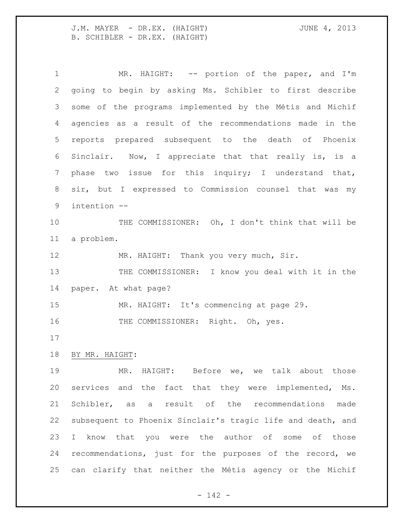| $\mathbf 1$     | MR. HAIGHT: -- portion of the paper, and I'm                     |
|-----------------|------------------------------------------------------------------|
| 2               | going to begin by asking Ms. Schibler to first describe          |
| 3               | some of the programs implemented by the Métis and Michif         |
| 4               | agencies as a result of the recommendations made in the          |
| 5               | reports prepared subsequent to the death of Phoenix              |
| 6               | Sinclair. Now, I appreciate that that really is, is a            |
| $7\phantom{.0}$ | phase two issue for this inquiry; I understand that,             |
| 8               | sir, but I expressed to Commission counsel that was my           |
| 9               | intention --                                                     |
| 10              | THE COMMISSIONER: Oh, I don't think that will be                 |
| 11              | a problem.                                                       |
| 12              | MR. HAIGHT: Thank you very much, Sir.                            |
| 13              | THE COMMISSIONER: I know you deal with it in the                 |
| 14              | paper. At what page?                                             |
| 15              | MR. HAIGHT: It's commencing at page 29.                          |
| 16              | THE COMMISSIONER: Right. Oh, yes.                                |
| 17              |                                                                  |
| 18              | BY MR. HAIGHT:                                                   |
| 19              | MR. HAIGHT: Before we, we talk about those                       |
| 20              | services and the fact that they were implemented, Ms.            |
| 21              | Schibler, as a result of the recommendations<br>made             |
| 22              | subsequent to Phoenix Sinclair's tragic life and death, and      |
| 23              | know that you were the author of some of those<br>$\mathbb{I}^-$ |
| 24              | recommendations, just for the purposes of the record, we         |
| 25              |                                                                  |

- 142 -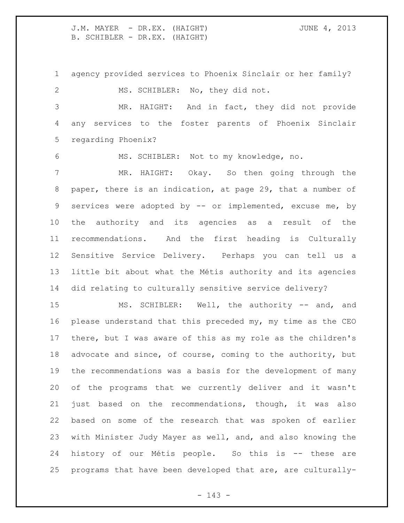agency provided services to Phoenix Sinclair or her family? MS. SCHIBLER: No, they did not.

 MR. HAIGHT: And in fact, they did not provide any services to the foster parents of Phoenix Sinclair regarding Phoenix?

MS. SCHIBLER: Not to my knowledge, no.

 MR. HAIGHT: Okay. So then going through the paper, there is an indication, at page 29, that a number of 9 services were adopted by -- or implemented, excuse me, by the authority and its agencies as a result of the recommendations. And the first heading is Culturally Sensitive Service Delivery. Perhaps you can tell us a little bit about what the Métis authority and its agencies did relating to culturally sensitive service delivery?

15 MS. SCHIBLER: Well, the authority -- and, and please understand that this preceded my, my time as the CEO there, but I was aware of this as my role as the children's 18 advocate and since, of course, coming to the authority, but the recommendations was a basis for the development of many of the programs that we currently deliver and it wasn't just based on the recommendations, though, it was also based on some of the research that was spoken of earlier with Minister Judy Mayer as well, and, and also knowing the history of our Métis people. So this is -- these are programs that have been developed that are, are culturally-

- 143 -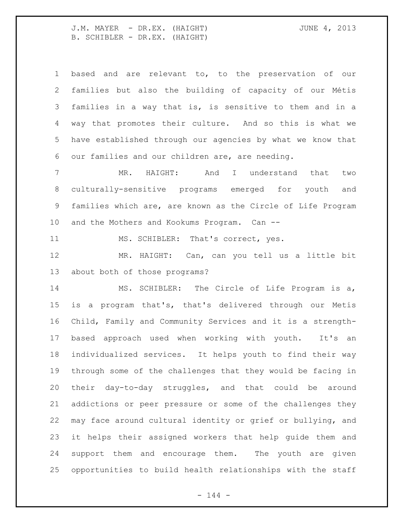based and are relevant to, to the preservation of our families but also the building of capacity of our Métis families in a way that is, is sensitive to them and in a way that promotes their culture. And so this is what we have established through our agencies by what we know that our families and our children are, are needing.

 MR. HAIGHT: And I understand that two culturally-sensitive programs emerged for youth and families which are, are known as the Circle of Life Program and the Mothers and Kookums Program. Can --

11 MS. SCHIBLER: That's correct, yes.

 MR. HAIGHT: Can, can you tell us a little bit about both of those programs?

 MS. SCHIBLER: The Circle of Life Program is a, is a program that's, that's delivered through our Metis Child, Family and Community Services and it is a strength- based approach used when working with youth. It's an individualized services. It helps youth to find their way through some of the challenges that they would be facing in their day-to-day struggles, and that could be around addictions or peer pressure or some of the challenges they may face around cultural identity or grief or bullying, and it helps their assigned workers that help guide them and support them and encourage them. The youth are given opportunities to build health relationships with the staff

 $- 144 -$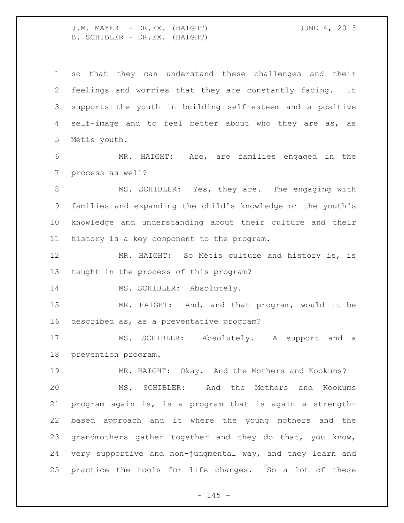so that they can understand these challenges and their feelings and worries that they are constantly facing. It supports the youth in building self-esteem and a positive 4 self-image and to feel better about who they are as, as Métis youth.

 MR. HAIGHT: Are, are families engaged in the process as well?

8 MS. SCHIBLER: Yes, they are. The engaging with families and expanding the child's knowledge or the youth's knowledge and understanding about their culture and their history is a key component to the program.

 MR. HAIGHT: So Métis culture and history is, is taught in the process of this program?

14 MS. SCHIBLER: Absolutely.

 MR. HAIGHT: And, and that program, would it be described as, as a preventative program?

 MS. SCHIBLER: Absolutely. A support and a prevention program.

 MR. HAIGHT: Okay. And the Mothers and Kookums? MS. SCHIBLER: And the Mothers and Kookums program again is, is a program that is again a strength- based approach and it where the young mothers and the grandmothers gather together and they do that, you know, very supportive and non-judgmental way, and they learn and practice the tools for life changes. So a lot of these

 $- 145 -$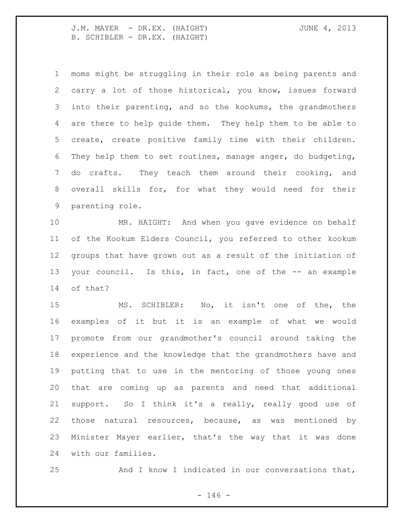moms might be struggling in their role as being parents and carry a lot of those historical, you know, issues forward into their parenting, and so the kookums, the grandmothers are there to help guide them. They help them to be able to create, create positive family time with their children. They help them to set routines, manage anger, do budgeting, do crafts. They teach them around their cooking, and overall skills for, for what they would need for their parenting role.

 MR. HAIGHT: And when you gave evidence on behalf of the Kookum Elders Council, you referred to other kookum groups that have grown out as a result of the initiation of your council. Is this, in fact, one of the -- an example of that?

 MS. SCHIBLER: No, it isn't one of the, the examples of it but it is an example of what we would promote from our grandmother's council around taking the experience and the knowledge that the grandmothers have and putting that to use in the mentoring of those young ones that are coming up as parents and need that additional support. So I think it's a really, really good use of those natural resources, because, as was mentioned by Minister Mayer earlier, that's the way that it was done with our families.

And I know I indicated in our conversations that,

 $- 146 -$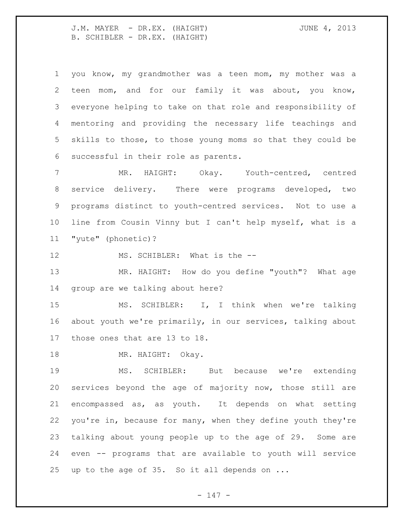you know, my grandmother was a teen mom, my mother was a teen mom, and for our family it was about, you know, everyone helping to take on that role and responsibility of mentoring and providing the necessary life teachings and skills to those, to those young moms so that they could be successful in their role as parents.

 MR. HAIGHT: Okay. Youth-centred, centred service delivery. There were programs developed, two programs distinct to youth-centred services. Not to use a line from Cousin Vinny but I can't help myself, what is a "yute" (phonetic)?

12 MS. SCHIBLER: What is the --

 MR. HAIGHT: How do you define "youth"? What age group are we talking about here?

 MS. SCHIBLER: I, I think when we're talking about youth we're primarily, in our services, talking about those ones that are 13 to 18.

18 MR. HAIGHT: Okay.

 MS. SCHIBLER: But because we're extending services beyond the age of majority now, those still are encompassed as, as youth. It depends on what setting you're in, because for many, when they define youth they're talking about young people up to the age of 29. Some are even -- programs that are available to youth will service up to the age of 35. So it all depends on ...

- 147 -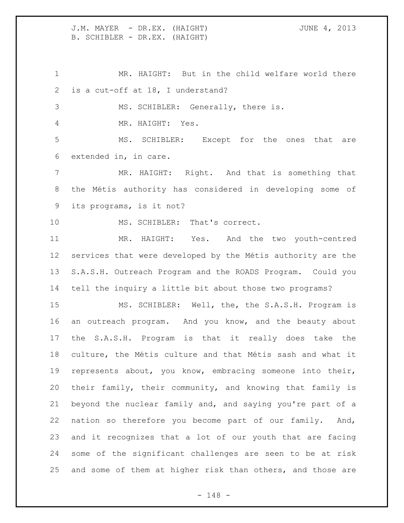MR. HAIGHT: But in the child welfare world there is a cut-off at 18, I understand?

MS. SCHIBLER: Generally, there is.

MR. HAIGHT: Yes.

 MS. SCHIBLER: Except for the ones that are extended in, in care.

 MR. HAIGHT: Right. And that is something that the Métis authority has considered in developing some of its programs, is it not?

10 MS. SCHIBLER: That's correct.

 MR. HAIGHT: Yes. And the two youth-centred services that were developed by the Métis authority are the S.A.S.H. Outreach Program and the ROADS Program. Could you tell the inquiry a little bit about those two programs?

 MS. SCHIBLER: Well, the, the S.A.S.H. Program is an outreach program. And you know, and the beauty about the S.A.S.H. Program is that it really does take the culture, the Métis culture and that Métis sash and what it represents about, you know, embracing someone into their, their family, their community, and knowing that family is beyond the nuclear family and, and saying you're part of a nation so therefore you become part of our family. And, and it recognizes that a lot of our youth that are facing some of the significant challenges are seen to be at risk and some of them at higher risk than others, and those are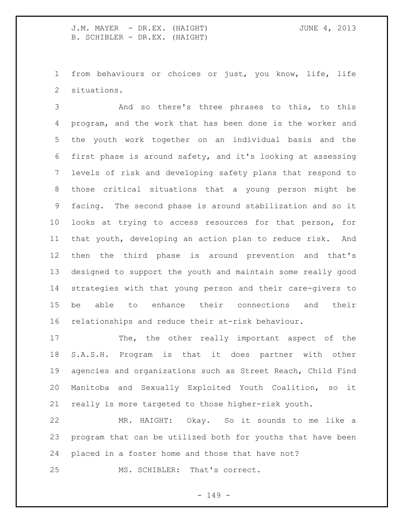from behaviours or choices or just, you know, life, life situations.

 And so there's three phrases to this, to this program, and the work that has been done is the worker and the youth work together on an individual basis and the first phase is around safety, and it's looking at assessing levels of risk and developing safety plans that respond to those critical situations that a young person might be facing. The second phase is around stabilization and so it looks at trying to access resources for that person, for that youth, developing an action plan to reduce risk. And then the third phase is around prevention and that's designed to support the youth and maintain some really good strategies with that young person and their care-givers to be able to enhance their connections and their relationships and reduce their at-risk behaviour.

17 The, the other really important aspect of the S.A.S.H. Program is that it does partner with other agencies and organizations such as Street Reach, Child Find Manitoba and Sexually Exploited Youth Coalition, so it really is more targeted to those higher-risk youth.

 MR. HAIGHT: Okay. So it sounds to me like a program that can be utilized both for youths that have been placed in a foster home and those that have not? MS. SCHIBLER: That's correct.

- 149 -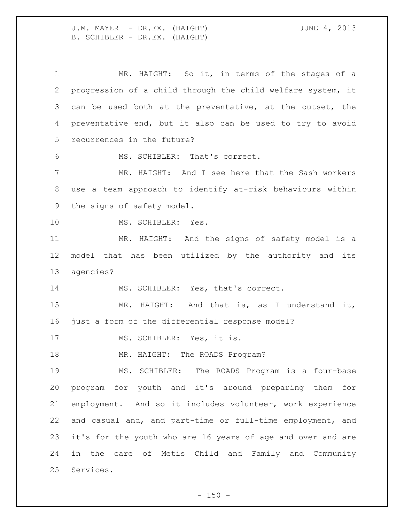MR. HAIGHT: So it, in terms of the stages of a progression of a child through the child welfare system, it can be used both at the preventative, at the outset, the preventative end, but it also can be used to try to avoid recurrences in the future? MS. SCHIBLER: That's correct. MR. HAIGHT: And I see here that the Sash workers use a team approach to identify at-risk behaviours within the signs of safety model. MS. SCHIBLER: Yes. MR. HAIGHT: And the signs of safety model is a model that has been utilized by the authority and its agencies? 14 MS. SCHIBLER: Yes, that's correct. MR. HAIGHT: And that is, as I understand it, just a form of the differential response model? 17 MS. SCHIBLER: Yes, it is. 18 MR. HAIGHT: The ROADS Program? MS. SCHIBLER: The ROADS Program is a four-base program for youth and it's around preparing them for employment. And so it includes volunteer, work experience and casual and, and part-time or full-time employment, and it's for the youth who are 16 years of age and over and are in the care of Metis Child and Family and Community Services.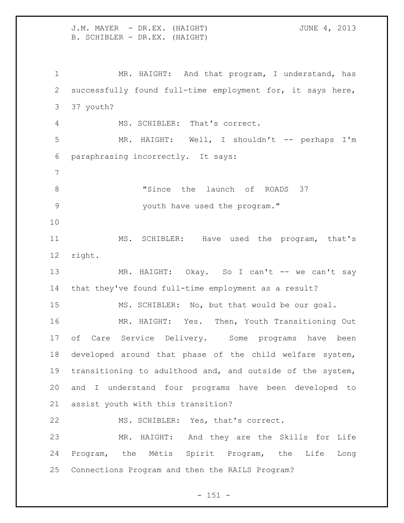J.M. MAYER - DR.EX. (HAIGHT) JUNE 4, 2013 B. SCHIBLER - DR.EX. (HAIGHT) MR. HAIGHT: And that program, I understand, has successfully found full-time employment for, it says here, 37 youth? MS. SCHIBLER: That's correct. MR. HAIGHT: Well, I shouldn't -- perhaps I'm paraphrasing incorrectly. It says: 8 The launch of ROADS 37 9 youth have used the program." MS. SCHIBLER: Have used the program, that's right. 13 MR. HAIGHT: Okay. So I can't -- we can't say that they've found full-time employment as a result? MS. SCHIBLER: No, but that would be our goal. MR. HAIGHT: Yes. Then, Youth Transitioning Out of Care Service Delivery. Some programs have been developed around that phase of the child welfare system, transitioning to adulthood and, and outside of the system, and I understand four programs have been developed to assist youth with this transition? MS. SCHIBLER: Yes, that's correct. MR. HAIGHT: And they are the Skills for Life Program, the Métis Spirit Program, the Life Long Connections Program and then the RAILS Program?

 $- 151 -$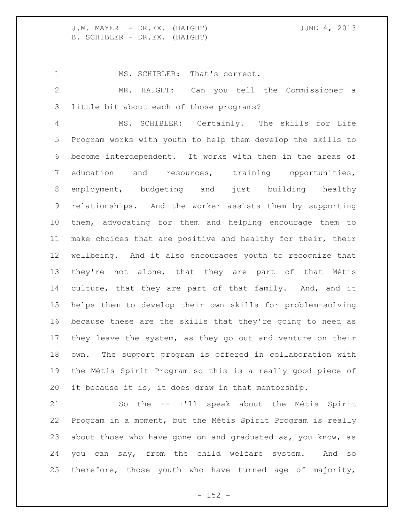1 MS. SCHIBLER: That's correct.

 MR. HAIGHT: Can you tell the Commissioner a little bit about each of those programs?

 MS. SCHIBLER: Certainly. The skills for Life Program works with youth to help them develop the skills to become interdependent. It works with them in the areas of education and resources, training opportunities, employment, budgeting and just building healthy relationships. And the worker assists them by supporting them, advocating for them and helping encourage them to make choices that are positive and healthy for their, their wellbeing. And it also encourages youth to recognize that they're not alone, that they are part of that Métis culture, that they are part of that family. And, and it helps them to develop their own skills for problem-solving because these are the skills that they're going to need as they leave the system, as they go out and venture on their own. The support program is offered in collaboration with the Métis Spirit Program so this is a really good piece of it because it is, it does draw in that mentorship.

 So the -- I'll speak about the Métis Spirit Program in a moment, but the Métis Spirit Program is really about those who have gone on and graduated as, you know, as you can say, from the child welfare system. And so therefore, those youth who have turned age of majority,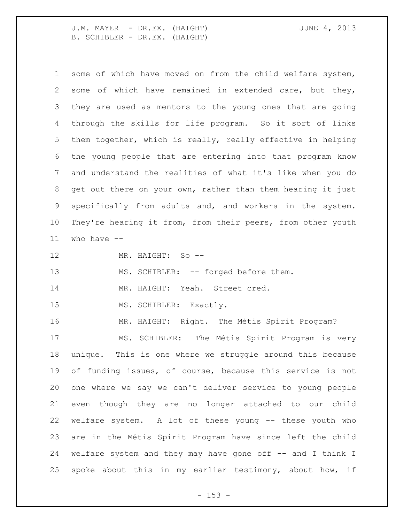some of which have moved on from the child welfare system, some of which have remained in extended care, but they, they are used as mentors to the young ones that are going through the skills for life program. So it sort of links them together, which is really, really effective in helping the young people that are entering into that program know and understand the realities of what it's like when you do get out there on your own, rather than them hearing it just specifically from adults and, and workers in the system. 10 They're hearing it from, from their peers, from other youth who have --

MR. HAIGHT: So --

13 MS. SCHIBLER: -- forged before them.

MR. HAIGHT: Yeah. Street cred.

15 MS. SCHIBLER: Exactly.

MR. HAIGHT: Right. The Métis Spirit Program?

 MS. SCHIBLER: The Métis Spirit Program is very unique. This is one where we struggle around this because of funding issues, of course, because this service is not one where we say we can't deliver service to young people even though they are no longer attached to our child welfare system. A lot of these young -- these youth who are in the Métis Spirit Program have since left the child 24 welfare system and they may have gone off -- and I think I spoke about this in my earlier testimony, about how, if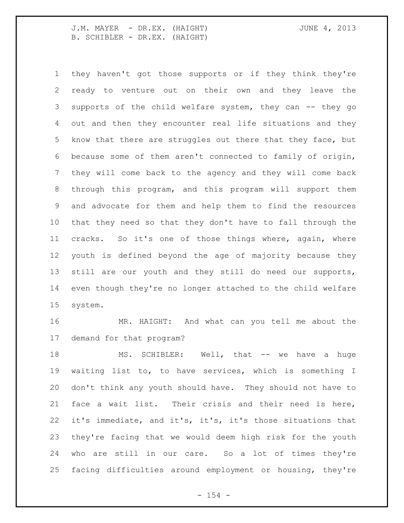they haven't got those supports or if they think they're ready to venture out on their own and they leave the supports of the child welfare system, they can -- they go out and then they encounter real life situations and they know that there are struggles out there that they face, but because some of them aren't connected to family of origin, they will come back to the agency and they will come back through this program, and this program will support them and advocate for them and help them to find the resources that they need so that they don't have to fall through the cracks. So it's one of those things where, again, where youth is defined beyond the age of majority because they still are our youth and they still do need our supports, even though they're no longer attached to the child welfare system.

 MR. HAIGHT: And what can you tell me about the demand for that program?

18 MS. SCHIBLER: Well, that -- we have a huge waiting list to, to have services, which is something I don't think any youth should have. They should not have to face a wait list. Their crisis and their need is here, it's immediate, and it's, it's, it's those situations that they're facing that we would deem high risk for the youth who are still in our care. So a lot of times they're facing difficulties around employment or housing, they're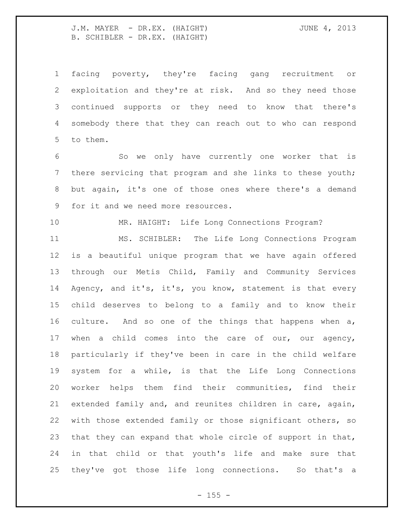facing poverty, they're facing gang recruitment or exploitation and they're at risk. And so they need those continued supports or they need to know that there's somebody there that they can reach out to who can respond to them.

 So we only have currently one worker that is there servicing that program and she links to these youth; but again, it's one of those ones where there's a demand for it and we need more resources.

MR. HAIGHT: Life Long Connections Program?

 MS. SCHIBLER: The Life Long Connections Program is a beautiful unique program that we have again offered through our Metis Child, Family and Community Services Agency, and it's, it's, you know, statement is that every child deserves to belong to a family and to know their culture. And so one of the things that happens when a, when a child comes into the care of our, our agency, particularly if they've been in care in the child welfare system for a while, is that the Life Long Connections worker helps them find their communities, find their extended family and, and reunites children in care, again, with those extended family or those significant others, so that they can expand that whole circle of support in that, in that child or that youth's life and make sure that they've got those life long connections. So that's a

 $- 155 -$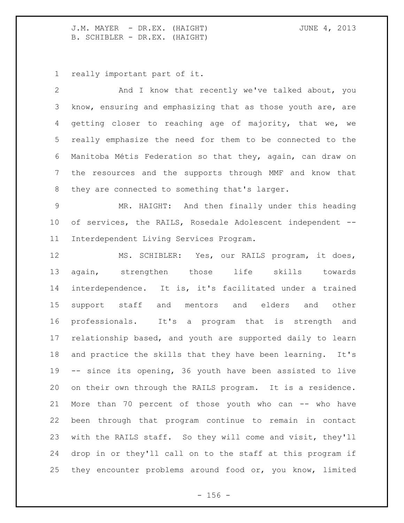really important part of it.

 And I know that recently we've talked about, you know, ensuring and emphasizing that as those youth are, are getting closer to reaching age of majority, that we, we really emphasize the need for them to be connected to the Manitoba Métis Federation so that they, again, can draw on the resources and the supports through MMF and know that 8 they are connected to something that's larger. MR. HAIGHT: And then finally under this heading of services, the RAILS, Rosedale Adolescent independent -- Interdependent Living Services Program. MS. SCHIBLER: Yes, our RAILS program, it does, again, strengthen those life skills towards interdependence. It is, it's facilitated under a trained support staff and mentors and elders and other professionals. It's a program that is strength and relationship based, and youth are supported daily to learn and practice the skills that they have been learning. It's -- since its opening, 36 youth have been assisted to live on their own through the RAILS program. It is a residence. More than 70 percent of those youth who can -- who have been through that program continue to remain in contact with the RAILS staff. So they will come and visit, they'll drop in or they'll call on to the staff at this program if they encounter problems around food or, you know, limited

 $- 156 -$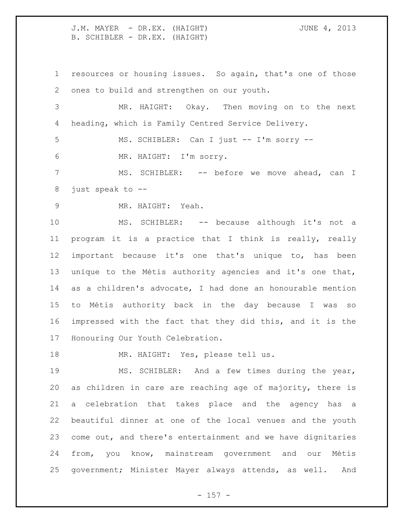resources or housing issues. So again, that's one of those ones to build and strengthen on our youth.

 MR. HAIGHT: Okay. Then moving on to the next heading, which is Family Centred Service Delivery.

MS. SCHIBLER: Can I just -- I'm sorry --

MR. HAIGHT: I'm sorry.

 MS. SCHIBLER: -- before we move ahead, can I just speak to --

MR. HAIGHT: Yeah.

10 MS. SCHIBLER: -- because although it's not a program it is a practice that I think is really, really important because it's one that's unique to, has been unique to the Métis authority agencies and it's one that, as a children's advocate, I had done an honourable mention to Métis authority back in the day because I was so impressed with the fact that they did this, and it is the Honouring Our Youth Celebration.

18 MR. HAIGHT: Yes, please tell us.

 MS. SCHIBLER: And a few times during the year, as children in care are reaching age of majority, there is a celebration that takes place and the agency has a beautiful dinner at one of the local venues and the youth come out, and there's entertainment and we have dignitaries from, you know, mainstream government and our Métis government; Minister Mayer always attends, as well. And

- 157 -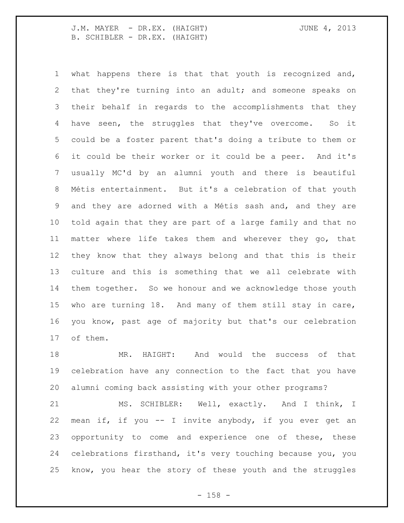what happens there is that that youth is recognized and, that they're turning into an adult; and someone speaks on their behalf in regards to the accomplishments that they 4 have seen, the struggles that they've overcome. So it could be a foster parent that's doing a tribute to them or it could be their worker or it could be a peer. And it's usually MC'd by an alumni youth and there is beautiful Métis entertainment. But it's a celebration of that youth and they are adorned with a Métis sash and, and they are told again that they are part of a large family and that no matter where life takes them and wherever they go, that they know that they always belong and that this is their culture and this is something that we all celebrate with them together. So we honour and we acknowledge those youth who are turning 18. And many of them still stay in care, you know, past age of majority but that's our celebration of them.

 MR. HAIGHT: And would the success of that celebration have any connection to the fact that you have alumni coming back assisting with your other programs?

 MS. SCHIBLER: Well, exactly. And I think, I mean if, if you -- I invite anybody, if you ever get an opportunity to come and experience one of these, these celebrations firsthand, it's very touching because you, you know, you hear the story of these youth and the struggles

- 158 -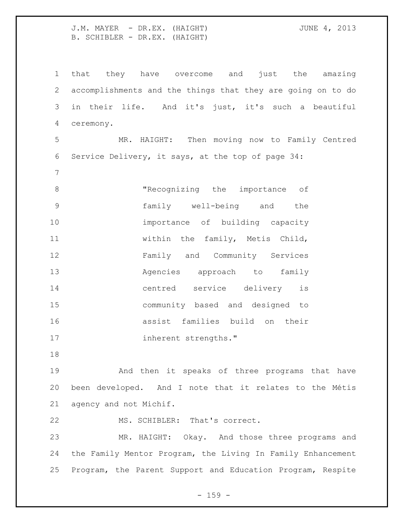that they have overcome and just the amazing accomplishments and the things that they are going on to do in their life. And it's just, it's such a beautiful ceremony.

 MR. HAIGHT: Then moving now to Family Centred Service Delivery, it says, at the top of page 34:

 8 The Mecognizing the importance of

 family well-being and the importance of building capacity within the family, Metis Child, Family and Community Services 13 Agencies approach to family centred service delivery is community based and designed to assist families build on their 17 inherent strengths."

 And then it speaks of three programs that have been developed. And I note that it relates to the Métis agency and not Michif.

MS. SCHIBLER: That's correct.

 MR. HAIGHT: Okay. And those three programs and the Family Mentor Program, the Living In Family Enhancement Program, the Parent Support and Education Program, Respite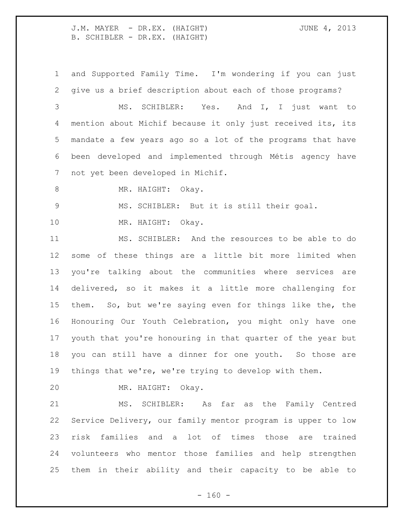and Supported Family Time. I'm wondering if you can just give us a brief description about each of those programs?

 MS. SCHIBLER: Yes. And I, I just want to mention about Michif because it only just received its, its mandate a few years ago so a lot of the programs that have been developed and implemented through Métis agency have not yet been developed in Michif.

8 MR. HAIGHT: Okay.

MS. SCHIBLER: But it is still their goal.

MR. HAIGHT: Okay.

 MS. SCHIBLER: And the resources to be able to do some of these things are a little bit more limited when you're talking about the communities where services are delivered, so it makes it a little more challenging for them. So, but we're saying even for things like the, the Honouring Our Youth Celebration, you might only have one youth that you're honouring in that quarter of the year but you can still have a dinner for one youth. So those are things that we're, we're trying to develop with them.

MR. HAIGHT: Okay.

 MS. SCHIBLER: As far as the Family Centred Service Delivery, our family mentor program is upper to low risk families and a lot of times those are trained volunteers who mentor those families and help strengthen them in their ability and their capacity to be able to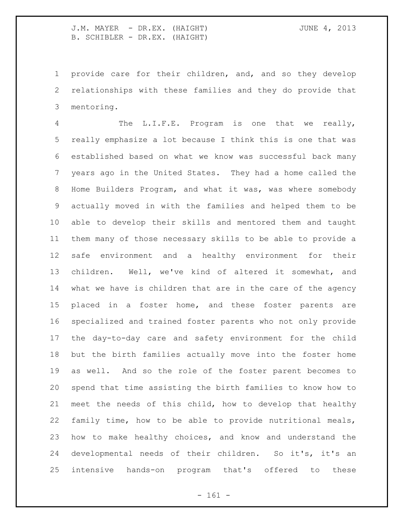provide care for their children, and, and so they develop relationships with these families and they do provide that mentoring.

 The L.I.F.E. Program is one that we really, really emphasize a lot because I think this is one that was established based on what we know was successful back many years ago in the United States. They had a home called the Home Builders Program, and what it was, was where somebody actually moved in with the families and helped them to be able to develop their skills and mentored them and taught them many of those necessary skills to be able to provide a safe environment and a healthy environment for their children. Well, we've kind of altered it somewhat, and what we have is children that are in the care of the agency placed in a foster home, and these foster parents are specialized and trained foster parents who not only provide the day-to-day care and safety environment for the child but the birth families actually move into the foster home as well. And so the role of the foster parent becomes to spend that time assisting the birth families to know how to meet the needs of this child, how to develop that healthy family time, how to be able to provide nutritional meals, how to make healthy choices, and know and understand the developmental needs of their children. So it's, it's an intensive hands-on program that's offered to these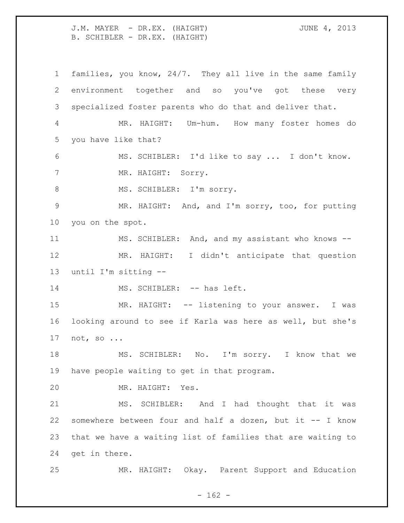families, you know, 24/7. They all live in the same family environment together and so you've got these very specialized foster parents who do that and deliver that. MR. HAIGHT: Um-hum. How many foster homes do you have like that? MS. SCHIBLER: I'd like to say ... I don't know. MR. HAIGHT: Sorry. 8 MS. SCHIBLER: I'm sorry. MR. HAIGHT: And, and I'm sorry, too, for putting you on the spot. MS. SCHIBLER: And, and my assistant who knows -- MR. HAIGHT: I didn't anticipate that question until I'm sitting -- 14 MS. SCHIBLER: -- has left. 15 MR. HAIGHT: -- listening to your answer. I was looking around to see if Karla was here as well, but she's not, so ... 18 MS. SCHIBLER: No. I'm sorry. I know that we have people waiting to get in that program. MR. HAIGHT: Yes. MS. SCHIBLER: And I had thought that it was somewhere between four and half a dozen, but it -- I know that we have a waiting list of families that are waiting to get in there. MR. HAIGHT: Okay. Parent Support and Education

 $- 162 -$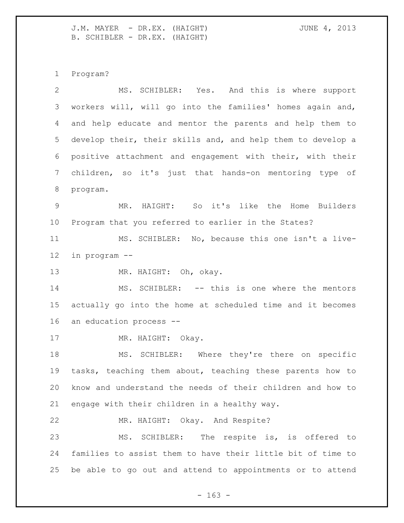Program?

 MS. SCHIBLER: Yes. And this is where support workers will, will go into the families' homes again and, and help educate and mentor the parents and help them to develop their, their skills and, and help them to develop a positive attachment and engagement with their, with their children, so it's just that hands-on mentoring type of program. MR. HAIGHT: So it's like the Home Builders Program that you referred to earlier in the States? MS. SCHIBLER: No, because this one isn't a live- in program -- MR. HAIGHT: Oh, okay. MS. SCHIBLER: -- this is one where the mentors actually go into the home at scheduled time and it becomes an education process -- 17 MR. HAIGHT: Okay. MS. SCHIBLER: Where they're there on specific tasks, teaching them about, teaching these parents how to know and understand the needs of their children and how to engage with their children in a healthy way. MR. HAIGHT: Okay. And Respite? MS. SCHIBLER: The respite is, is offered to families to assist them to have their little bit of time to be able to go out and attend to appointments or to attend

- 163 -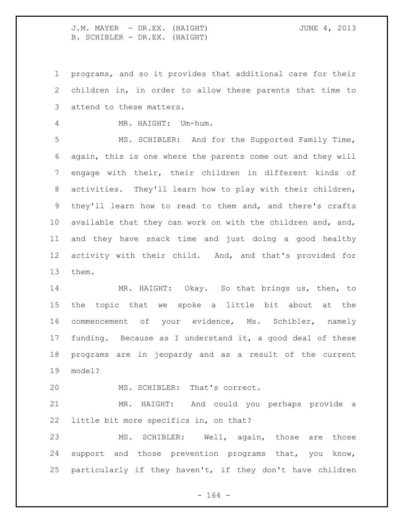programs, and so it provides that additional care for their children in, in order to allow these parents that time to attend to these matters.

MR. HAIGHT: Um-hum.

 MS. SCHIBLER: And for the Supported Family Time, again, this is one where the parents come out and they will engage with their, their children in different kinds of activities. They'll learn how to play with their children, they'll learn how to read to them and, and there's crafts available that they can work on with the children and, and, and they have snack time and just doing a good healthy activity with their child. And, and that's provided for them.

 MR. HAIGHT: Okay. So that brings us, then, to the topic that we spoke a little bit about at the commencement of your evidence, Ms. Schibler, namely funding. Because as I understand it, a good deal of these programs are in jeopardy and as a result of the current model?

20 MS. SCHIBLER: That's correct.

 MR. HAIGHT: And could you perhaps provide a little bit more specifics in, on that?

23 MS. SCHIBLER: Well, again, those are those support and those prevention programs that, you know, particularly if they haven't, if they don't have children

- 164 -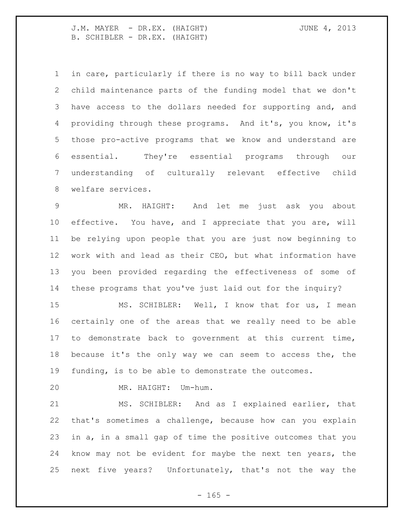in care, particularly if there is no way to bill back under child maintenance parts of the funding model that we don't have access to the dollars needed for supporting and, and providing through these programs. And it's, you know, it's those pro-active programs that we know and understand are essential. They're essential programs through our understanding of culturally relevant effective child welfare services.

 MR. HAIGHT: And let me just ask you about effective. You have, and I appreciate that you are, will be relying upon people that you are just now beginning to work with and lead as their CEO, but what information have you been provided regarding the effectiveness of some of these programs that you've just laid out for the inquiry?

 MS. SCHIBLER: Well, I know that for us, I mean certainly one of the areas that we really need to be able to demonstrate back to government at this current time, because it's the only way we can seem to access the, the funding, is to be able to demonstrate the outcomes.

MR. HAIGHT: Um-hum.

 MS. SCHIBLER: And as I explained earlier, that that's sometimes a challenge, because how can you explain in a, in a small gap of time the positive outcomes that you know may not be evident for maybe the next ten years, the next five years? Unfortunately, that's not the way the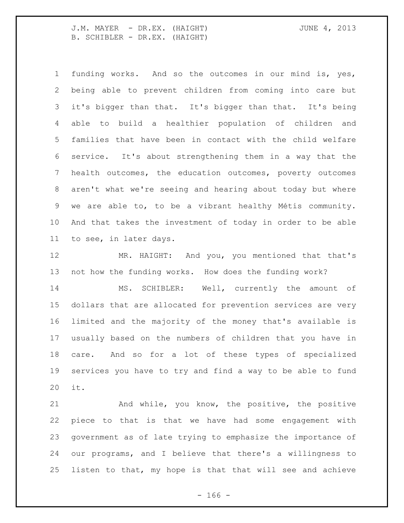funding works. And so the outcomes in our mind is, yes, being able to prevent children from coming into care but it's bigger than that. It's bigger than that. It's being able to build a healthier population of children and families that have been in contact with the child welfare service. It's about strengthening them in a way that the health outcomes, the education outcomes, poverty outcomes aren't what we're seeing and hearing about today but where we are able to, to be a vibrant healthy Métis community. And that takes the investment of today in order to be able to see, in later days.

12 MR. HAIGHT: And you, you mentioned that that's not how the funding works. How does the funding work?

 MS. SCHIBLER: Well, currently the amount of dollars that are allocated for prevention services are very limited and the majority of the money that's available is usually based on the numbers of children that you have in care. And so for a lot of these types of specialized services you have to try and find a way to be able to fund it.

21 And while, you know, the positive, the positive piece to that is that we have had some engagement with government as of late trying to emphasize the importance of our programs, and I believe that there's a willingness to listen to that, my hope is that that will see and achieve

- 166 -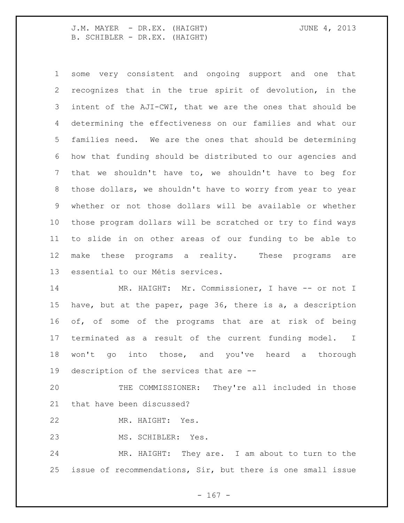some very consistent and ongoing support and one that recognizes that in the true spirit of devolution, in the intent of the AJI-CWI, that we are the ones that should be determining the effectiveness on our families and what our families need. We are the ones that should be determining how that funding should be distributed to our agencies and that we shouldn't have to, we shouldn't have to beg for those dollars, we shouldn't have to worry from year to year whether or not those dollars will be available or whether those program dollars will be scratched or try to find ways to slide in on other areas of our funding to be able to make these programs a reality. These programs are essential to our Métis services.

14 MR. HAIGHT: Mr. Commissioner, I have -- or not I have, but at the paper, page 36, there is a, a description of, of some of the programs that are at risk of being terminated as a result of the current funding model. I won't go into those, and you've heard a thorough description of the services that are --

 THE COMMISSIONER: They're all included in those that have been discussed?

MR. HAIGHT: Yes.

MS. SCHIBLER: Yes.

 MR. HAIGHT: They are. I am about to turn to the issue of recommendations, Sir, but there is one small issue

- 167 -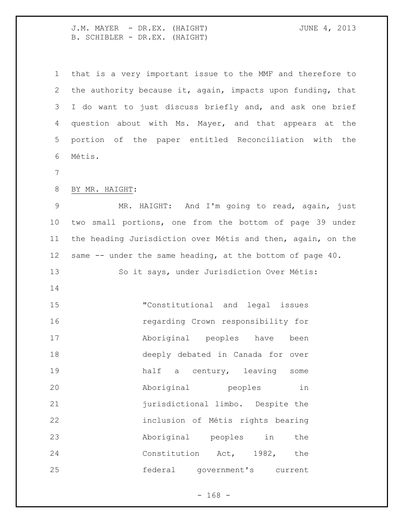| $\mathbf 1$    | that is a very important issue to the MMF and therefore to  |
|----------------|-------------------------------------------------------------|
| 2              | the authority because it, again, impacts upon funding, that |
| 3              | I do want to just discuss briefly and, and ask one brief    |
| 4              | question about with Ms. Mayer, and that appears at the      |
| 5              | portion of the paper entitled Reconciliation with the       |
| 6              | Métis.                                                      |
| $7\phantom{.}$ |                                                             |
| $8\,$          | BY MR. HAIGHT:                                              |
| $\mathsf 9$    | MR. HAIGHT: And I'm going to read, again, just              |
| 10             | two small portions, one from the bottom of page 39 under    |
| 11             | the heading Jurisdiction over Métis and then, again, on the |
| 12             | same -- under the same heading, at the bottom of page 40.   |
| 13             | So it says, under Jurisdiction Over Métis:                  |
| 14             |                                                             |
| 15             | "Constitutional and legal issues                            |
| 16             | regarding Crown responsibility for                          |
| 17             | Aboriginal peoples have<br>been                             |
| 18             | deeply debated in Canada for over                           |
| 19             | half a century, leaving<br>some                             |
| 20             | Aboriginal peoples<br>in                                    |
| 21             | jurisdictional limbo. Despite the                           |
| 22             | inclusion of Métis rights bearing                           |
| 23             | Aboriginal peoples<br>in<br>the                             |
| 24             | Constitution Act, 1982, the                                 |
| 25             | federal government's current                                |

- 168 -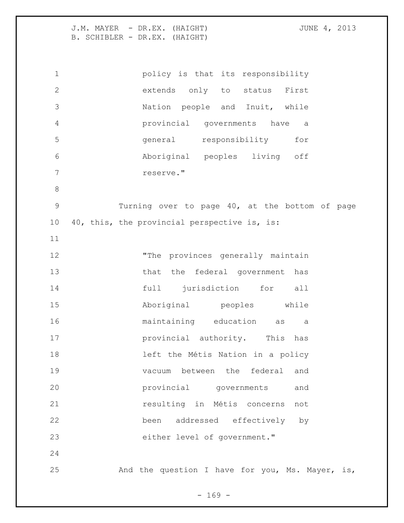| $1\,$         | policy is that its responsibility               |
|---------------|-------------------------------------------------|
| $\mathbf{2}$  | extends only to status First                    |
| 3             | Nation people and Inuit, while                  |
| 4             | provincial governments have a                   |
| 5             | general responsibility for                      |
| 6             | Aboriginal peoples living off                   |
| 7             | reserve."                                       |
| $8\,$         |                                                 |
| $\mathcal{G}$ | Turning over to page 40, at the bottom of page  |
| 10            | 40, this, the provincial perspective is, is:    |
| 11            |                                                 |
| 12            | "The provinces generally maintain               |
| 13            | that the federal government has                 |
| 14            | full jurisdiction for all                       |
| 15            | Aboriginal peoples while                        |
| 16            | maintaining education as a                      |
| 17            | provincial authority. This has                  |
| 18            | left the Métis Nation in a policy               |
| 19            | vacuum between the federal and                  |
| 20            | provincial governments and                      |
| 21            | resulting in Métis concerns not                 |
| 22            | been addressed effectively by                   |
| 23            | either level of government."                    |
| 24            |                                                 |
| 25            | And the question I have for you, Ms. Mayer, is, |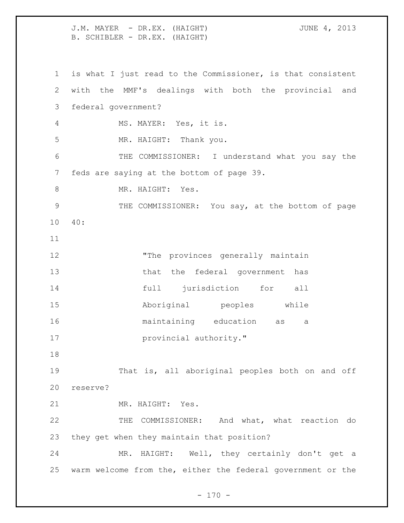J.M. MAYER - DR.EX. (HAIGHT) JUNE 4, 2013 B. SCHIBLER - DR.EX. (HAIGHT) is what I just read to the Commissioner, is that consistent with the MMF's dealings with both the provincial and federal government? MS. MAYER: Yes, it is. MR. HAIGHT: Thank you. THE COMMISSIONER: I understand what you say the feds are saying at the bottom of page 39. 8 MR. HAIGHT: Yes. 9 THE COMMISSIONER: You say, at the bottom of page 40: 12 The provinces generally maintain 13 that the federal government has full jurisdiction for all Aboriginal peoples while maintaining education as a **provincial authority.**" That is, all aboriginal peoples both on and off reserve? MR. HAIGHT: Yes. THE COMMISSIONER: And what, what reaction do they get when they maintain that position? MR. HAIGHT: Well, they certainly don't get a warm welcome from the, either the federal government or the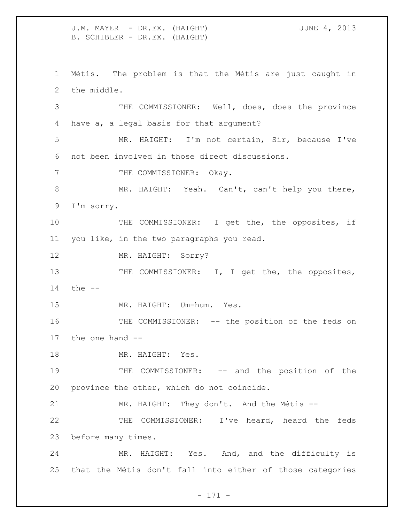J.M. MAYER - DR.EX. (HAIGHT) JUNE 4, 2013 B. SCHIBLER - DR.EX. (HAIGHT) Métis. The problem is that the Métis are just caught in the middle. THE COMMISSIONER: Well, does, does the province have a, a legal basis for that argument? MR. HAIGHT: I'm not certain, Sir, because I've not been involved in those direct discussions. 7 THE COMMISSIONER: Okay. MR. HAIGHT: Yeah. Can't, can't help you there, I'm sorry. 10 THE COMMISSIONER: I get the, the opposites, if you like, in the two paragraphs you read. MR. HAIGHT: Sorry? 13 THE COMMISSIONER: I, I get the, the opposites, the -- MR. HAIGHT: Um-hum. Yes. 16 THE COMMISSIONER: -- the position of the feds on the one hand -- 18 MR. HAIGHT: Yes. THE COMMISSIONER: -- and the position of the province the other, which do not coincide. MR. HAIGHT: They don't. And the Métis -- THE COMMISSIONER: I've heard, heard the feds before many times. MR. HAIGHT: Yes. And, and the difficulty is that the Métis don't fall into either of those categories

- 171 -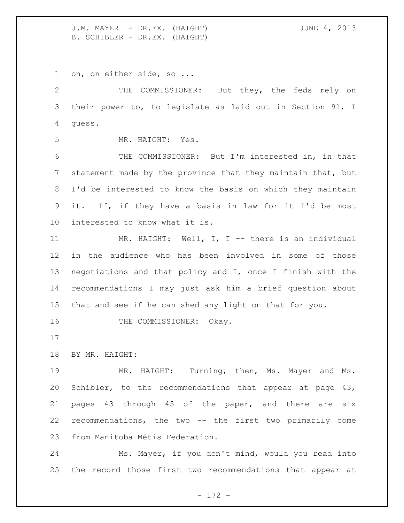on, on either side, so ...

 THE COMMISSIONER: But they, the feds rely on their power to, to legislate as laid out in Section 91, I guess.

MR. HAIGHT: Yes.

 THE COMMISSIONER: But I'm interested in, in that 7 statement made by the province that they maintain that, but I'd be interested to know the basis on which they maintain it. If, if they have a basis in law for it I'd be most interested to know what it is.

11 MR. HAIGHT: Well, I, I -- there is an individual in the audience who has been involved in some of those negotiations and that policy and I, once I finish with the recommendations I may just ask him a brief question about that and see if he can shed any light on that for you.

16 THE COMMISSIONER: Okay.

## BY MR. HAIGHT:

 MR. HAIGHT: Turning, then, Ms. Mayer and Ms. Schibler, to the recommendations that appear at page 43, pages 43 through 45 of the paper, and there are six recommendations, the two -- the first two primarily come from Manitoba Métis Federation.

 Ms. Mayer, if you don't mind, would you read into the record those first two recommendations that appear at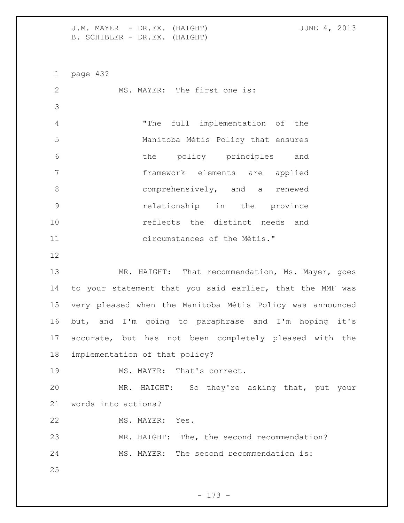page 43? 2 MS. MAYER: The first one is: "The full implementation of the Manitoba Métis Policy that ensures the policy principles and framework elements are applied comprehensively, and a renewed relationship in the province reflects the distinct needs and 11 circumstances of the Métis." 13 MR. HAIGHT: That recommendation, Ms. Mayer, goes to your statement that you said earlier, that the MMF was very pleased when the Manitoba Métis Policy was announced but, and I'm going to paraphrase and I'm hoping it's accurate, but has not been completely pleased with the implementation of that policy? 19 MS. MAYER: That's correct. MR. HAIGHT: So they're asking that, put your words into actions? MS. MAYER: Yes. MR. HAIGHT: The, the second recommendation? MS. MAYER: The second recommendation is: 

- 173 -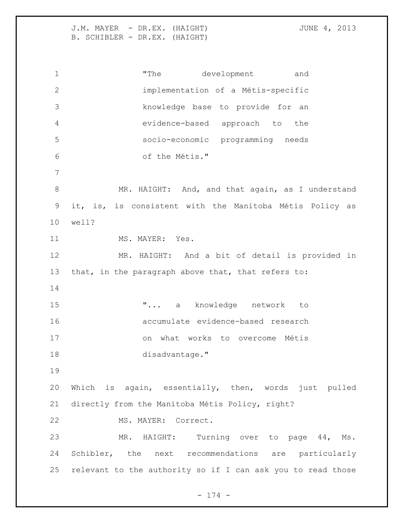"The development and implementation of a Métis-specific knowledge base to provide for an evidence-based approach to the socio-economic programming needs of the Métis." 8 MR. HAIGHT: And, and that again, as I understand it, is, is consistent with the Manitoba Métis Policy as well? 11 MS. MAYER: Yes. MR. HAIGHT: And a bit of detail is provided in that, in the paragraph above that, that refers to: "... a knowledge network to accumulate evidence-based research on what works to overcome Métis disadvantage." Which is again, essentially, then, words just pulled directly from the Manitoba Métis Policy, right? MS. MAYER: Correct. 23 MR. HAIGHT: Turning over to page 44, Ms. Schibler, the next recommendations are particularly relevant to the authority so if I can ask you to read those

- 174 -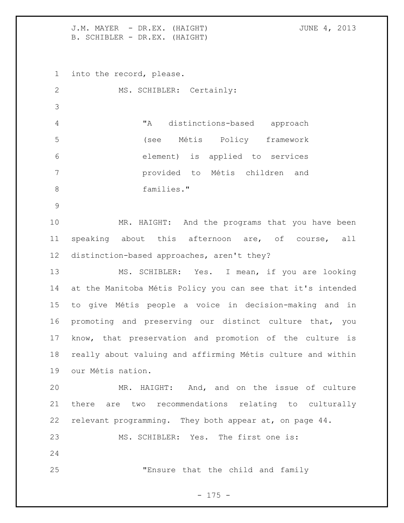into the record, please. MS. SCHIBLER: Certainly: "A distinctions-based approach (see Métis Policy framework element) is applied to services provided to Métis children and families." MR. HAIGHT: And the programs that you have been speaking about this afternoon are, of course, all distinction-based approaches, aren't they? MS. SCHIBLER: Yes. I mean, if you are looking at the Manitoba Métis Policy you can see that it's intended to give Métis people a voice in decision-making and in promoting and preserving our distinct culture that, you know, that preservation and promotion of the culture is really about valuing and affirming Métis culture and within our Métis nation. MR. HAIGHT: And, and on the issue of culture there are two recommendations relating to culturally relevant programming. They both appear at, on page 44. MS. SCHIBLER: Yes. The first one is: "Ensure that the child and family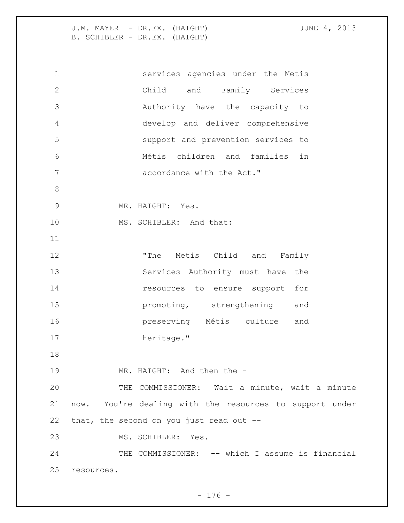| $\mathbf 1$    | services agencies under the Metis                       |
|----------------|---------------------------------------------------------|
| $\overline{2}$ | Child and Family Services                               |
| 3              | Authority have the capacity to                          |
| 4              | develop and deliver comprehensive                       |
| 5              | support and prevention services to                      |
| 6              | Métis children and families in                          |
| 7              | accordance with the Act."                               |
| 8              |                                                         |
| $\mathcal{G}$  | MR. HAIGHT: Yes.                                        |
| 10             | MS. SCHIBLER: And that:                                 |
| 11             |                                                         |
| 12             | "The Metis Child and<br>Family                          |
| 13             | Services Authority must have the                        |
| 14             | resources to ensure support for                         |
| 15             | promoting, strengthening and                            |
| 16             | preserving Métis culture and                            |
| 17             | heritage."                                              |
| 18             |                                                         |
| 19             | MR. HAIGHT: And then the -                              |
| 20             | THE COMMISSIONER: Wait a minute, wait a minute          |
| 21             | now. You're dealing with the resources to support under |
| 22             | that, the second on you just read out $-$ -             |
| 23             | MS. SCHIBLER: Yes.                                      |
| 24             | THE COMMISSIONER: -- which I assume is financial        |
| 25             | resources.                                              |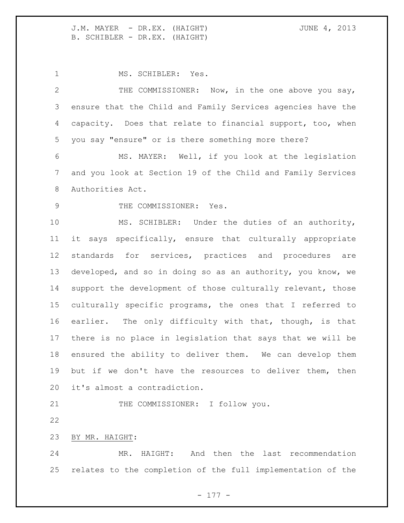MS. SCHIBLER: Yes. THE COMMISSIONER: Now, in the one above you say, ensure that the Child and Family Services agencies have the capacity. Does that relate to financial support, too, when you say "ensure" or is there something more there? MS. MAYER: Well, if you look at the legislation and you look at Section 19 of the Child and Family Services Authorities Act. 9 THE COMMISSIONER: Yes. MS. SCHIBLER: Under the duties of an authority, it says specifically, ensure that culturally appropriate standards for services, practices and procedures are developed, and so in doing so as an authority, you know, we 14 support the development of those culturally relevant, those culturally specific programs, the ones that I referred to earlier. The only difficulty with that, though, is that there is no place in legislation that says that we will be ensured the ability to deliver them. We can develop them but if we don't have the resources to deliver them, then it's almost a contradiction.

21 THE COMMISSIONER: I follow you.

BY MR. HAIGHT:

 MR. HAIGHT: And then the last recommendation relates to the completion of the full implementation of the

- 177 -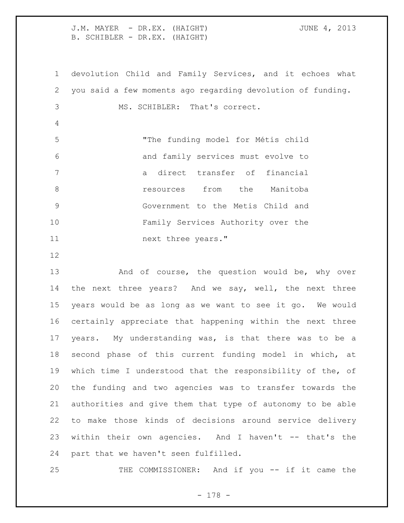devolution Child and Family Services, and it echoes what you said a few moments ago regarding devolution of funding. MS. SCHIBLER: That's correct. "The funding model for Métis child and family services must evolve to a direct transfer of financial **8 8 resources** from the Manitoba Government to the Metis Child and Family Services Authority over the 11 next three years."

13 And of course, the question would be, why over the next three years? And we say, well, the next three years would be as long as we want to see it go. We would certainly appreciate that happening within the next three years. My understanding was, is that there was to be a second phase of this current funding model in which, at which time I understood that the responsibility of the, of the funding and two agencies was to transfer towards the authorities and give them that type of autonomy to be able to make those kinds of decisions around service delivery within their own agencies. And I haven't -- that's the part that we haven't seen fulfilled.

THE COMMISSIONER: And if you -- if it came the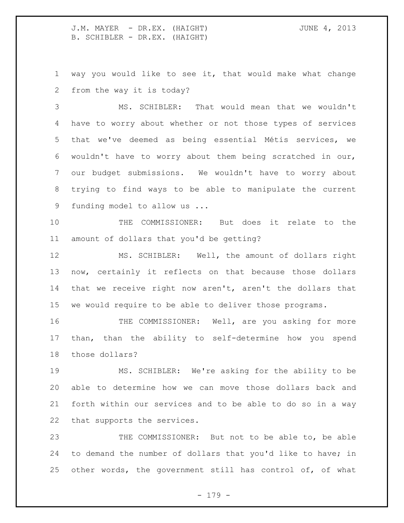way you would like to see it, that would make what change from the way it is today?

 MS. SCHIBLER: That would mean that we wouldn't have to worry about whether or not those types of services that we've deemed as being essential Métis services, we wouldn't have to worry about them being scratched in our, our budget submissions. We wouldn't have to worry about trying to find ways to be able to manipulate the current funding model to allow us ...

 THE COMMISSIONER: But does it relate to the amount of dollars that you'd be getting?

 MS. SCHIBLER: Well, the amount of dollars right now, certainly it reflects on that because those dollars that we receive right now aren't, aren't the dollars that we would require to be able to deliver those programs.

 THE COMMISSIONER: Well, are you asking for more than, than the ability to self-determine how you spend those dollars?

 MS. SCHIBLER: We're asking for the ability to be able to determine how we can move those dollars back and forth within our services and to be able to do so in a way that supports the services.

 THE COMMISSIONER: But not to be able to, be able 24 to demand the number of dollars that you'd like to have; in other words, the government still has control of, of what

- 179 -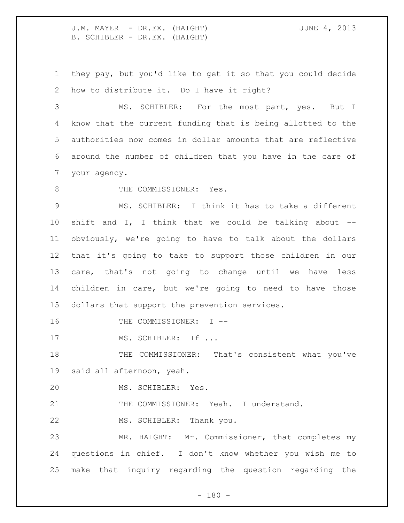they pay, but you'd like to get it so that you could decide how to distribute it. Do I have it right?

 MS. SCHIBLER: For the most part, yes. But I know that the current funding that is being allotted to the authorities now comes in dollar amounts that are reflective around the number of children that you have in the care of your agency.

8 THE COMMISSIONER: Yes.

 MS. SCHIBLER: I think it has to take a different shift and I, I think that we could be talking about -- obviously, we're going to have to talk about the dollars that it's going to take to support those children in our care, that's not going to change until we have less children in care, but we're going to need to have those dollars that support the prevention services.

16 THE COMMISSIONER: I --

17 MS. SCHIBLER: If ...

 THE COMMISSIONER: That's consistent what you've said all afternoon, yeah.

MS. SCHIBLER: Yes.

21 THE COMMISSIONER: Yeah. I understand.

MS. SCHIBLER: Thank you.

 MR. HAIGHT: Mr. Commissioner, that completes my questions in chief. I don't know whether you wish me to make that inquiry regarding the question regarding the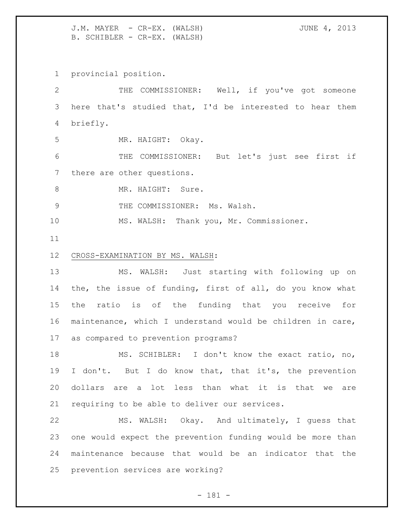provincial position.

 THE COMMISSIONER: Well, if you've got someone here that's studied that, I'd be interested to hear them briefly. MR. HAIGHT: Okay. THE COMMISSIONER: But let's just see first if there are other questions. 8 MR. HAIGHT: Sure. 9 THE COMMISSIONER: Ms. Walsh. MS. WALSH: Thank you, Mr. Commissioner. CROSS-EXAMINATION BY MS. WALSH: MS. WALSH: Just starting with following up on the, the issue of funding, first of all, do you know what the ratio is of the funding that you receive for maintenance, which I understand would be children in care, as compared to prevention programs? MS. SCHIBLER: I don't know the exact ratio, no, I don't. But I do know that, that it's, the prevention dollars are a lot less than what it is that we are requiring to be able to deliver our services. MS. WALSH: Okay. And ultimately, I guess that one would expect the prevention funding would be more than maintenance because that would be an indicator that the prevention services are working?

- 181 -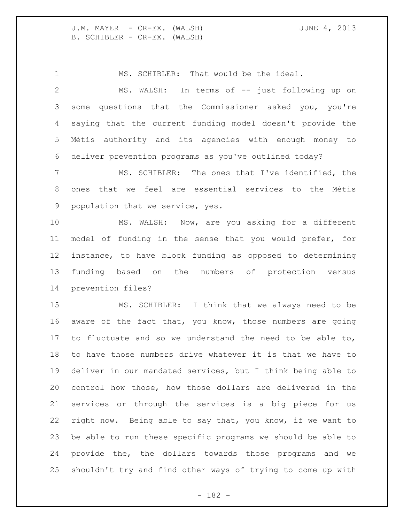MS. SCHIBLER: That would be the ideal.

 MS. WALSH: In terms of -- just following up on some questions that the Commissioner asked you, you're saying that the current funding model doesn't provide the Métis authority and its agencies with enough money to deliver prevention programs as you've outlined today?

 MS. SCHIBLER: The ones that I've identified, the ones that we feel are essential services to the Métis population that we service, yes.

 MS. WALSH: Now, are you asking for a different model of funding in the sense that you would prefer, for instance, to have block funding as opposed to determining funding based on the numbers of protection versus prevention files?

 MS. SCHIBLER: I think that we always need to be aware of the fact that, you know, those numbers are going to fluctuate and so we understand the need to be able to, to have those numbers drive whatever it is that we have to deliver in our mandated services, but I think being able to control how those, how those dollars are delivered in the services or through the services is a big piece for us right now. Being able to say that, you know, if we want to be able to run these specific programs we should be able to provide the, the dollars towards those programs and we shouldn't try and find other ways of trying to come up with

- 182 -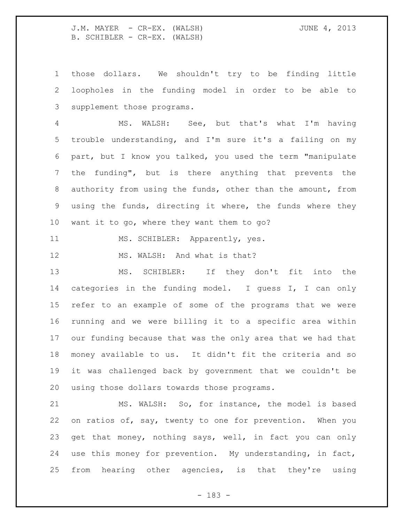those dollars. We shouldn't try to be finding little loopholes in the funding model in order to be able to supplement those programs.

 MS. WALSH: See, but that's what I'm having trouble understanding, and I'm sure it's a failing on my part, but I know you talked, you used the term "manipulate the funding", but is there anything that prevents the authority from using the funds, other than the amount, from using the funds, directing it where, the funds where they want it to go, where they want them to go?

11 MS. SCHIBLER: Apparently, yes.

12 MS. WALSH: And what is that?

 MS. SCHIBLER: If they don't fit into the categories in the funding model. I guess I, I can only refer to an example of some of the programs that we were running and we were billing it to a specific area within our funding because that was the only area that we had that money available to us. It didn't fit the criteria and so it was challenged back by government that we couldn't be using those dollars towards those programs.

 MS. WALSH: So, for instance, the model is based on ratios of, say, twenty to one for prevention. When you get that money, nothing says, well, in fact you can only use this money for prevention. My understanding, in fact, from hearing other agencies, is that they're using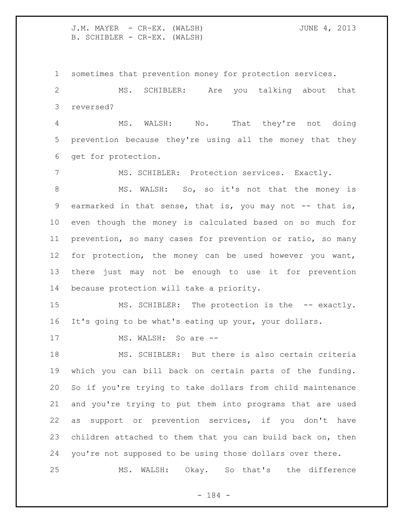sometimes that prevention money for protection services.

 MS. SCHIBLER: Are you talking about that reversed?

 MS. WALSH: No. That they're not doing prevention because they're using all the money that they get for protection.

 MS. SCHIBLER: Protection services. Exactly. 8 MS. WALSH: So, so it's not that the money is earmarked in that sense, that is, you may not -- that is, even though the money is calculated based on so much for prevention, so many cases for prevention or ratio, so many for protection, the money can be used however you want, there just may not be enough to use it for prevention because protection will take a priority.

 MS. SCHIBLER: The protection is the -- exactly. It's going to be what's eating up your, your dollars.

17 MS. WALSH: So are --

 MS. SCHIBLER: But there is also certain criteria which you can bill back on certain parts of the funding. So if you're trying to take dollars from child maintenance and you're trying to put them into programs that are used as support or prevention services, if you don't have children attached to them that you can build back on, then you're not supposed to be using those dollars over there. MS. WALSH: Okay. So that's the difference

- 184 -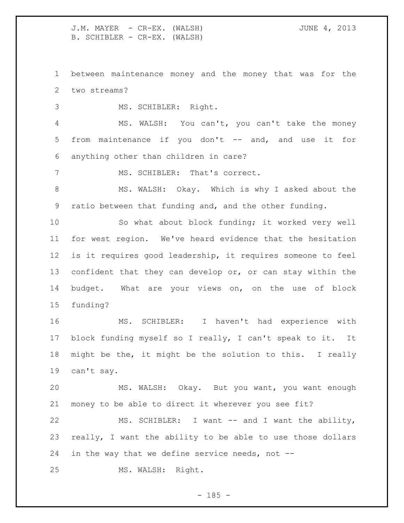between maintenance money and the money that was for the two streams?

MS. SCHIBLER: Right.

 MS. WALSH: You can't, you can't take the money from maintenance if you don't -- and, and use it for anything other than children in care?

MS. SCHIBLER: That's correct.

 MS. WALSH: Okay. Which is why I asked about the ratio between that funding and, and the other funding.

 So what about block funding; it worked very well for west region. We've heard evidence that the hesitation is it requires good leadership, it requires someone to feel confident that they can develop or, or can stay within the budget. What are your views on, on the use of block funding?

 MS. SCHIBLER: I haven't had experience with block funding myself so I really, I can't speak to it. It might be the, it might be the solution to this. I really can't say.

 MS. WALSH: Okay. But you want, you want enough money to be able to direct it wherever you see fit?

 MS. SCHIBLER: I want -- and I want the ability, really, I want the ability to be able to use those dollars in the way that we define service needs, not --

MS. WALSH: Right.

 $- 185 -$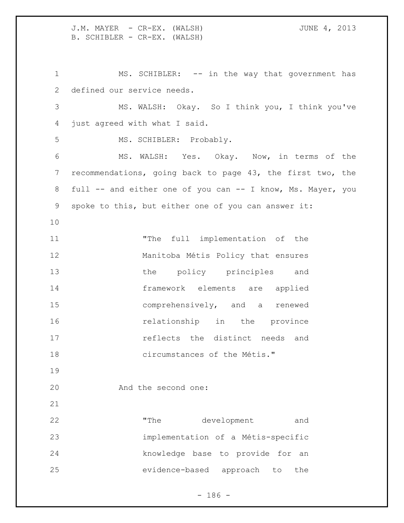1 MS. SCHIBLER: -- in the way that government has defined our service needs. MS. WALSH: Okay. So I think you, I think you've just agreed with what I said. MS. SCHIBLER: Probably. MS. WALSH: Yes. Okay. Now, in terms of the recommendations, going back to page 43, the first two, the 8 full -- and either one of you can -- I know, Ms. Mayer, you spoke to this, but either one of you can answer it: "The full implementation of the Manitoba Métis Policy that ensures the policy principles and framework elements are applied comprehensively, and a renewed **16** relationship in the province **reflects** the distinct needs and 18 circumstances of the Métis." And the second one: "The development and implementation of a Métis-specific knowledge base to provide for an evidence-based approach to the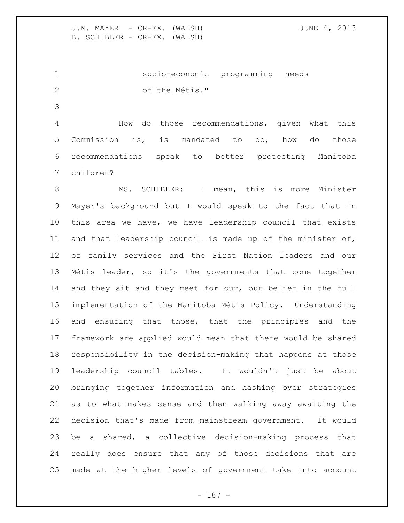socio-economic programming needs of the Métis."

 How do those recommendations, given what this Commission is, is mandated to do, how do those recommendations speak to better protecting Manitoba children?

 MS. SCHIBLER: I mean, this is more Minister Mayer's background but I would speak to the fact that in this area we have, we have leadership council that exists and that leadership council is made up of the minister of, of family services and the First Nation leaders and our Métis leader, so it's the governments that come together and they sit and they meet for our, our belief in the full implementation of the Manitoba Métis Policy. Understanding and ensuring that those, that the principles and the framework are applied would mean that there would be shared responsibility in the decision-making that happens at those leadership council tables. It wouldn't just be about bringing together information and hashing over strategies as to what makes sense and then walking away awaiting the decision that's made from mainstream government. It would be a shared, a collective decision-making process that really does ensure that any of those decisions that are made at the higher levels of government take into account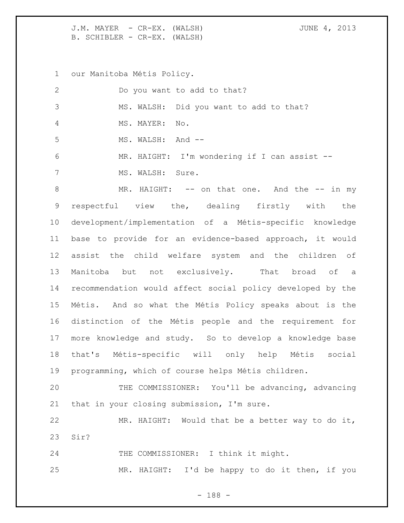our Manitoba Métis Policy.

| -2 |                   | Do you want to add to that?                  |
|----|-------------------|----------------------------------------------|
| -3 |                   | MS. WALSH: Did you want to add to that?      |
| -4 | MS. MAYER: No.    |                                              |
| -5 | MS. WALSH: And -- |                                              |
| -6 |                   | MR. HAIGHT: I'm wondering if I can assist -- |
|    | MS. WALSH: Sure.  |                                              |

8 MR. HAIGHT: -- on that one. And the -- in my respectful view the, dealing firstly with the development/implementation of a Métis-specific knowledge base to provide for an evidence-based approach, it would assist the child welfare system and the children of Manitoba but not exclusively. That broad of a recommendation would affect social policy developed by the Métis. And so what the Métis Policy speaks about is the distinction of the Métis people and the requirement for more knowledge and study. So to develop a knowledge base that's Métis-specific will only help Métis social programming, which of course helps Métis children.

 THE COMMISSIONER: You'll be advancing, advancing that in your closing submission, I'm sure.

 MR. HAIGHT: Would that be a better way to do it, Sir?

24 THE COMMISSIONER: I think it might. MR. HAIGHT: I'd be happy to do it then, if you

- 188 -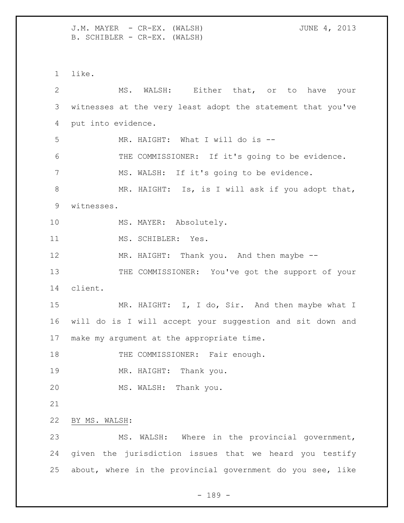like. MS. WALSH: Either that, or to have your witnesses at the very least adopt the statement that you've put into evidence. MR. HAIGHT: What I will do is -- THE COMMISSIONER: If it's going to be evidence. MS. WALSH: If it's going to be evidence. 8 MR. HAIGHT: Is, is I will ask if you adopt that, witnesses. 10 MS. MAYER: Absolutely. 11 MS. SCHIBLER: Yes. 12 MR. HAIGHT: Thank you. And then maybe --13 THE COMMISSIONER: You've got the support of your client. 15 MR. HAIGHT: I, I do, Sir. And then maybe what I will do is I will accept your suggestion and sit down and make my argument at the appropriate time. 18 THE COMMISSIONER: Fair enough. MR. HAIGHT: Thank you. MS. WALSH: Thank you. BY MS. WALSH: MS. WALSH: Where in the provincial government, given the jurisdiction issues that we heard you testify about, where in the provincial government do you see, like

- 189 -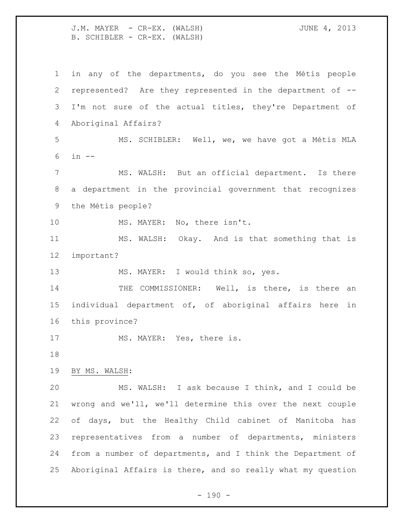in any of the departments, do you see the Métis people represented? Are they represented in the department of -- I'm not sure of the actual titles, they're Department of Aboriginal Affairs? MS. SCHIBLER: Well, we, we have got a Métis MLA in -- MS. WALSH: But an official department. Is there a department in the provincial government that recognizes the Métis people? 10 MS. MAYER: No, there isn't. MS. WALSH: Okay. And is that something that is important? 13 MS. MAYER: I would think so, yes. 14 THE COMMISSIONER: Well, is there, is there an individual department of, of aboriginal affairs here in this province? 17 MS. MAYER: Yes, there is. BY MS. WALSH: MS. WALSH: I ask because I think, and I could be wrong and we'll, we'll determine this over the next couple of days, but the Healthy Child cabinet of Manitoba has representatives from a number of departments, ministers from a number of departments, and I think the Department of Aboriginal Affairs is there, and so really what my question

 $- 190 -$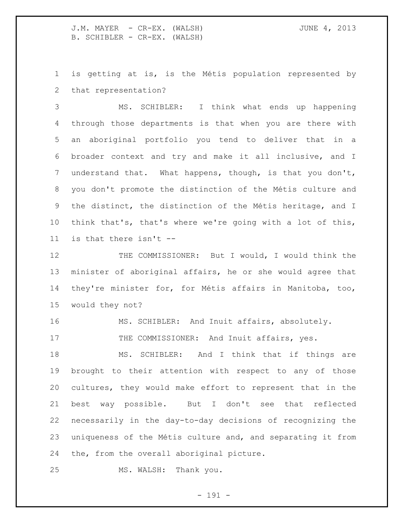is getting at is, is the Métis population represented by that representation?

 MS. SCHIBLER: I think what ends up happening through those departments is that when you are there with an aboriginal portfolio you tend to deliver that in a broader context and try and make it all inclusive, and I understand that. What happens, though, is that you don't, you don't promote the distinction of the Métis culture and the distinct, the distinction of the Métis heritage, and I think that's, that's where we're going with a lot of this, is that there isn't --

 THE COMMISSIONER: But I would, I would think the minister of aboriginal affairs, he or she would agree that they're minister for, for Métis affairs in Manitoba, too, would they not?

MS. SCHIBLER: And Inuit affairs, absolutely.

17 THE COMMISSIONER: And Inuit affairs, yes.

 MS. SCHIBLER: And I think that if things are brought to their attention with respect to any of those cultures, they would make effort to represent that in the best way possible. But I don't see that reflected necessarily in the day-to-day decisions of recognizing the uniqueness of the Métis culture and, and separating it from the, from the overall aboriginal picture.

MS. WALSH: Thank you.

- 191 -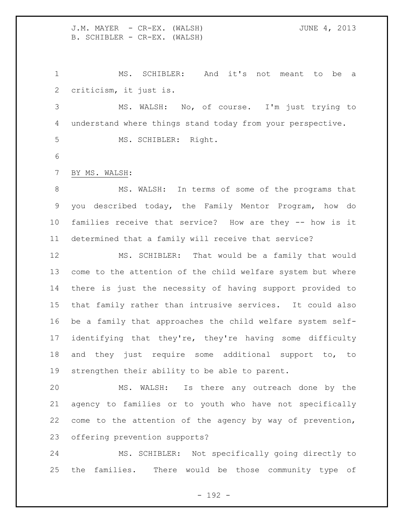MS. SCHIBLER: And it's not meant to be a criticism, it just is.

 MS. WALSH: No, of course. I'm just trying to understand where things stand today from your perspective. MS. SCHIBLER: Right.

- 
- BY MS. WALSH:

 MS. WALSH: In terms of some of the programs that you described today, the Family Mentor Program, how do families receive that service? How are they -- how is it determined that a family will receive that service?

 MS. SCHIBLER: That would be a family that would come to the attention of the child welfare system but where there is just the necessity of having support provided to that family rather than intrusive services. It could also be a family that approaches the child welfare system self- identifying that they're, they're having some difficulty and they just require some additional support to, to strengthen their ability to be able to parent.

 MS. WALSH: Is there any outreach done by the agency to families or to youth who have not specifically come to the attention of the agency by way of prevention, offering prevention supports?

 MS. SCHIBLER: Not specifically going directly to the families. There would be those community type of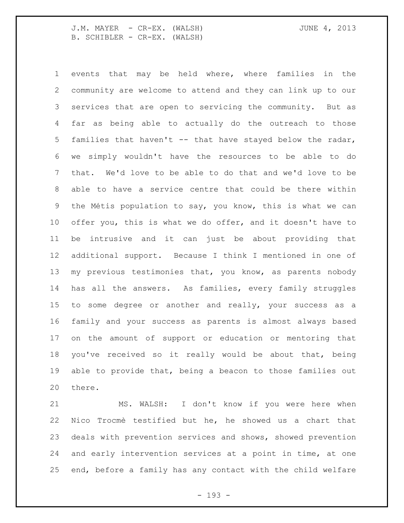events that may be held where, where families in the community are welcome to attend and they can link up to our services that are open to servicing the community. But as far as being able to actually do the outreach to those families that haven't -- that have stayed below the radar, we simply wouldn't have the resources to be able to do that. We'd love to be able to do that and we'd love to be able to have a service centre that could be there within the Métis population to say, you know, this is what we can offer you, this is what we do offer, and it doesn't have to be intrusive and it can just be about providing that additional support. Because I think I mentioned in one of my previous testimonies that, you know, as parents nobody has all the answers. As families, every family struggles to some degree or another and really, your success as a family and your success as parents is almost always based on the amount of support or education or mentoring that you've received so it really would be about that, being able to provide that, being a beacon to those families out there.

 MS. WALSH: I don't know if you were here when Nico Trocmè testified but he, he showed us a chart that deals with prevention services and shows, showed prevention and early intervention services at a point in time, at one end, before a family has any contact with the child welfare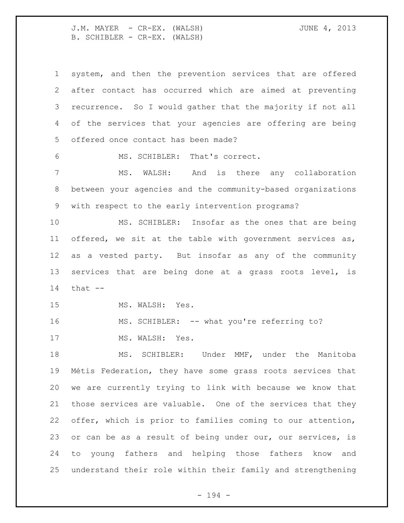system, and then the prevention services that are offered after contact has occurred which are aimed at preventing recurrence. So I would gather that the majority if not all of the services that your agencies are offering are being offered once contact has been made? MS. SCHIBLER: That's correct. MS. WALSH: And is there any collaboration between your agencies and the community-based organizations with respect to the early intervention programs? MS. SCHIBLER: Insofar as the ones that are being offered, we sit at the table with government services as, as a vested party. But insofar as any of the community services that are being done at a grass roots level, is that -- 15 MS. WALSH: Yes. MS. SCHIBLER: -- what you're referring to? 17 MS. WALSH: Yes. MS. SCHIBLER: Under MMF, under the Manitoba Métis Federation, they have some grass roots services that we are currently trying to link with because we know that those services are valuable. One of the services that they offer, which is prior to families coming to our attention, 23 or can be as a result of being under our, our services, is to young fathers and helping those fathers know and

understand their role within their family and strengthening

- 194 -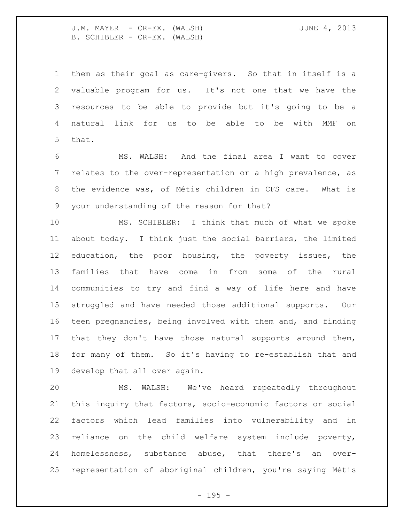them as their goal as care-givers. So that in itself is a valuable program for us. It's not one that we have the resources to be able to provide but it's going to be a natural link for us to be able to be with MMF on that.

 MS. WALSH: And the final area I want to cover relates to the over-representation or a high prevalence, as the evidence was, of Métis children in CFS care. What is your understanding of the reason for that?

 MS. SCHIBLER: I think that much of what we spoke about today. I think just the social barriers, the limited education, the poor housing, the poverty issues, the families that have come in from some of the rural communities to try and find a way of life here and have struggled and have needed those additional supports. Our teen pregnancies, being involved with them and, and finding that they don't have those natural supports around them, for many of them. So it's having to re-establish that and develop that all over again.

 MS. WALSH: We've heard repeatedly throughout this inquiry that factors, socio-economic factors or social factors which lead families into vulnerability and in reliance on the child welfare system include poverty, homelessness, substance abuse, that there's an over-representation of aboriginal children, you're saying Métis

 $- 195 -$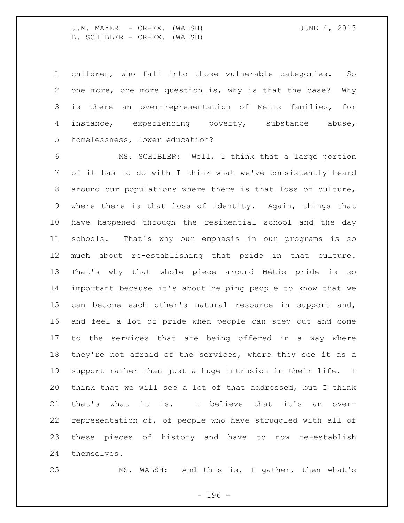children, who fall into those vulnerable categories. So one more, one more question is, why is that the case? Why is there an over-representation of Métis families, for instance, experiencing poverty, substance abuse, homelessness, lower education?

 MS. SCHIBLER: Well, I think that a large portion of it has to do with I think what we've consistently heard around our populations where there is that loss of culture, where there is that loss of identity. Again, things that have happened through the residential school and the day schools. That's why our emphasis in our programs is so much about re-establishing that pride in that culture. That's why that whole piece around Métis pride is so important because it's about helping people to know that we can become each other's natural resource in support and, and feel a lot of pride when people can step out and come to the services that are being offered in a way where they're not afraid of the services, where they see it as a support rather than just a huge intrusion in their life. I think that we will see a lot of that addressed, but I think that's what it is. I believe that it's an over- representation of, of people who have struggled with all of these pieces of history and have to now re-establish themselves.

MS. WALSH: And this is, I gather, then what's

- 196 -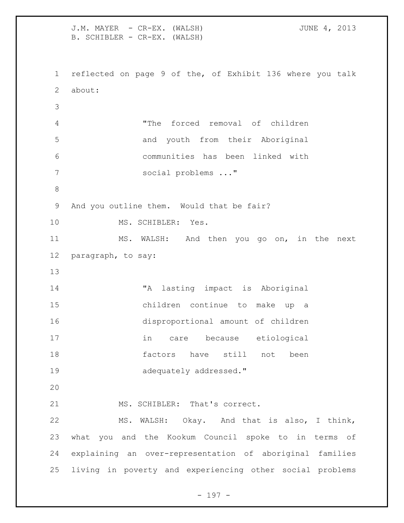J.M. MAYER - CR-EX. (WALSH) JUNE 4, 2013 B. SCHIBLER - CR-EX. (WALSH) reflected on page 9 of the, of Exhibit 136 where you talk about: "The forced removal of children and youth from their Aboriginal communities has been linked with social problems ..." And you outline them. Would that be fair? MS. SCHIBLER: Yes. MS. WALSH: And then you go on, in the next paragraph, to say: "A lasting impact is Aboriginal children continue to make up a disproportional amount of children in care because etiological factors have still not been 19 adequately addressed." 21 MS. SCHIBLER: That's correct. MS. WALSH: Okay. And that is also, I think, what you and the Kookum Council spoke to in terms of explaining an over-representation of aboriginal families living in poverty and experiencing other social problems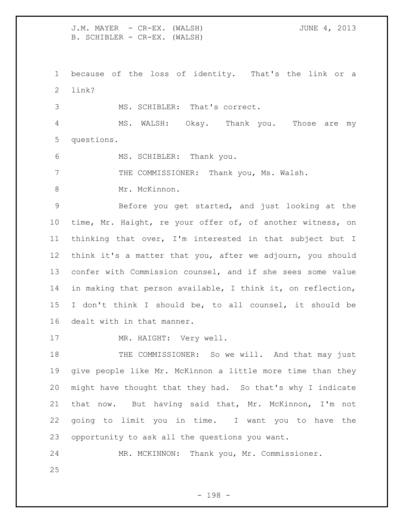because of the loss of identity. That's the link or a link?

 MS. SCHIBLER: That's correct. MS. WALSH: Okay. Thank you. Those are my questions.

MS. SCHIBLER: Thank you.

THE COMMISSIONER: Thank you, Ms. Walsh.

8 Mr. McKinnon.

 Before you get started, and just looking at the time, Mr. Haight, re your offer of, of another witness, on thinking that over, I'm interested in that subject but I think it's a matter that you, after we adjourn, you should confer with Commission counsel, and if she sees some value in making that person available, I think it, on reflection, I don't think I should be, to all counsel, it should be dealt with in that manner.

17 MR. HAIGHT: Very well.

 THE COMMISSIONER: So we will. And that may just give people like Mr. McKinnon a little more time than they might have thought that they had. So that's why I indicate that now. But having said that, Mr. McKinnon, I'm not going to limit you in time. I want you to have the opportunity to ask all the questions you want.

MR. MCKINNON: Thank you, Mr. Commissioner.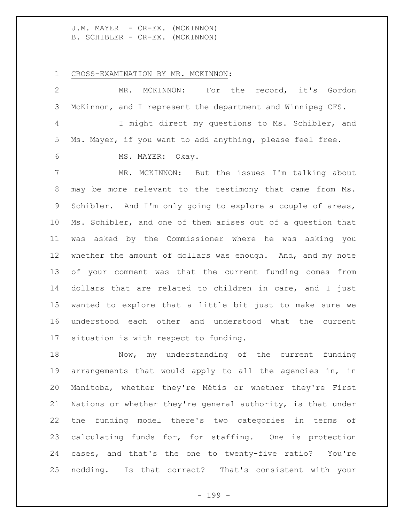CROSS-EXAMINATION BY MR. MCKINNON:

 MR. MCKINNON: For the record, it's Gordon McKinnon, and I represent the department and Winnipeg CFS. I might direct my questions to Ms. Schibler, and Ms. Mayer, if you want to add anything, please feel free. 6 MS. MAYER: Okay. MR. MCKINNON: But the issues I'm talking about may be more relevant to the testimony that came from Ms. Schibler. And I'm only going to explore a couple of areas, Ms. Schibler, and one of them arises out of a question that was asked by the Commissioner where he was asking you whether the amount of dollars was enough. And, and my note of your comment was that the current funding comes from dollars that are related to children in care, and I just wanted to explore that a little bit just to make sure we understood each other and understood what the current situation is with respect to funding.

18 Now, my understanding of the current funding arrangements that would apply to all the agencies in, in Manitoba, whether they're Métis or whether they're First Nations or whether they're general authority, is that under the funding model there's two categories in terms of calculating funds for, for staffing. One is protection cases, and that's the one to twenty-five ratio? You're nodding. Is that correct? That's consistent with your

- 199 -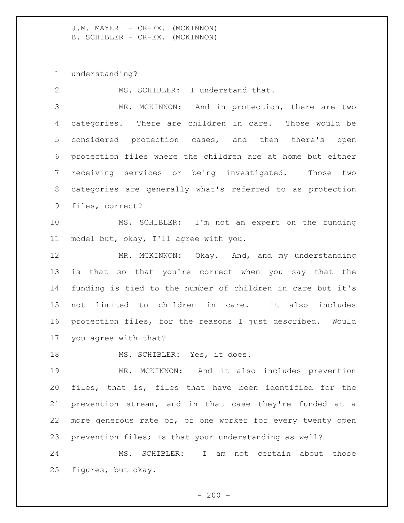understanding?

2 MS. SCHIBLER: I understand that. MR. MCKINNON: And in protection, there are two categories. There are children in care. Those would be considered protection cases, and then there's open protection files where the children are at home but either receiving services or being investigated. Those two categories are generally what's referred to as protection files, correct? MS. SCHIBLER: I'm not an expert on the funding model but, okay, I'll agree with you. MR. MCKINNON: Okay. And, and my understanding is that so that you're correct when you say that the

 funding is tied to the number of children in care but it's not limited to children in care. It also includes protection files, for the reasons I just described. Would you agree with that?

18 MS. SCHIBLER: Yes, it does.

 MR. MCKINNON: And it also includes prevention files, that is, files that have been identified for the prevention stream, and in that case they're funded at a more generous rate of, of one worker for every twenty open prevention files; is that your understanding as well? MS. SCHIBLER: I am not certain about those

figures, but okay.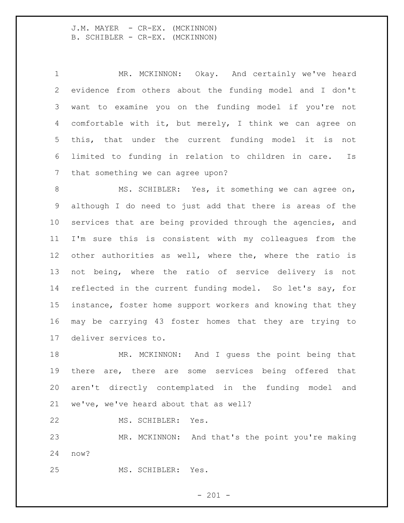| $\mathbf 1$     | MR. MCKINNON: Okay. And certainly we've heard               |
|-----------------|-------------------------------------------------------------|
| $\mathbf{2}$    | evidence from others about the funding model and I don't    |
| 3               | want to examine you on the funding model if you're not      |
| 4               | comfortable with it, but merely, I think we can agree on    |
| 5               | this, that under the current funding model it is not        |
| 6               | limited to funding in relation to children in care.<br>Is   |
| 7               | that something we can agree upon?                           |
| 8               | MS. SCHIBLER: Yes, it something we can agree on,            |
| 9               | although I do need to just add that there is areas of the   |
| 10 <sub>o</sub> | services that are being provided through the agencies, and  |
| 11              | I'm sure this is consistent with my colleagues from the     |
| 12              | other authorities as well, where the, where the ratio is    |
| 13              | not being, where the ratio of service delivery is not       |
| 14              | reflected in the current funding model. So let's say, for   |
| 15              | instance, foster home support workers and knowing that they |
| 16              | may be carrying 43 foster homes that they are trying to     |
| 17              | deliver services to.                                        |
| 18              | MR. MCKINNON: And I guess the point being that              |

 there are, there are some services being offered that aren't directly contemplated in the funding model and we've, we've heard about that as well?

MS. SCHIBLER: Yes.

 MR. MCKINNON: And that's the point you're making now?

MS. SCHIBLER: Yes.

 $- 201 -$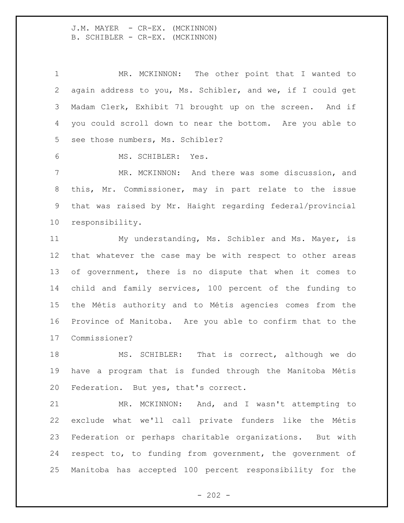MR. MCKINNON: The other point that I wanted to again address to you, Ms. Schibler, and we, if I could get Madam Clerk, Exhibit 71 brought up on the screen. And if you could scroll down to near the bottom. Are you able to see those numbers, Ms. Schibler? MS. SCHIBLER: Yes. MR. MCKINNON: And there was some discussion, and this, Mr. Commissioner, may in part relate to the issue that was raised by Mr. Haight regarding federal/provincial responsibility. My understanding, Ms. Schibler and Ms. Mayer, is that whatever the case may be with respect to other areas of government, there is no dispute that when it comes to child and family services, 100 percent of the funding to the Métis authority and to Métis agencies comes from the Province of Manitoba. Are you able to confirm that to the Commissioner? MS. SCHIBLER: That is correct, although we do have a program that is funded through the Manitoba Métis Federation. But yes, that's correct. MR. MCKINNON: And, and I wasn't attempting to exclude what we'll call private funders like the Métis Federation or perhaps charitable organizations. But with respect to, to funding from government, the government of Manitoba has accepted 100 percent responsibility for the

 $- 202 -$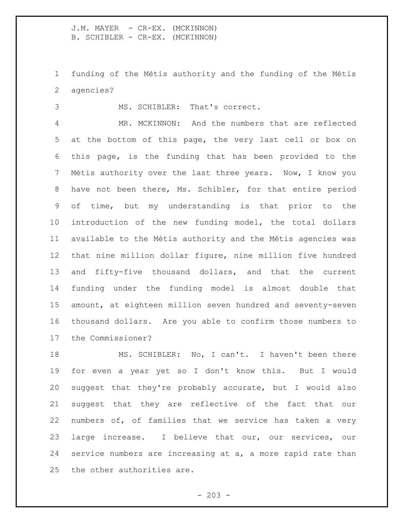funding of the Métis authority and the funding of the Métis agencies?

MS. SCHIBLER: That's correct.

 MR. MCKINNON: And the numbers that are reflected at the bottom of this page, the very last cell or box on this page, is the funding that has been provided to the Métis authority over the last three years. Now, I know you have not been there, Ms. Schibler, for that entire period of time, but my understanding is that prior to the introduction of the new funding model, the total dollars available to the Métis authority and the Métis agencies was that nine million dollar figure, nine million five hundred and fifty-five thousand dollars, and that the current funding under the funding model is almost double that amount, at eighteen million seven hundred and seventy-seven thousand dollars. Are you able to confirm those numbers to the Commissioner?

18 MS. SCHIBLER: No, I can't. I haven't been there for even a year yet so I don't know this. But I would suggest that they're probably accurate, but I would also suggest that they are reflective of the fact that our numbers of, of families that we service has taken a very large increase. I believe that our, our services, our service numbers are increasing at a, a more rapid rate than the other authorities are.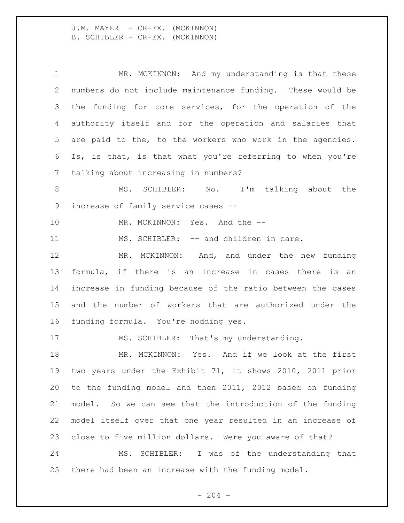| $\mathbf 1$     | MR. MCKINNON: And my understanding is that these           |
|-----------------|------------------------------------------------------------|
| 2               | numbers do not include maintenance funding. These would be |
| 3               | the funding for core services, for the operation of the    |
| 4               | authority itself and for the operation and salaries that   |
| 5               | are paid to the, to the workers who work in the agencies.  |
| 6               | Is, is that, is that what you're referring to when you're  |
| $7\phantom{.0}$ | talking about increasing in numbers?                       |
| 8               | MS. SCHIBLER: No. I'm talking about the                    |
| 9               | increase of family service cases --                        |
| 10              | MR. MCKINNON: Yes. And the --                              |
| 11              | MS. SCHIBLER: -- and children in care.                     |
| 12              | MR. MCKINNON: And, and under the new funding               |
| 13              | formula, if there is an increase in cases there is an      |
| 14              | increase in funding because of the ratio between the cases |
| 15              | and the number of workers that are authorized under the    |
| 16              | funding formula. You're nodding yes.                       |
| 17              | MS. SCHIBLER: That's my understanding.                     |
| 18              | MR. MCKINNON: Yes. And if we look at the first             |
| 19              | two years under the Exhibit 71, it shows 2010, 2011 prior  |
| 20              | to the funding model and then 2011, 2012 based on funding  |
| 21              | model. So we can see that the introduction of the funding  |
| 22              | model itself over that one year resulted in an increase of |
| 23              | close to five million dollars. Were you aware of that?     |
| 24              | MS. SCHIBLER: I was of the understanding that              |
| 25              | there had been an increase with the funding model.         |

- 204 -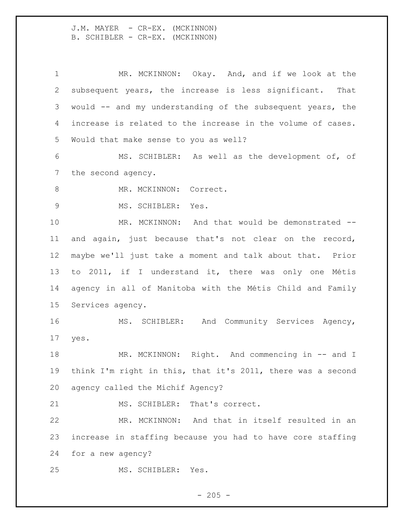MR. MCKINNON: Okay. And, and if we look at the subsequent years, the increase is less significant. That would -- and my understanding of the subsequent years, the increase is related to the increase in the volume of cases. Would that make sense to you as well? MS. SCHIBLER: As well as the development of, of the second agency. 8 MR. MCKINNON: Correct. 9 MS. SCHIBLER: Yes. MR. MCKINNON: And that would be demonstrated -- and again, just because that's not clear on the record, maybe we'll just take a moment and talk about that. Prior to 2011, if I understand it, there was only one Métis agency in all of Manitoba with the Métis Child and Family Services agency. MS. SCHIBLER: And Community Services Agency, yes. 18 MR. MCKINNON: Right. And commencing in -- and I think I'm right in this, that it's 2011, there was a second agency called the Michif Agency? 21 MS. SCHIBLER: That's correct. MR. MCKINNON: And that in itself resulted in an increase in staffing because you had to have core staffing for a new agency? MS. SCHIBLER: Yes.

 $- 205 -$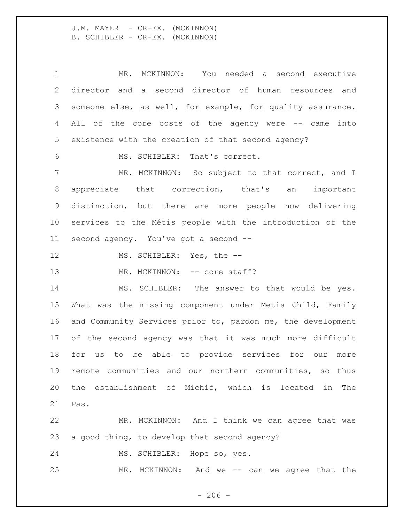| $\mathbf 1$ | You needed a second executive<br>MR. MCKINNON:                 |
|-------------|----------------------------------------------------------------|
| 2           | director and a second director of human resources and          |
| 3           | someone else, as well, for example, for quality assurance.     |
| 4           | All of the core costs of the agency were -- came into          |
| 5           | existence with the creation of that second agency?             |
| 6           | MS. SCHIBLER: That's correct.                                  |
| 7           | MR. MCKINNON: So subject to that correct, and I                |
| 8           | appreciate that correction, that's an<br>important             |
| 9           | distinction, but there are more people now delivering          |
| 10          | services to the Métis people with the introduction of the      |
| 11          | second agency. You've got a second --                          |
| 12          | MS. SCHIBLER: Yes, the --                                      |
| 13          | MR. MCKINNON: -- core staff?                                   |
| 14          | MS. SCHIBLER: The answer to that would be yes.                 |
| 15          | What was the missing component under Metis Child, Family       |
| 16          | and Community Services prior to, pardon me, the development    |
| 17          | of the second agency was that it was much more difficult       |
| 18          | to be able to provide services for<br>for<br>us<br>our<br>more |
| 19          | remote communities and our northern communities, so thus       |
| 20          | the establishment of Michif, which is located in The           |
| 21          | Pas.                                                           |
| 22          | MR. MCKINNON: And I think we can agree that was                |
| 23          | a good thing, to develop that second agency?                   |
| 24          | MS. SCHIBLER: Hope so, yes.                                    |
| 25          | MR. MCKINNON: And we -- can we agree that the                  |
|             |                                                                |

- 206 -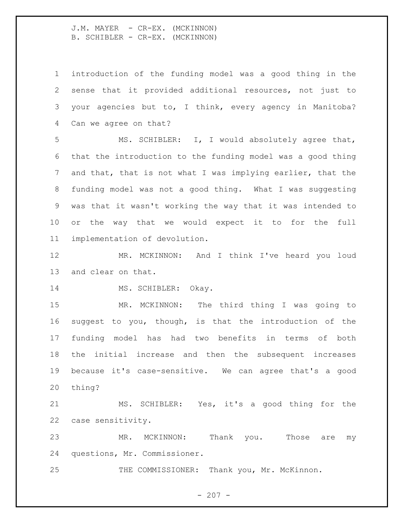introduction of the funding model was a good thing in the sense that it provided additional resources, not just to your agencies but to, I think, every agency in Manitoba? Can we agree on that?

 MS. SCHIBLER: I, I would absolutely agree that, that the introduction to the funding model was a good thing and that, that is not what I was implying earlier, that the funding model was not a good thing. What I was suggesting was that it wasn't working the way that it was intended to or the way that we would expect it to for the full implementation of devolution.

 MR. MCKINNON: And I think I've heard you loud and clear on that.

14 MS. SCHIBLER: Okay.

 MR. MCKINNON: The third thing I was going to suggest to you, though, is that the introduction of the funding model has had two benefits in terms of both the initial increase and then the subsequent increases because it's case-sensitive. We can agree that's a good thing?

 MS. SCHIBLER: Yes, it's a good thing for the case sensitivity.

 MR. MCKINNON: Thank you. Those are my questions, Mr. Commissioner.

25 THE COMMISSIONER: Thank you, Mr. McKinnon.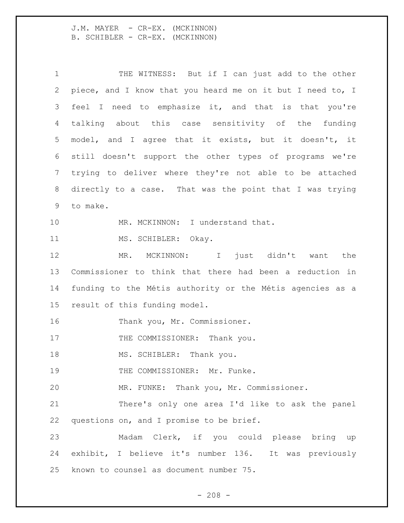THE WITNESS: But if I can just add to the other piece, and I know that you heard me on it but I need to, I feel I need to emphasize it, and that is that you're talking about this case sensitivity of the funding model, and I agree that it exists, but it doesn't, it still doesn't support the other types of programs we're trying to deliver where they're not able to be attached directly to a case. That was the point that I was trying to make. 10 MR. MCKINNON: I understand that. 11 MS. SCHIBLER: Okay. MR. MCKINNON: I just didn't want the Commissioner to think that there had been a reduction in funding to the Métis authority or the Métis agencies as a result of this funding model. Thank you, Mr. Commissioner. 17 THE COMMISSIONER: Thank you. 18 MS. SCHIBLER: Thank you. 19 THE COMMISSIONER: Mr. Funke. MR. FUNKE: Thank you, Mr. Commissioner. There's only one area I'd like to ask the panel questions on, and I promise to be brief. Madam Clerk, if you could please bring up exhibit, I believe it's number 136. It was previously known to counsel as document number 75.

 $- 208 -$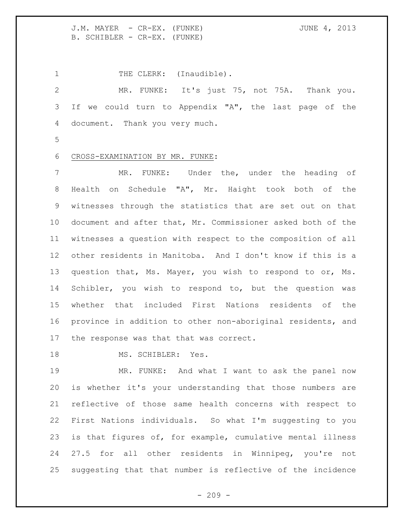J.M. MAYER - CR-EX. (FUNKE) **JUNE 4, 2013** B. SCHIBLER - CR-EX. (FUNKE)

1 THE CLERK: (Inaudible).

 MR. FUNKE: It's just 75, not 75A. Thank you. If we could turn to Appendix "A", the last page of the document. Thank you very much.

## CROSS-EXAMINATION BY MR. FUNKE:

 MR. FUNKE: Under the, under the heading of Health on Schedule "A", Mr. Haight took both of the witnesses through the statistics that are set out on that document and after that, Mr. Commissioner asked both of the witnesses a question with respect to the composition of all other residents in Manitoba. And I don't know if this is a question that, Ms. Mayer, you wish to respond to or, Ms. Schibler, you wish to respond to, but the question was whether that included First Nations residents of the province in addition to other non-aboriginal residents, and the response was that that was correct.

18 MS. SCHIBLER: Yes.

 MR. FUNKE: And what I want to ask the panel now is whether it's your understanding that those numbers are reflective of those same health concerns with respect to First Nations individuals. So what I'm suggesting to you is that figures of, for example, cumulative mental illness 27.5 for all other residents in Winnipeg, you're not suggesting that that number is reflective of the incidence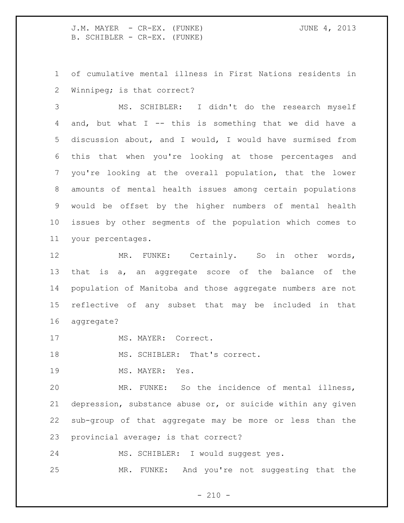J.M. MAYER - CR-EX. (FUNKE) JUNE 4, 2013 B. SCHIBLER - CR-EX. (FUNKE)

 of cumulative mental illness in First Nations residents in Winnipeg; is that correct?

 MS. SCHIBLER: I didn't do the research myself and, but what I -- this is something that we did have a discussion about, and I would, I would have surmised from this that when you're looking at those percentages and you're looking at the overall population, that the lower amounts of mental health issues among certain populations would be offset by the higher numbers of mental health issues by other segments of the population which comes to your percentages.

12 MR. FUNKE: Certainly. So in other words, that is a, an aggregate score of the balance of the population of Manitoba and those aggregate numbers are not reflective of any subset that may be included in that aggregate?

17 MS. MAYER: Correct.

18 MS. SCHIBLER: That's correct.

19 MS. MAYER: Yes.

 MR. FUNKE: So the incidence of mental illness, depression, substance abuse or, or suicide within any given sub-group of that aggregate may be more or less than the provincial average; is that correct?

MS. SCHIBLER: I would suggest yes.

MR. FUNKE: And you're not suggesting that the

 $- 210 -$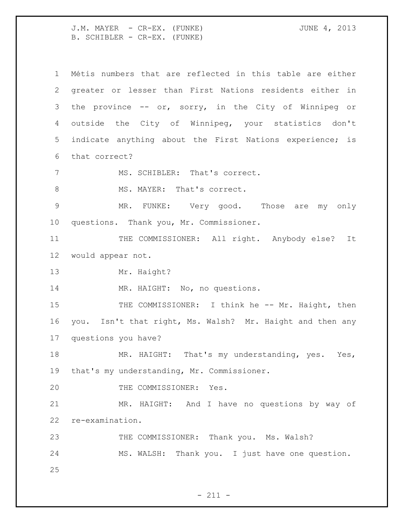J.M. MAYER - CR-EX. (FUNKE) JUNE 4, 2013 B. SCHIBLER - CR-EX. (FUNKE)

 Métis numbers that are reflected in this table are either greater or lesser than First Nations residents either in the province -- or, sorry, in the City of Winnipeg or outside the City of Winnipeg, your statistics don't indicate anything about the First Nations experience; is that correct? 7 MS. SCHIBLER: That's correct. 8 MS. MAYER: That's correct. MR. FUNKE: Very good. Those are my only questions. Thank you, Mr. Commissioner. 11 THE COMMISSIONER: All right. Anybody else? It would appear not. Mr. Haight? 14 MR. HAIGHT: No, no questions. 15 THE COMMISSIONER: I think he -- Mr. Haight, then you. Isn't that right, Ms. Walsh? Mr. Haight and then any questions you have? MR. HAIGHT: That's my understanding, yes. Yes, that's my understanding, Mr. Commissioner. 20 THE COMMISSIONER: Yes. MR. HAIGHT: And I have no questions by way of re-examination. THE COMMISSIONER: Thank you. Ms. Walsh? MS. WALSH: Thank you. I just have one question. 

 $- 211 -$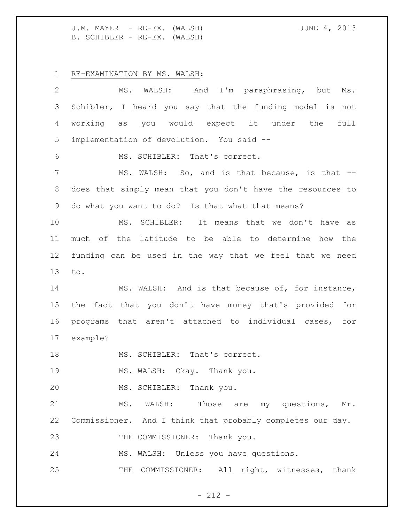RE-EXAMINATION BY MS. WALSH:

| $\mathbf{2}$ | MS. WALSH: And I'm paraphrasing, but<br>Ms.                |
|--------------|------------------------------------------------------------|
| 3            | Schibler, I heard you say that the funding model is not    |
| 4            | working as you would expect it under the<br>full           |
| 5            | implementation of devolution. You said --                  |
| 6            | MS. SCHIBLER: That's correct.                              |
| 7            | MS. WALSH: So, and is that because, is that --             |
| 8            | does that simply mean that you don't have the resources to |
| 9            | do what you want to do? Is that what that means?           |
| 10           | MS. SCHIBLER: It means that we don't have as               |
| 11           | much of the latitude to be able to determine how the       |
| 12           | funding can be used in the way that we feel that we need   |
| 13           | to.                                                        |
| 14           | MS. WALSH: And is that because of, for instance,           |
| 15           | the fact that you don't have money that's provided for     |
| 16           | programs that aren't attached to individual cases, for     |
| 17           | example?                                                   |
| 18           | MS. SCHIBLER: That's correct.                              |
| 19           | MS. WALSH: Okay. Thank you.                                |
| 20           | MS. SCHIBLER: Thank you.                                   |
| 21           | MS.<br>WALSH:<br>Those are my questions,<br>Mr.            |
| 22           | Commissioner. And I think that probably completes our day. |
| 23           | THE COMMISSIONER: Thank you.                               |
| 24           | MS. WALSH: Unless you have questions.                      |
| 25           | All right, witnesses, thank<br>THE<br>COMMISSIONER:        |

- 212 -